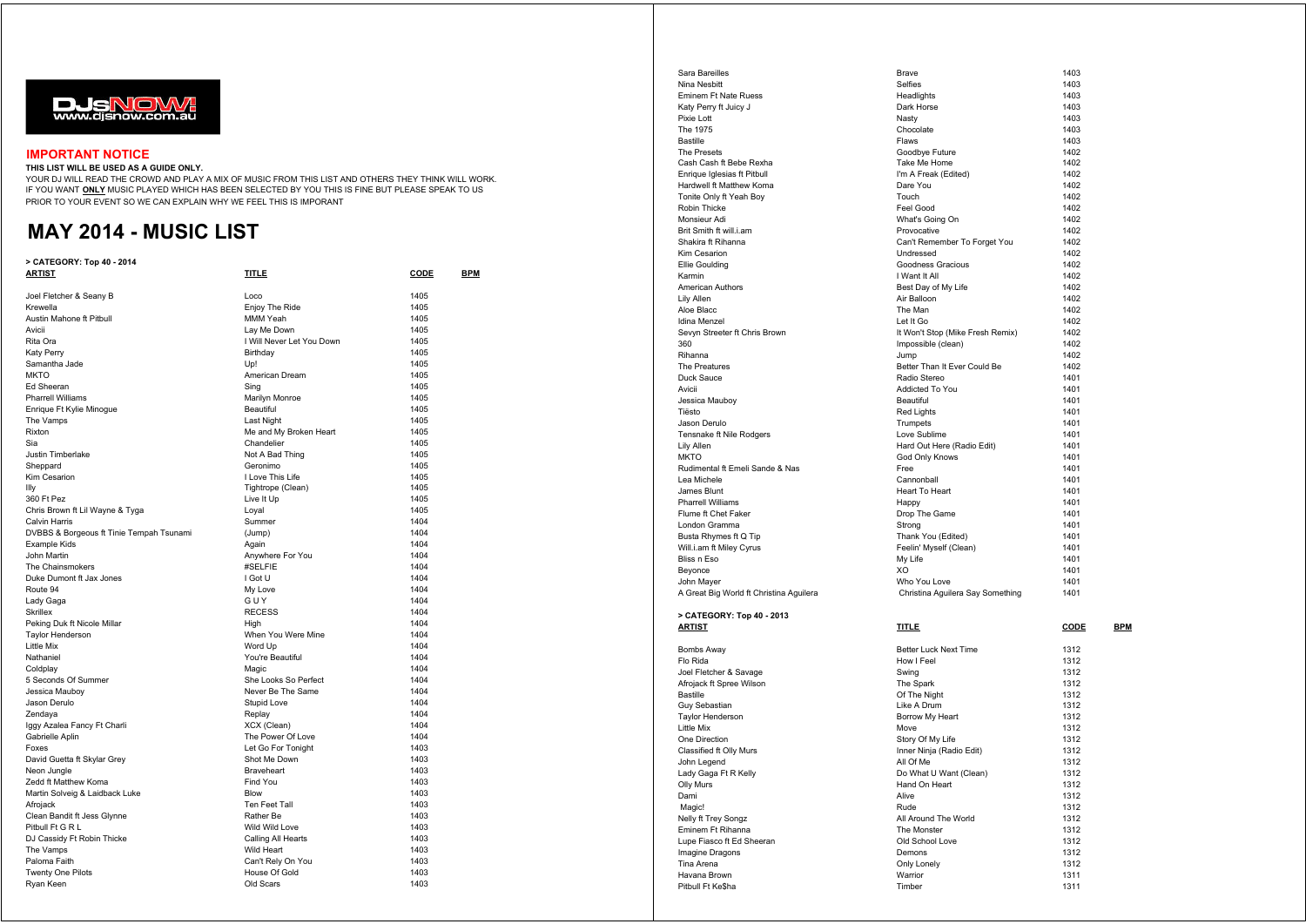

## **IMPORTANT NOTICE**

## **THIS LIST WILL BE USED AS A GUIDE ONLY.**

YOUR DJ WILL READ THE CROWD AND PLAY A MIX OF MUSIC FROM THIS LIST AND OTHERS THEY THINK WILL WORK. IF YOU WANT **ONLY** MUSIC PLAYED WHICH HAS BEEN SELECTED BY YOU THIS IS FINE BUT PLEASE SPEAK TO US PRIOR TO YOUR EVENT SO WE CAN EXPLAIN WHY WE FEEL THIS IS IMPORANT

## **MAY 2014 - MUSIC LIST**

## **> CATEGORY: Top 40 - 2014**

| ARTIST                                   | <u>TITLE</u>              | <u>CODE</u> | <u>BPM</u> |
|------------------------------------------|---------------------------|-------------|------------|
| Joel Fletcher & Seany B                  | Loco                      | 1405        |            |
| Krewella                                 | Enjoy The Ride            | 1405        |            |
| Austin Mahone ft Pitbull                 | MMM Yeah                  | 1405        |            |
| Avicii                                   | Lay Me Down               | 1405        |            |
| Rita Ora                                 | I Will Never Let You Down | 1405        |            |
| Katy Perry                               | Birthday                  | 1405        |            |
| Samantha Jade                            | U <sub>D!</sub>           | 1405        |            |
| <b>MKTO</b>                              | American Dream            | 1405        |            |
| Ed Sheeran                               | Sing                      | 1405        |            |
| <b>Pharrell Williams</b>                 | Marilyn Monroe            | 1405        |            |
| Enrique Ft Kylie Minogue                 | Beautiful                 | 1405        |            |
| The Vamps                                | Last Night                | 1405        |            |
| Rixton                                   | Me and My Broken Heart    | 1405        |            |
| Sia                                      | Chandelier                | 1405        |            |
| <b>Justin Timberlake</b>                 | Not A Bad Thing           | 1405        |            |
| Sheppard                                 | Geronimo                  | 1405        |            |
| Kim Cesarion                             | I Love This Life          | 1405        |            |
| llly                                     | Tightrope (Clean)         | 1405        |            |
| 360 Ft Pez                               | Live It Up                | 1405        |            |
| Chris Brown ft Lil Wayne & Tyga          | Loyal                     | 1405        |            |
| Calvin Harris                            | Summer                    | 1404        |            |
| DVBBS & Borgeous ft Tinie Tempah Tsunami | (Jump)                    | 1404        |            |
| Example Kids                             | Again                     | 1404        |            |
| John Martin                              | Anywhere For You          | 1404        |            |
| The Chainsmokers                         | #SELFIE                   | 1404        |            |
| Duke Dumont ft Jax Jones                 | I Got U                   | 1404        |            |
| Route 94                                 | My Love                   | 1404        |            |
| Lady Gaga                                | GUY                       | 1404        |            |
| <b>Skrillex</b>                          | <b>RECESS</b>             | 1404        |            |
| Peking Duk ft Nicole Millar              | High                      | 1404        |            |
| <b>Taylor Henderson</b>                  | When You Were Mine        | 1404        |            |
| Little Mix                               | Word Up                   | 1404        |            |
| Nathaniel                                | You're Beautiful          | 1404        |            |
| Coldplay                                 | Magic                     | 1404        |            |
| 5 Seconds Of Summer                      | She Looks So Perfect      | 1404        |            |
| Jessica Mauboy                           | Never Be The Same         | 1404        |            |
| Jason Derulo                             | Stupid Love               | 1404        |            |
| Zendaya                                  | Replay                    | 1404        |            |
| Iggy Azalea Fancy Ft Charli              | XCX (Clean)               | 1404        |            |
| Gabrielle Aplin                          | The Power Of Love         | 1404        |            |
| Foxes                                    | Let Go For Tonight        | 1403        |            |
| David Guetta ft Skylar Grey              | Shot Me Down              | 1403        |            |
| Neon Jungle                              | <b>Braveheart</b>         | 1403        |            |
| Zedd ft Matthew Koma                     | Find You                  | 1403        |            |
| Martin Solveig & Laidback Luke           | Blow                      | 1403        |            |
| Afrojack                                 | <b>Ten Feet Tall</b>      | 1403        |            |
| Clean Bandit ft Jess Glynne              | Rather Be                 | 1403        |            |
| Pitbull Ft G R L                         | Wild Wild Love            | 1403        |            |
| DJ Cassidy Ft Robin Thicke               | Calling All Hearts        | 1403        |            |
| The Vamps                                | Wild Heart                | 1403        |            |
| Paloma Faith                             | Can't Rely On You         | 1403        |            |
| <b>Twenty One Pilots</b>                 | House Of Gold             | 1403        |            |
| Ryan Keen                                | Old Scars                 | 1403        |            |

| Sara Bareilles                                      | <b>Brave</b>                     | 1403         |            |
|-----------------------------------------------------|----------------------------------|--------------|------------|
| Nina Nesbitt                                        | Selfies                          | 1403         |            |
| Eminem Ft Nate Ruess                                | Headlights                       | 1403         |            |
| Katy Perry ft Juicy J                               | Dark Horse                       | 1403         |            |
| Pixie Lott                                          | Nastv                            | 1403         |            |
| The 1975                                            | Chocolate                        | 1403         |            |
| <b>Bastille</b>                                     | Flaws                            | 1403         |            |
| <b>The Presets</b><br>Cash Cash ft Bebe Rexha       | Goodbve Future                   | 1402         |            |
| Enrique Iglesias ft Pitbull                         | Take Me Home                     | 1402<br>1402 |            |
|                                                     | I'm A Freak (Edited)             | 1402         |            |
| Hardwell ft Matthew Koma<br>Tonite Only ft Yeah Boy | Dare You<br>Touch                | 1402         |            |
| Robin Thicke                                        | Feel Good                        | 1402         |            |
| Monsieur Adi                                        | What's Going On                  | 1402         |            |
| Brit Smith ft will.i.am                             | Provocative                      | 1402         |            |
| Shakira ft Rihanna                                  | Can't Remember To Forget You     | 1402         |            |
| Kim Cesarion                                        | Undressed                        | 1402         |            |
| <b>Ellie Goulding</b>                               | Goodness Gracious                | 1402         |            |
| Karmin                                              | I Want It All                    | 1402         |            |
| American Authors                                    | Best Day of My Life              | 1402         |            |
| Lily Allen                                          | Air Balloon                      | 1402         |            |
| Aloe Blacc                                          | The Man                          | 1402         |            |
| Idina Menzel                                        | Let It Go                        | 1402         |            |
| Sevyn Streeter ft Chris Brown                       | It Won't Stop (Mike Fresh Remix) | 1402         |            |
| 360                                                 | Impossible (clean)               | 1402         |            |
| Rihanna                                             | Jump                             | 1402         |            |
| The Preatures                                       | Better Than It Ever Could Be     | 1402         |            |
| Duck Sauce                                          | Radio Stereo                     | 1401         |            |
| Avicii                                              | Addicted To You                  | 1401         |            |
| Jessica Mauboy                                      | Beautiful                        | 1401         |            |
| Tiësto                                              | <b>Red Lights</b>                | 1401         |            |
| Jason Derulo                                        | Trumpets                         | 1401         |            |
| Tensnake ft Nile Rodgers                            | Love Sublime                     | 1401         |            |
| Lily Allen                                          | Hard Out Here (Radio Edit)       | 1401         |            |
| <b>MKTO</b><br>Rudimental ft Emeli Sande & Nas      | God Only Knows<br>Free           | 1401         |            |
| Lea Michele                                         | Cannonball                       | 1401<br>1401 |            |
| James Blunt                                         | Heart To Heart                   | 1401         |            |
| Pharrell Williams                                   | Happy                            | 1401         |            |
| Flume ft Chet Faker                                 | Drop The Game                    | 1401         |            |
| London Gramma                                       | Strong                           | 1401         |            |
| Busta Rhymes ft Q Tip                               | Thank You (Edited)               | 1401         |            |
| Will.i.am ft Miley Cyrus                            | Feelin' Myself (Clean)           | 1401         |            |
| Bliss n Eso                                         | My Life                          | 1401         |            |
| Beyonce                                             | XO                               | 1401         |            |
| John Mayer                                          | Who You Love                     | 1401         |            |
| A Great Big World ft Christina Aguilera             | Christina Aguilera Say Something | 1401         |            |
| > CATEGORY: Top 40 - 2013                           |                                  |              |            |
| <u>ARTIST</u>                                       | <b>TITLE</b>                     | <b>CODE</b>  | <b>BPM</b> |
|                                                     |                                  |              |            |
| Bombs Away                                          | Better Luck Next Time            | 1312         |            |
| Flo Rida                                            | How I Feel                       | 1312         |            |
| Joel Fletcher & Savage<br>Afrojack ft Spree Wilson  | Swing                            | 1312<br>1312 |            |
| <b>Bastille</b>                                     | The Spark<br>Of The Night        | 1312         |            |
| Guy Sebastian                                       | Like A Drum                      | 1312         |            |
| Taylor Henderson                                    | Borrow My Heart                  | 1312         |            |
| Little Mix                                          | Move                             | 1312         |            |
| One Direction                                       | Story Of My Life                 | 1312         |            |
| Classified ft Olly Murs                             | Inner Ninja (Radio Edit)         | 1312         |            |
| John Legend                                         | All Of Me                        | 1312         |            |
| Lady Gaga Ft R Kelly                                | Do What U Want (Clean)           | 1312         |            |
| Olly Murs                                           | Hand On Heart                    | 1312         |            |
| Dami                                                | Alive                            | 1312         |            |
| Magic!                                              | Rude                             | 1312         |            |
| Nelly ft Trey Songz                                 | All Around The World             | 1312         |            |
| Eminem Ft Rihanna                                   | The Monster                      | 1312         |            |
| Lupe Fiasco ft Ed Sheeran                           | Old School Love                  | 1312         |            |
| Imagine Dragons                                     |                                  |              |            |
|                                                     | Demons                           | 1312         |            |
| Tina Arena                                          | Only Lonely                      | 1312         |            |
| Havana Brown<br>Pitbull Ft Ke\$ha                   | Warrior<br>Timber                | 1311<br>1311 |            |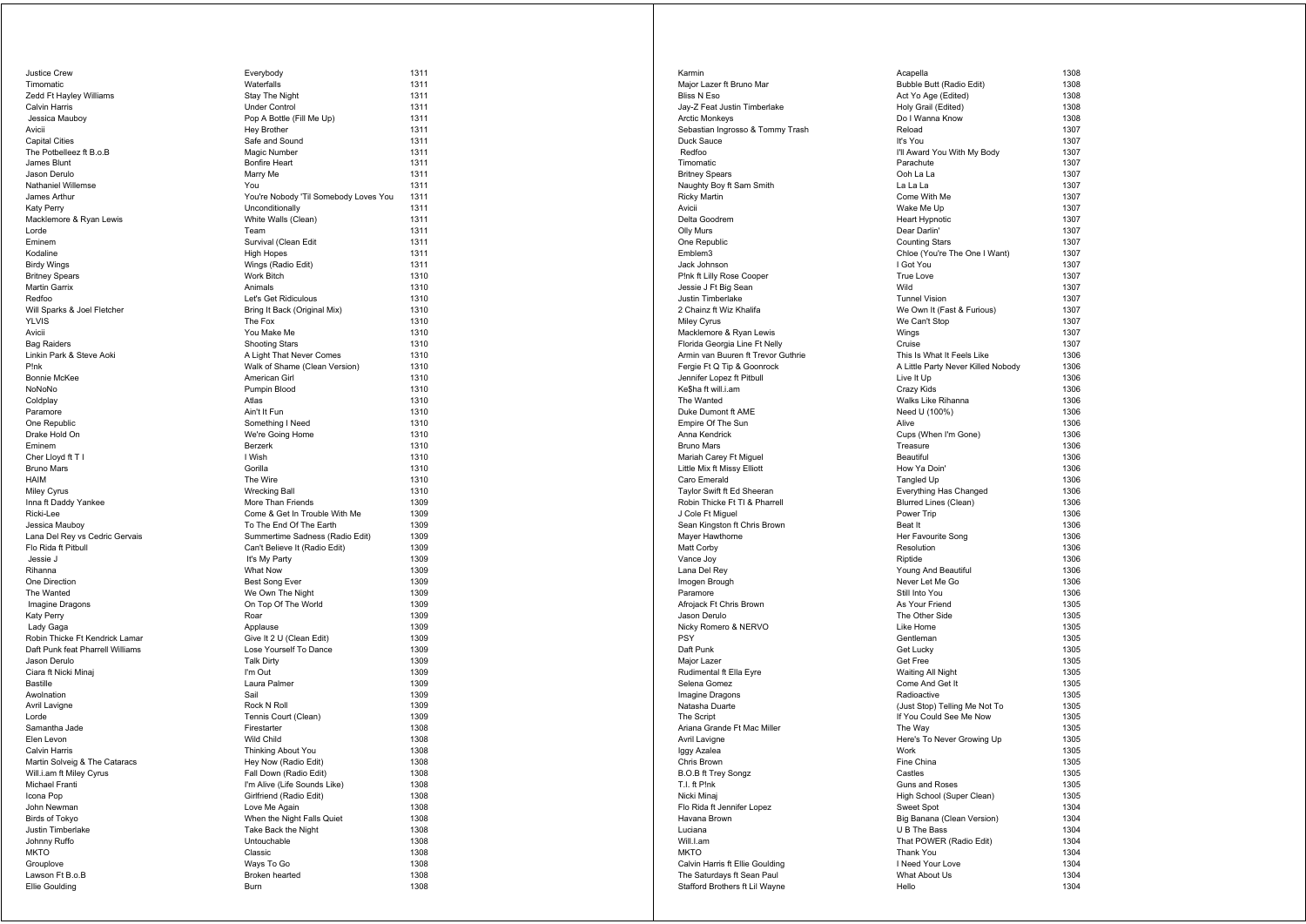| Justice Crew                     | Everybody                             | 1311 |
|----------------------------------|---------------------------------------|------|
| Timomatic                        | Waterfalls                            | 1311 |
| Zedd Ft Hayley Williams          | Stay The Night                        | 1311 |
| Calvin Harris                    | <b>Under Control</b>                  | 1311 |
| Jessica Mauboy                   | Pop A Bottle (Fill Me Up)             | 1311 |
| Avicii                           | <b>Hey Brother</b>                    | 1311 |
| Capital Cities                   | Safe and Sound                        | 1311 |
| The Potbelleez ft B.o.B          | Magic Number                          | 1311 |
| James Blunt                      | <b>Bonfire Heart</b>                  | 1311 |
| Jason Derulo                     | Marry Me                              | 1311 |
| Nathaniel Willemse               | You                                   | 1311 |
| James Arthur                     | You're Nobody 'Til Somebody Loves You | 1311 |
| Katy Perry                       | Unconditionally                       | 1311 |
| Macklemore & Ryan Lewis          | White Walls (Clean)                   | 1311 |
| Lorde                            | Team                                  | 1311 |
| Eminem                           | Survival (Clean Edit                  | 1311 |
| Kodaline                         | <b>High Hopes</b>                     | 1311 |
| Birdy Wings                      | Wings (Radio Edit)                    | 1311 |
| Britney Spears                   | Work Bitch                            | 1310 |
| Martin Garrix                    | Animals                               | 1310 |
| Redfoo                           | Let's Get Ridiculous                  | 1310 |
| Will Sparks & Joel Fletcher      | Bring It Back (Original Mix)          | 1310 |
| YLVIS                            | The Fox                               | 1310 |
| Avicii                           | You Make Me                           | 1310 |
| <b>Bag Raiders</b>               | <b>Shooting Stars</b>                 | 1310 |
| Linkin Park & Steve Aoki         | A Light That Never Comes              | 1310 |
| P!nk                             | Walk of Shame (Clean Version)         | 1310 |
| Bonnie McKee                     | American Girl                         | 1310 |
| NoNoNo                           | Pumpin Blood                          | 1310 |
| Coldplay                         | Atlas                                 | 1310 |
| Paramore                         | Ain't It Fun                          | 1310 |
| One Republic                     | Something I Need                      | 1310 |
| Drake Hold On                    | We're Going Home                      | 1310 |
| Eminem                           | <b>Berzerk</b>                        | 1310 |
| Cher Lloyd ft T I                | I Wish                                | 1310 |
| <b>Bruno Mars</b>                | Gorilla                               | 1310 |
| HAIM                             | The Wire                              | 1310 |
| Miley Cyrus                      | <b>Wrecking Ball</b>                  | 1310 |
| Inna ft Daddy Yankee             | More Than Friends                     | 1309 |
| Ricki-Lee                        | Come & Get In Trouble With Me         | 1309 |
| Jessica Mauboy                   | To The End Of The Earth               | 1309 |
| Lana Del Rey vs Cedric Gervais   | Summertime Sadness (Radio Edit)       | 1309 |
| Flo Rida ft Pitbull              | Can't Believe It (Radio Edit)         | 1309 |
| Jessie J                         | It's My Party                         | 1309 |
| Rihanna                          | What Now                              | 1309 |
| One Direction                    | <b>Best Song Ever</b>                 | 1309 |
| The Wanted                       | We Own The Night                      | 1309 |
| Imagine Dragons                  | On Top Of The World                   | 1309 |
| Katy Perry                       | Roar                                  | 1309 |
| Lady Gaga                        | Applause                              | 1309 |
| Robin Thicke Ft Kendrick Lamar   | Give It 2 U (Clean Edit)              | 1309 |
| Daft Punk feat Pharrell Williams | Lose Yourself To Dance                | 1309 |
| Jason Derulo                     | <b>Talk Dirty</b>                     | 1309 |
| Ciara ft Nicki Minaj             | I'm Out                               | 1309 |
| Bastille                         | Laura Palmer                          | 1309 |
| Awolnation                       | Sail                                  | 1309 |
| Avril Lavigne                    | Rock N Roll                           | 1309 |
| Lorde                            | Tennis Court (Clean)                  | 1309 |
| Samantha Jade                    | Firestarter                           | 1308 |
| Elen Levon                       | Wild Child                            | 1308 |
| Calvin Harris                    | Thinking About You                    | 1308 |
| Martin Solveig & The Cataracs    | Hey Now (Radio Edit)                  | 1308 |
| Will.i.am ft Miley Cyrus         | Fall Down (Radio Edit)                | 1308 |
| Michael Franti                   | I'm Alive (Life Sounds Like)          | 1308 |
| Icona Pop                        | Girlfriend (Radio Edit)               | 1308 |
| John Newman                      | Love Me Again                         | 1308 |
| <b>Birds of Tokyo</b>            | When the Night Falls Quiet            | 1308 |
| Justin Timberlake                | Take Back the Night                   | 1308 |
| Johnny Ruffo                     | Untouchable                           | 1308 |
| MKTO                             | Classic                               | 1308 |
| Grouplove                        | Ways To Go                            | 1308 |
| Lawson Ft B.o.B                  | Broken hearted                        | 1308 |
| Ellie Goulding                   | Burn                                  | 1308 |
|                                  |                                       |      |

| erybody                                     | 1311 |
|---------------------------------------------|------|
| aterfalls                                   | 1311 |
| ay The Night                                | 1311 |
| der Control                                 | 1311 |
| p A Bottle (Fill Me Up)                     | 1311 |
| ey Brother                                  | 1311 |
|                                             | 1311 |
| ife and Sound                               |      |
| agic Number                                 | 1311 |
| nfire Heart                                 | 1311 |
| arry Me                                     | 1311 |
| ΙU                                          | 1311 |
| u're Nobody 'Til Somebody Loves You         | 1311 |
| <b>conditionally</b>                        | 1311 |
| hite Walls (Clean)                          | 1311 |
| am:                                         | 1311 |
| rvival (Clean Edit                          | 1311 |
| gh Hopes                                    | 1311 |
| ings (Radio Edit)                           | 1311 |
| ork Bitch                                   | 1310 |
| imals                                       | 1310 |
| t's Get Ridiculous                          | 1310 |
| ing It Back (Original Mix)                  | 1310 |
| ie Fox                                      | 1310 |
| u Make Me                                   | 1310 |
| ooting Stars                                | 1310 |
| <b>Light That Never Comes</b>               | 1310 |
| alk of Shame (Clean Version)                | 1310 |
| nerican Girl                                | 1310 |
| ımpin Blood                                 | 1310 |
| las                                         | 1310 |
| n't It Fun                                  | 1310 |
| mething I Need                              | 1310 |
| e're Going Home                             | 1310 |
|                                             | 1310 |
| :rzerk<br>Vish                              | 1310 |
|                                             | 1310 |
| orilla                                      |      |
| e Wire                                      | 1310 |
| recking Ball                                | 1310 |
| ore Than Friends                            | 1309 |
| ome & Get In Trouble With Me                | 1309 |
| The End Of The Earth                        | 1309 |
| immertime Sadness (Radio Edit)              | 1309 |
| an't Believe It (Radio Edit)                | 1309 |
| s My Party                                  | 1309 |
| hat Now                                     | 1309 |
| st Song Ever                                | 1309 |
| e Own The Night                             | 1309 |
| Top Of The World                            | 1309 |
| ar                                          | 1309 |
| plause                                      | 1309 |
| ve It 2 U (Clean Edit)                      | 1309 |
| se Yourself To Dance                        | 1309 |
| <b>Ik Dirty</b>                             | 1309 |
| out                                         | 1309 |
| ura Palmer                                  | 1309 |
| ιiΙ                                         | 1309 |
| ock N Roll                                  | 1309 |
| nnis Court (Clean)                          | 1309 |
| estarter                                    | 1308 |
| ild Child                                   | 1308 |
| inking About You                            | 1308 |
|                                             | 1308 |
| ey Now (Radio Edit)<br>Il Down (Radio Edit) | 1308 |
|                                             | 1308 |
| Alive (Life Sounds Like)                    |      |
| rlfriend (Radio Edit)                       | 1308 |
| ve Me Again                                 | 1308 |
| hen the Night Falls Quiet                   | 1308 |
| ke Back the Night                           | 1308 |
| touchable                                   | 1308 |
| assic                                       | 1308 |
| ays To Go                                   | 1308 |
| oken hearted                                | 1308 |
| ırn                                         | 1308 |

| Karmin                                          | Acapella                                 | 1308         |
|-------------------------------------------------|------------------------------------------|--------------|
| Major Lazer ft Bruno Mar                        | Bubble Butt (Radio Edit)                 | 1308         |
| Bliss N Eso                                     | Act Yo Age (Edited)                      | 1308         |
| Jay-Z Feat Justin Timberlake                    | Holy Grail (Edited)                      | 1308         |
| <b>Arctic Monkeys</b>                           | Do I Wanna Know                          | 1308         |
| Sebastian Ingrosso & Tommy Trash                | Reload                                   | 1307         |
| Duck Sauce                                      | It's You                                 | 1307<br>1307 |
| Redfoo<br>Timomatic                             | I'll Award You With My Body<br>Parachute | 1307         |
| <b>Britney Spears</b>                           | Ooh La La                                | 1307         |
| Naughty Boy ft Sam Smith                        | La La La                                 | 1307         |
| <b>Ricky Martin</b>                             | Come With Me                             | 1307         |
| Avicii                                          | Wake Me Up                               | 1307         |
| Delta Goodrem                                   | <b>Heart Hypnotic</b>                    | 1307         |
| Olly Murs                                       | Dear Darlin'                             | 1307         |
| One Republic                                    | <b>Counting Stars</b>                    | 1307         |
| Emblem3                                         | Chloe (You're The One I Want)            | 1307         |
| Jack Johnson<br>P!nk ft Lilly Rose Cooper       | I Got You<br><b>True Love</b>            | 1307<br>1307 |
| Jessie J Ft Big Sean                            | Wild                                     | 1307         |
| Justin Timberlake                               | <b>Tunnel Vision</b>                     | 1307         |
| 2 Chainz ft Wiz Khalifa                         | We Own It (Fast & Furious)               | 1307         |
| <b>Miley Cyrus</b>                              | We Can't Stop                            | 1307         |
| Macklemore & Ryan Lewis                         | Wings                                    | 1307         |
| Florida Georgia Line Ft Nelly                   | Cruise                                   | 1307         |
| Armin van Buuren ft Trevor Guthrie              | This Is What It Feels Like               | 1306         |
| Fergie Ft Q Tip & Goonrock                      | A Little Party Never Killed Nobody       | 1306         |
| Jennifer Lopez ft Pitbull                       | Live It Up                               | 1306         |
| Ke\$ha ft will.i.am<br>The Wanted               | Crazy Kids                               | 1306         |
| Duke Dumont ft AME                              | Walks Like Rihanna<br>Need U (100%)      | 1306<br>1306 |
| Empire Of The Sun                               | Alive                                    | 1306         |
| Anna Kendrick                                   | Cups (When I'm Gone)                     | 1306         |
| <b>Bruno Mars</b>                               | Treasure                                 | 1306         |
| Mariah Carey Ft Miguel                          | Beautiful                                | 1306         |
| Little Mix ft Missy Elliott                     | How Ya Doin'                             | 1306         |
| Caro Emerald                                    | Tangled Up                               | 1306         |
| Taylor Swift ft Ed Sheeran                      | Everything Has Changed                   | 1306         |
| Robin Thicke Ft TI & Pharrell                   | <b>Blurred Lines (Clean)</b>             | 1306         |
| J Cole Ft Miguel                                | Power Trip                               | 1306         |
| Sean Kingston ft Chris Brown<br>Mayer Hawthorne | Beat It<br>Her Favourite Song            | 1306<br>1306 |
| Matt Corby                                      | Resolution                               | 1306         |
| Vance Joy                                       | Riptide                                  | 1306         |
| Lana Del Rey                                    | Young And Beautiful                      | 1306         |
| Imogen Brough                                   | Never Let Me Go                          | 1306         |
| Paramore                                        | Still Into You                           | 1306         |
| Afrojack Ft Chris Brown                         | As Your Friend                           | 1305         |
| Jason Derulo                                    | The Other Side                           | 1305         |
| Nicky Romero & NERVO                            | Like Home                                | 1305         |
| <b>PSY</b><br>Daft Punk                         | Gentleman                                | 1305<br>1305 |
| Major Lazer                                     | Get Lucky<br>Get Free                    | 1305         |
| Rudimental ft Ella Eyre                         | Waiting All Night                        | 1305         |
| Selena Gomez                                    | Come And Get It                          | 1305         |
| Imagine Dragons                                 | Radioactive                              | 1305         |
| Natasha Duarte                                  | (Just Stop) Telling Me Not To            | 1305         |
| The Script                                      | If You Could See Me Now                  | 1305         |
| Ariana Grande Ft Mac Miller                     | The Way                                  | 1305         |
| Avril Lavigne                                   | Here's To Never Growing Up               | 1305         |
| Iggy Azalea                                     | Work                                     | 1305         |
| Chris Brown<br>B.O.B ft Trey Songz              | Fine China<br>Castles                    | 1305<br>1305 |
| T.I. ft P!nk                                    | Guns and Roses                           | 1305         |
| Nicki Minaj                                     | High School (Super Clean)                | 1305         |
| Flo Rida ft Jennifer Lopez                      | Sweet Spot                               | 1304         |
| Havana Brown                                    | Big Banana (Clean Version)               | 1304         |
| Luciana                                         | U B The Bass                             | 1304         |
| Will.I.am                                       | That POWER (Radio Edit)                  | 1304         |
| <b>MKTO</b>                                     | Thank You                                | 1304         |
| Calvin Harris ft Ellie Goulding                 | I Need Your Love                         | 1304         |
| The Saturdays ft Sean Paul                      | What About Us                            | 1304         |
| Stafford Brothers ft Lil Wayne                  | Hello                                    | 1304         |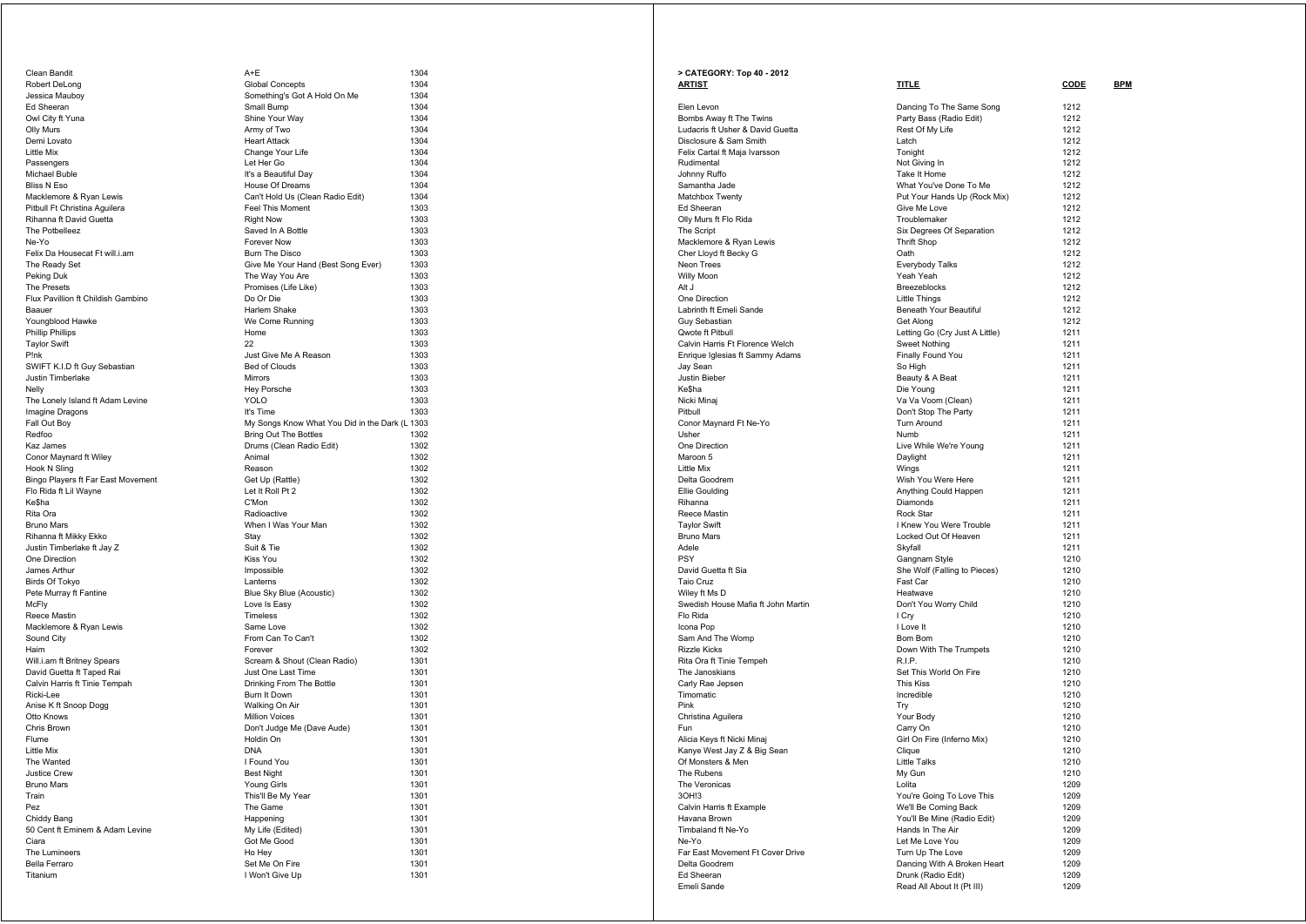| Clean Bandit                       |
|------------------------------------|
| Robert DeLong                      |
| Jessica Mauboy                     |
| Ed Sheeran                         |
| Owl City ft Yuna                   |
| Olly Murs                          |
| Demi Lovato                        |
| Little Mix                         |
| Passengers                         |
| Michael Buble                      |
| <b>Bliss N Eso</b>                 |
| Macklemore & Ryan Lewis            |
| Pitbull Ft Christina Aguilera      |
| Rihanna ft David Guetta            |
| The Potbelleez                     |
| Ne-Yo                              |
| Felix Da Housecat Ft will.i.am     |
| The Ready Set                      |
| Peking Duk                         |
| The Presets                        |
| Flux Pavillion ft Childish Gambino |
| Baauer                             |
| Youngblood Hawke                   |
| Phillip Phillips                   |
| <b>Taylor Swift</b>                |
| P!nk                               |
| SWIFT K.I.D ft Guy Sebastian       |
| Justin Timberlake                  |
| Nelly                              |
| The Lonely Island ft Adam Levine   |
| Imagine Dragons                    |
| Fall Out Boy                       |
| Redfoo                             |
| Kaz James                          |
| Conor Maynard ft Wiley             |
| Hook N Sling                       |
| Bingo Players ft Far East Movement |
| Flo Rida ft Lil Wayne              |
| Ke\$ha                             |
| Rita Ora                           |
| <b>Bruno Mars</b>                  |
| Rihanna ft Mikky Ekko              |
| Justin Timberlake ft Jay Z         |
| One Direction                      |
| James Arthur                       |
| Birds Of Tokyo                     |
| Pete Murray ft Fantine             |
| McFly                              |
| Reece Mastin                       |
| Macklemore & Ryan Lewis            |
| Sound City                         |
| Haim                               |
| Will.i.am ft Britney Spears        |
| David Guetta ft Taped Rai          |
| Calvin Harris ft Tinie Tempah      |
| Ricki-Lee                          |
| Anise K ft Snoop Dogg              |
| Otto Knows                         |
| Chris Brown                        |
| Flume                              |
| Little Mix                         |
|                                    |
|                                    |
| The Wanted                         |
| Justice Crew                       |
| <b>Bruno Mars</b>                  |
| Train                              |
| Pez                                |
| Chiddy Bang                        |
| 50 Cent ft Eminem & Adam Levine    |
| Ciara                              |
| The Lumineers                      |
| <b>Bella Ferraro</b><br>Titanium   |

| Clean Bandit                       | A+E                                            | 1304 |
|------------------------------------|------------------------------------------------|------|
| Robert DeLong                      | <b>Global Concepts</b>                         | 1304 |
| Jessica Mauboy                     | Something's Got A Hold On Me                   | 1304 |
| Ed Sheeran                         | Small Bump                                     | 1304 |
| Owl City ft Yuna                   | Shine Your Way                                 | 1304 |
| Olly Murs                          | Army of Two                                    | 1304 |
| Demi Lovato                        | <b>Heart Attack</b>                            | 1304 |
| Little Mix                         | Change Your Life                               | 1304 |
| Passengers                         | Let Her Go                                     | 1304 |
| Michael Buble                      | It's a Beautiful Day                           | 1304 |
| Bliss N Eso                        | House Of Dreams                                | 1304 |
| Macklemore & Ryan Lewis            | Can't Hold Us (Clean Radio Edit)               | 1304 |
| Pitbull Ft Christina Aguilera      | Feel This Moment                               | 1303 |
| Rihanna ft David Guetta            | <b>Right Now</b>                               | 1303 |
| The Potbelleez                     | Saved In A Bottle                              | 1303 |
| Ne-Yo                              | Forever Now                                    | 1303 |
| Felix Da Housecat Ft will.i.am     | <b>Burn The Disco</b>                          | 1303 |
| The Ready Set                      | Give Me Your Hand (Best Song Ever)             | 1303 |
| Peking Duk                         | The Way You Are                                | 1303 |
| The Presets                        | Promises (Life Like)                           | 1303 |
| Flux Pavillion ft Childish Gambino | Do Or Die                                      | 1303 |
| Baauer                             | Harlem Shake                                   | 1303 |
|                                    |                                                |      |
| Youngblood Hawke                   | We Come Running                                | 1303 |
| Phillip Phillips                   | Home                                           | 1303 |
| <b>Taylor Swift</b>                | 22                                             | 1303 |
| P!nk                               | Just Give Me A Reason                          | 1303 |
| SWIFT K.I.D ft Guy Sebastian       | <b>Bed of Clouds</b>                           | 1303 |
| Justin Timberlake                  | <b>Mirrors</b>                                 | 1303 |
| Nelly                              | Hey Porsche                                    | 1303 |
| The Lonely Island ft Adam Levine   | <b>YOLO</b>                                    | 1303 |
| Imagine Dragons                    | It's Time                                      | 1303 |
| Fall Out Boy                       | My Songs Know What You Did in the Dark (L 1303 |      |
| Redfoo                             | <b>Bring Out The Bottles</b>                   | 1302 |
| Kaz James                          | Drums (Clean Radio Edit)                       | 1302 |
| Conor Maynard ft Wiley             | Animal                                         | 1302 |
| Hook N Sling                       | Reason                                         | 1302 |
| Bingo Players ft Far East Movement | Get Up (Rattle)                                | 1302 |
| Flo Rida ft Lil Wayne              | Let It Roll Pt 2                               | 1302 |
| Ke\$ha                             | C'Mon                                          | 1302 |
| Rita Ora                           | Radioactive                                    | 1302 |
| Bruno Mars                         | When I Was Your Man                            | 1302 |
| Rihanna ft Mikky Ekko              | Stay                                           | 1302 |
| Justin Timberlake ft Jay Z         | Suit & Tie                                     | 1302 |
| One Direction                      | Kiss You                                       | 1302 |
| James Arthur                       | Impossible                                     | 1302 |
| Birds Of Tokyo                     | Lanterns                                       | 1302 |
| Pete Murray ft Fantine             | Blue Sky Blue (Acoustic)                       | 1302 |
| McFly                              | Love Is Easy                                   | 1302 |
| Reece Mastin                       | Timeless                                       | 1302 |
| Macklemore & Ryan Lewis            | Same Love                                      | 1302 |
| Sound City                         | From Can To Can't                              | 1302 |
| Haim                               | Forever                                        | 1302 |
| Will.i.am ft Britney Spears        | Scream & Shout (Clean Radio)                   | 1301 |
| David Guetta ft Taped Rai          | Just One Last Time                             | 1301 |
| Calvin Harris ft Tinie Tempah      | Drinking From The Bottle                       | 1301 |
| Ricki-Lee                          | Burn It Down                                   | 1301 |
| Anise K ft Snoop Dogg              | Walking On Air                                 | 1301 |
| Otto Knows                         | <b>Million Voices</b>                          | 1301 |
| Chris Brown                        |                                                | 1301 |
| Flume                              | Don't Judge Me (Dave Aude)<br>Holdin On        | 1301 |
| Little Mix                         | <b>DNA</b>                                     | 1301 |
| The Wanted                         |                                                |      |
|                                    | I Found You                                    | 1301 |
| Justice Crew                       | <b>Best Night</b>                              | 1301 |
| <b>Bruno Mars</b>                  | Young Girls                                    | 1301 |
| Train                              | This'll Be My Year                             | 1301 |
| Pez                                | The Game                                       | 1301 |
| Chiddy Bang                        | Happening                                      | 1301 |
| 50 Cent ft Eminem & Adam Levine    | My Life (Edited)                               | 1301 |
| Ciara                              | Got Me Good                                    | 1301 |
| The Lumineers                      | Ho Hey                                         | 1301 |
| Bella Ferraro                      | Set Me On Fire                                 | 1301 |
| Titanium                           | I Won't Give Up                                | 1301 |

| > CATEGORY: Top 40 - 2012<br><u>ARTIST</u>                         | <b>TITLE</b>                   | <b>CODE</b>  | <b>BPM</b> |
|--------------------------------------------------------------------|--------------------------------|--------------|------------|
| Elen Levon                                                         | Dancing To The Same Song       | 1212         |            |
| Bombs Away ft The Twins                                            | Party Bass (Radio Edit)        | 1212         |            |
| Ludacris ft Usher & David Guetta                                   | Rest Of My Life                | 1212         |            |
| Disclosure & Sam Smith                                             | Latch                          | 1212         |            |
| Felix Cartal ft Maja Ivarsson                                      | Tonight                        | 1212         |            |
| Rudimental                                                         | Not Giving In                  | 1212         |            |
| Johnny Ruffo                                                       | Take It Home                   | 1212         |            |
| Samantha Jade                                                      | What You've Done To Me         | 1212         |            |
| Matchbox Twenty                                                    | Put Your Hands Up (Rock Mix)   | 1212         |            |
| Ed Sheeran                                                         | Give Me Love                   | 1212         |            |
| Olly Murs ft Flo Rida                                              | Troublemaker                   | 1212         |            |
| The Script                                                         | Six Degrees Of Separation      | 1212         |            |
| Macklemore & Ryan Lewis                                            | <b>Thrift Shop</b>             | 1212         |            |
| Cher Lloyd ft Becky G                                              | Oath                           | 1212         |            |
| Neon Trees                                                         | Everybody Talks                | 1212         |            |
| Willy Moon                                                         | Yeah Yeah                      | 1212         |            |
| Alt J                                                              | Breezeblocks                   | 1212         |            |
| One Direction                                                      | <b>Little Things</b>           | 1212         |            |
| Labrinth ft Emeli Sande                                            | Beneath Your Beautiful         | 1212         |            |
| Guy Sebastian                                                      | Get Along                      | 1212         |            |
| Qwote ft Pitbull                                                   | Letting Go (Cry Just A Little) | 1211         |            |
| Calvin Harris Ft Florence Welch<br>Enrique Iglesias ft Sammy Adams | Sweet Nothing                  | 1211<br>1211 |            |
|                                                                    | Finally Found You              | 1211         |            |
| Jay Sean<br>Justin Bieber                                          | So High<br>Beauty & A Beat     | 1211         |            |
| <b>Ke\$ha</b>                                                      | Die Young                      | 1211         |            |
| Nicki Minaj                                                        | Va Va Voom (Clean)             | 1211         |            |
| Pitbull                                                            | Don't Stop The Party           | 1211         |            |
| Conor Maynard Ft Ne-Yo                                             | <b>Turn Around</b>             | 1211         |            |
| Usher                                                              | Numb                           | 1211         |            |
| One Direction                                                      | Live While We're Young         | 1211         |            |
| Maroon 5                                                           | Daylight                       | 1211         |            |
| Little Mix                                                         | Wings                          | 1211         |            |
| Delta Goodrem                                                      | Wish You Were Here             | 1211         |            |
| Ellie Goulding                                                     | Anything Could Happen          | 1211         |            |
| Rihanna                                                            | Diamonds                       | 1211         |            |
| Reece Mastin                                                       | Rock Star                      | 1211         |            |
| <b>Taylor Swift</b>                                                | I Knew You Were Trouble        | 1211         |            |
| <b>Bruno Mars</b>                                                  | Locked Out Of Heaven           | 1211         |            |
| Adele                                                              | Skyfall                        | 1211         |            |
| PSY                                                                | Gangnam Style                  | 1210         |            |
| David Guetta ft Sia                                                | She Wolf (Falling to Pieces)   | 1210         |            |
| Taio Cruz                                                          | Fast Car                       | 1210         |            |
| Wiley ft Ms D                                                      | Heatwave                       | 1210         |            |
| Swedish House Mafia ft John Martin                                 | Don't You Worry Child          | 1210         |            |
| Flo Rida                                                           | I Cry                          | 1210         |            |
| Icona Pop                                                          | I Love It                      | 1210         |            |
| Sam And The Womp                                                   | Bom Bom                        | 1210         |            |
| Rizzle Kicks                                                       | Down With The Trumpets         | 1210         |            |
| Rita Ora ft Tinie Tempeh                                           | R.I.P.                         | 1210         |            |
| The Janoskians                                                     | Set This World On Fire         | 1210         |            |
| Carly Rae Jepsen                                                   | This Kiss                      | 1210         |            |
| Timomatic                                                          | Incredible                     | 1210         |            |
| Pink                                                               | Try                            | 1210         |            |
| Christina Aguilera                                                 | Your Body                      | 1210         |            |
| Fun                                                                | Carry On                       | 1210         |            |
| Alicia Keys ft Nicki Minaj<br>Kanye West Jay Z & Big Sean          | Girl On Fire (Inferno Mix)     | 1210<br>1210 |            |
|                                                                    | Clique                         | 1210         |            |
| Of Monsters & Men<br>The Rubens                                    | Little Talks                   | 1210         |            |
| The Veronicas                                                      | My Gun<br>Lolita               | 1209         |            |
| 3OH!3                                                              | You're Going To Love This      | 1209         |            |
| Calvin Harris ft Example                                           | We'll Be Coming Back           | 1209         |            |
| Havana Brown                                                       | You'll Be Mine (Radio Edit)    | 1209         |            |
| Timbaland ft Ne-Yo                                                 | Hands In The Air               | 1209         |            |
| Ne-Yo                                                              | Let Me Love You                | 1209         |            |
| Far East Movement Ft Cover Drive                                   | Turn Up The Love               | 1209         |            |
| Delta Goodrem                                                      | Dancing With A Broken Heart    | 1209         |            |
| Ed Sheeran                                                         | Drunk (Radio Edit)             | 1209         |            |
| Emeli Sande                                                        | Read All About It (Pt III)     | 1209         |            |
|                                                                    |                                |              |            |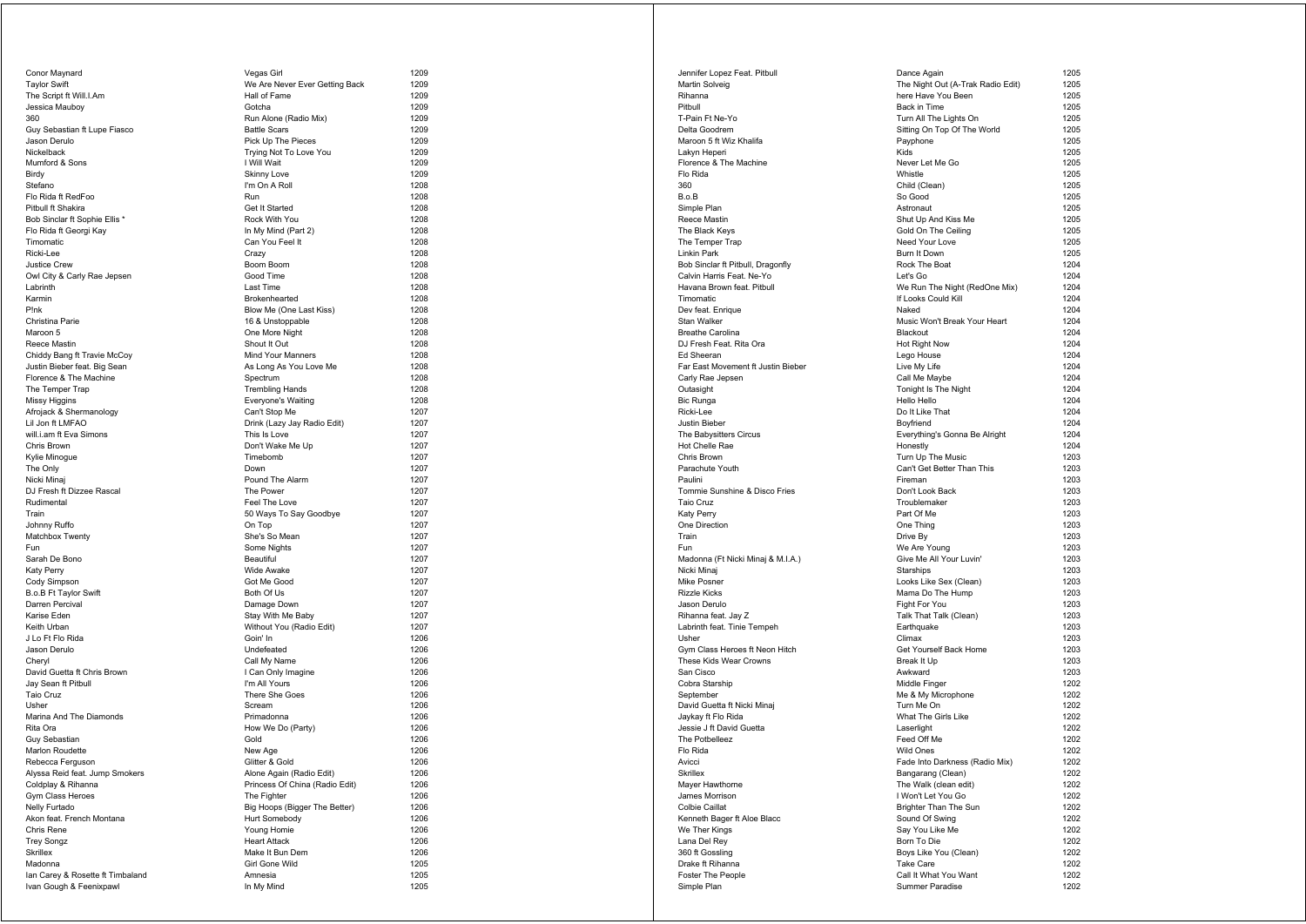| Conor Maynard                             |
|-------------------------------------------|
| Taylor Swift                              |
| The Script ft Will.I.Am                   |
| Jessica Mauboy                            |
| 360                                       |
| Guy Sebastian ft Lupe Fiasco              |
| Jason Derulo                              |
| Nickelback<br>Mumford & Sons              |
| Birdy                                     |
| Stefano                                   |
| Flo Rida ft RedFoo                        |
| Pitbull ft Shakira                        |
| Bob Sinclar ft Sophie Ellis *             |
| Flo Rida ft Georgi Kay                    |
| Timomatic                                 |
| Ricki-Lee                                 |
| <b>Justice Crew</b>                       |
| Owl City & Carly Rae Jepsen               |
| Labrinth                                  |
| Karmin                                    |
| P!nk                                      |
| Christina Parie                           |
| Maroon 5                                  |
| Reece Mastin                              |
| Chiddy Bang ft Travie McCoy               |
| Justin Bieber feat. Big Sean              |
| Florence & The Machine<br>The Temper Trap |
| Missy Higgins                             |
| Afrojack & Shermanology                   |
| Lil Jon ft LMFAO                          |
| will.i.am ft Eva Simons                   |
| Chris Brown                               |
| Kylie Minogue                             |
| The Only                                  |
| Nicki Minaj                               |
| DJ Fresh ft Dizzee Rascal                 |
| Rudimental                                |
| Train                                     |
| Johnny Ruffo                              |
| Matchbox Twenty<br>Fun                    |
| Sarah De Bono                             |
| Katy Perry                                |
| Cody Simpson                              |
| B.o.B Ft Taylor Swift                     |
| Darren Percival                           |
| Karise Eden                               |
| Keith Urban                               |
| J Lo Ft Flo Rida                          |
| Jason Derulo                              |
| Cheryl                                    |
| David Guetta ft Chris Brown               |
| Jay Sean ft Pitbull                       |
| Taio Cruz                                 |
| Usher<br>Marina And The Diamonds          |
| Rita Ora                                  |
| Guy Sebastian                             |
| Marlon Roudette                           |
| Rebecca Fergusor                          |
| Alyssa Reid feat. Jump Smokers            |
| Coldplay & Rihanna                        |
| Gym Class Heroes                          |
| Nelly Furtado                             |
| Akon feat. French Montana                 |
| Chris Rene                                |
| Trey Songz                                |
| Skrillex                                  |
| Madonna                                   |
| lan Carey & Rosette ft Timbaland          |
| Ivan Gough & Feenixpawl                   |

| Conor Maynard                               | Vegas Girl                                  | 1209         |
|---------------------------------------------|---------------------------------------------|--------------|
| <b>Taylor Swift</b>                         | We Are Never Ever Getting Back              | 1209         |
| The Script ft Will.I.Am                     | Hall of Fame                                | 1209         |
| Jessica Mauboy                              | Gotcha                                      | 1209         |
| 360                                         | Run Alone (Radio Mix)                       | 1209         |
| Guy Sebastian ft Lupe Fiasco                | <b>Battle Scars</b>                         | 1209         |
| Jason Derulo                                | Pick Up The Pieces                          | 1209         |
| Nickelback                                  | Trying Not To Love You                      | 1209<br>1209 |
| Mumford & Sons<br>Birdy                     | I Will Wait<br><b>Skinny Love</b>           | 1209         |
| Stefano                                     | I'm On A Roll                               | 1208         |
| Flo Rida ft RedFoo                          | Run                                         | 1208         |
| Pitbull ft Shakira                          | Get It Started                              | 1208         |
| Bob Sinclar ft Sophie Ellis *               | Rock With You                               | 1208         |
| Flo Rida ft Georgi Kay                      | In My Mind (Part 2)                         | 1208         |
| Timomatic                                   | Can You Feel It                             | 1208         |
| Ricki-Lee                                   | Crazy                                       | 1208         |
| Justice Crew                                | Boom Boom                                   | 1208         |
| Owl City & Carly Rae Jepsen                 | Good Time                                   | 1208         |
| Labrinth                                    | Last Time                                   | 1208         |
| Karmin                                      | Brokenhearted                               | 1208         |
| P!nk                                        | Blow Me (One Last Kiss)                     | 1208         |
| Christina Parie                             | 16 & Unstoppable                            | 1208         |
| Maroon 5                                    | One More Night                              | 1208         |
| Reece Mastin                                | Shout It Out                                | 1208         |
| Chiddy Bang ft Travie McCoy                 | Mind Your Manners                           | 1208         |
| Justin Bieber feat. Big Sean                | As Long As You Love Me                      | 1208         |
| Florence & The Machine                      | Spectrum                                    | 1208         |
| The Temper Trap                             | <b>Trembling Hands</b>                      | 1208         |
| Missy Higgins                               | Everyone's Waiting                          | 1208         |
| Afrojack & Shermanology<br>Lil Jon ft LMFAO | Can't Stop Me                               | 1207         |
| will.i.am ft Eva Simons                     | Drink (Lazy Jay Radio Edit)<br>This Is Love | 1207<br>1207 |
| Chris Brown                                 | Don't Wake Me Up                            | 1207         |
| Kylie Minogue                               | Timebomb                                    | 1207         |
| The Only                                    | Down                                        | 1207         |
| Nicki Minai                                 | Pound The Alarm                             | 1207         |
| DJ Fresh ft Dizzee Rascal                   | The Power                                   | 1207         |
| Rudimental                                  | Feel The Love                               | 1207         |
| Train                                       | 50 Ways To Say Goodbye                      | 1207         |
| Johnny Ruffo                                | On Top                                      | 1207         |
| Matchbox Twenty                             | She's So Mean                               | 1207         |
| Fun                                         | Some Nights                                 | 1207         |
| Sarah De Bono                               | Beautiful                                   | 1207         |
| Katy Perry                                  | Wide Awake                                  | 1207         |
| Cody Simpson                                | Got Me Good                                 | 1207         |
| B.o.B Ft Taylor Swift                       | Both Of Us                                  | 1207         |
| Darren Percival                             | Damage Down                                 | 1207         |
| Karise Eden                                 | Stay With Me Baby                           | 1207         |
| Keith Urban                                 | Without You (Radio Edit)                    | 1207         |
| J Lo Ft Flo Rida                            | Goin' In                                    | 1206         |
| Jason Derulo                                | Undefeated                                  | 1206         |
| Cheryl                                      | Call My Name                                | 1206         |
| David Guetta ft Chris Brown                 | I Can Only Imagine<br>I'm All Yours         | 1206<br>1206 |
| Jay Sean ft Pitbull<br>Taio Cruz            | There She Goes                              | 1206         |
| Usher                                       | Scream                                      | 1206         |
| Marina And The Diamonds                     | Primadonna                                  | 1206         |
| Rita Ora                                    | How We Do (Party)                           | 1206         |
| Guy Sebastian                               | Gold                                        | 1206         |
| Marlon Roudette                             | New Age                                     | 1206         |
| Rebecca Ferguson                            | Glitter & Gold                              | 1206         |
| Alyssa Reid feat. Jump Smokers              | Alone Again (Radio Edit)                    | 1206         |
| Coldplay & Rihanna                          | Princess Of China (Radio Edit)              | 1206         |
| Gym Class Heroes                            | The Fighter                                 | 1206         |
| Nelly Furtado                               | Big Hoops (Bigger The Better)               | 1206         |
| Akon feat. French Montana                   | Hurt Somebody                               | 1206         |
| Chris Rene                                  | Young Homie                                 | 1206         |
| <b>Trey Songz</b>                           | <b>Heart Attack</b>                         | 1206         |
| Skrillex                                    | Make It Bun Dem                             | 1206         |
| Madonna                                     | Girl Gone Wild                              | 1205         |
| lan Carey & Rosette ft Timbaland            | Amnesia                                     | 1205         |
| Ivan Gough & Feenixpawl                     | In My Mind                                  | 1205         |

| Jennifer Lopez Feat. Pitbull                            | Dance Again                                          | 1205         |
|---------------------------------------------------------|------------------------------------------------------|--------------|
| Martin Solveig                                          | The Night Out (A-Trak Radio Edit)                    | 1205         |
| Rihanna                                                 | here Have You Been                                   | 1205         |
| Pitbull                                                 | Back in Time                                         | 1205         |
| T-Pain Ft Ne-Yo                                         | Turn All The Lights On                               | 1205         |
| Delta Goodrem                                           | Sitting On Top Of The World                          | 1205         |
| Maroon 5 ft Wiz Khalifa                                 | Payphone                                             | 1205         |
| Lakyn Heperi                                            | Kids                                                 | 1205         |
| Florence & The Machine                                  | Never Let Me Go                                      | 1205         |
| Flo Rida                                                | Whistle                                              | 1205         |
| 360                                                     | Child (Clean)                                        | 1205         |
| B.o.B                                                   | So Good                                              | 1205         |
| Simple Plan                                             | Astronaut                                            | 1205         |
| Reece Mastin                                            | Shut Up And Kiss Me                                  | 1205         |
| The Black Keys                                          | Gold On The Ceiling                                  | 1205         |
| The Temper Trap                                         | Need Your Love                                       | 1205         |
| Linkin Park                                             | Burn It Down                                         | 1205         |
| Bob Sinclar ft Pitbull, Dragonfly                       | Rock The Boat                                        | 1204<br>1204 |
| Calvin Harris Feat. Ne-Yo<br>Havana Brown feat. Pitbull | Let's Go                                             | 1204         |
| Timomatic                                               | We Run The Night (RedOne Mix)<br>If Looks Could Kill | 1204         |
| Dev feat. Enrique                                       | Naked                                                | 1204         |
| Stan Walker                                             | Music Won't Break Your Heart                         | 1204         |
| <b>Breathe Carolina</b>                                 | Blackout                                             | 1204         |
| DJ Fresh Feat. Rita Ora                                 | Hot Right Now                                        | 1204         |
| Ed Sheeran                                              | Lego House                                           | 1204         |
| Far East Movement ft Justin Bieber                      | Live My Life                                         | 1204         |
| Carly Rae Jepsen                                        | Call Me Maybe                                        | 1204         |
| Outasight                                               | Tonight Is The Night                                 | 1204         |
| Bic Runga                                               | Hello Hello                                          | 1204         |
| Ricki-Lee                                               | Do It Like That                                      | 1204         |
| Justin Bieber                                           | Boyfriend                                            | 1204         |
| The Babysitters Circus                                  | Everything's Gonna Be Alright                        | 1204         |
| Hot Chelle Rae                                          | Honestly                                             | 1204         |
| Chris Brown                                             | Turn Up The Music                                    | 1203         |
| Parachute Youth                                         | Can't Get Better Than This                           | 1203         |
| Paulini                                                 | Fireman                                              | 1203         |
| Tommie Sunshine & Disco Fries                           | Don't Look Back                                      | 1203         |
| Taio Cruz                                               | Troublemaker                                         | 1203         |
| Katy Perry                                              | Part Of Me                                           | 1203         |
| One Direction                                           | One Thing                                            | 1203         |
| Train                                                   | Drive By                                             | 1203         |
| Fun                                                     | We Are Young                                         | 1203         |
| Madonna (Ft Nicki Minaj & M.I.A.)                       | Give Me All Your Luvin'                              | 1203         |
| Nicki Minaj                                             | Starships                                            | 1203         |
| Mike Posner                                             | Looks Like Sex (Clean)                               | 1203         |
| Rizzle Kicks                                            | Mama Do The Hump                                     | 1203         |
| Jason Derulo                                            | Fight For You                                        | 1203         |
| Rihanna feat. Jay Z                                     | Talk That Talk (Clean)                               | 1203         |
| Labrinth feat. Tinie Tempeh                             | Earthquake                                           | 1203         |
| Usher                                                   | Climax                                               | 1203         |
| Gym Class Heroes ft Neon Hitch                          | Get Yourself Back Home                               | 1203         |
| These Kids Wear Crowns                                  | Break It Up                                          | 1203         |
| San Cisco                                               | Awkward                                              | 1203         |
| Cobra Starship                                          | Middle Finger                                        | 1202         |
| September                                               | Me & My Microphone                                   | 1202         |
| David Guetta ft Nicki Minaj                             | Turn Me On                                           | 1202         |
| Jaykay ft Flo Rida                                      | What The Girls Like                                  | 1202         |
| Jessie J ft David Guetta                                | Laserlight                                           | 1202         |
| The Potbelleez                                          | Feed Off Me                                          | 1202         |
| Flo Rida                                                | <b>Wild Ones</b>                                     | 1202         |
| Avicci                                                  | Fade Into Darkness (Radio Mix)                       | 1202         |
| Skrillex                                                | Bangarang (Clean)                                    | 1202         |
| Mayer Hawthorne                                         | The Walk (clean edit)                                | 1202         |
| James Morrison                                          | I Won't Let You Go                                   | 1202         |
| Colbie Caillat                                          | Brighter Than The Sun                                | 1202         |
| Kenneth Bager ft Aloe Blacc                             | Sound Of Swing                                       | 1202         |
| We Ther Kings                                           | Say You Like Me                                      | 1202         |
| Lana Del Rey                                            | Born To Die                                          | 1202         |
| 360 ft Gossling                                         | Boys Like You (Clean)<br><b>Take Care</b>            | 1202<br>1202 |
| Drake ft Rihanna                                        |                                                      |              |
| Foster The People                                       | Call It What You Want<br>Summer Paradise             | 1202         |
| Simple Plan                                             |                                                      | 1202         |

| e Again                                    | 1      |
|--------------------------------------------|--------|
| light Out (A-Trak Radio Edit)              | 1      |
| Have You Been                              | 1      |
| in Time                                    | 1      |
| All The Lights On                          | 1      |
| J On Top Of The World<br>oone              | 1<br>1 |
|                                            | 1      |
| r Let Me Go                                | 1      |
| le                                         | 1      |
| (Clean)                                    | 1      |
| boc                                        | 1      |
| naut<br>Up And Kiss Me                     | 1<br>1 |
| On The Ceiling                             | 1      |
| Your Love                                  | 1      |
| It Down                                    | 1      |
| The Boat                                   | 1      |
| Go                                         | 1<br>1 |
| un The Night (RedOne Mix)<br>ks Could Kill | 1      |
| Ę                                          | 1      |
| Won't Break Your Heart                     | 1      |
| out                                        | 1      |
| ight Now<br>House                          | 1<br>1 |
| Ay Life                                    | 1      |
| le Maybe                                   | 1      |
| ht Is The Night                            | 1      |
| Hello                                      | 1      |
| Like That                                  | 1      |
| end<br>thing's Gonna Be Alright            | 1<br>1 |
| stly                                       | 1      |
| Up The Music                               | 1      |
| Get Better Than This                       | 1      |
| an                                         | 1      |
| Look Back<br>lemaker                       | 1<br>1 |
| Of Me                                      | 1      |
| Thing                                      | 1      |
| By                                         | 1      |
| re Young                                   | 1      |
| Me All Your Luvin'<br>hips                 | 1<br>1 |
| Like Sex (Clean)                           | 1      |
| a Do The Hump                              | 1      |
| For You                                    | 1      |
| That Talk (Clean)                          | 1      |
| quake                                      | 1<br>1 |
| X<br>ourself Back Home                     | 1      |
| : It Up                                    | 1      |
| ard                                        | 1      |
| e Finger                                   | 1      |
| My Microphone                              | 1<br>1 |
| Me On<br>The Girls Like                    | 1      |
| light                                      | 1      |
| Off Me                                     | 1      |
| <b>Ones</b>                                | 1      |
| Into Darkness (Radio Mix)                  | 1      |
| arang (Clean)<br>Valk (clean edit)         | 1<br>1 |
| 't Let You Go                              | 1      |
| ter Than The Sun                           | 1      |
| d Of Swing                                 | 1      |
| 'ou Like Me                                | 1      |
| To Die                                     | 1      |
| Like You (Clean)<br>Care                   | 1<br>1 |
| What You Want                              | 1      |
| ner Paradise                               | 1      |
|                                            |        |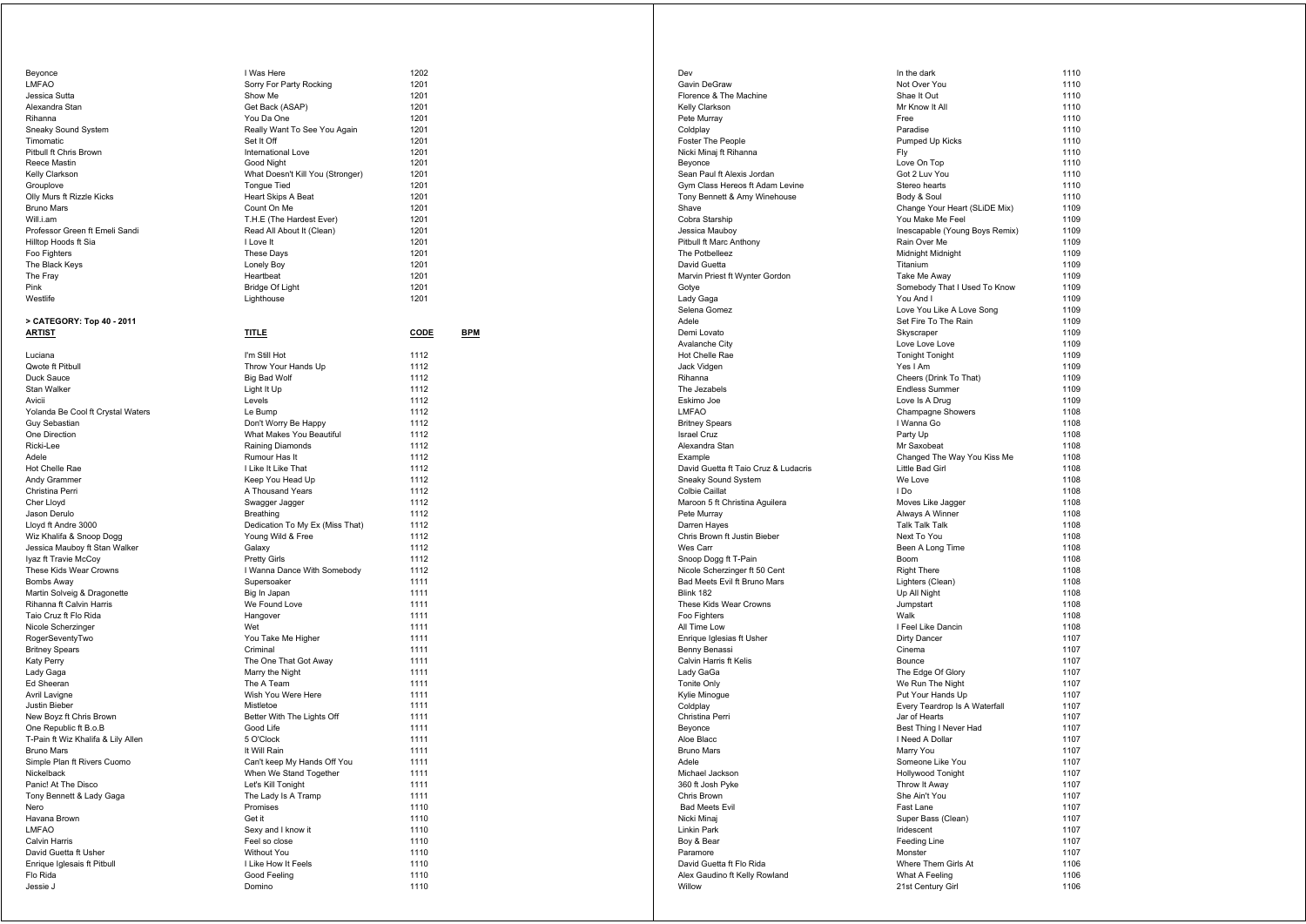| Beyonce                                   | I Was Here                                  | 1202         |            |
|-------------------------------------------|---------------------------------------------|--------------|------------|
| <b>LMFAO</b>                              | Sorry For Party Rocking                     | 1201         |            |
| Jessica Sutta                             | Show Me                                     | 1201         |            |
| Alexandra Stan                            | Get Back (ASAP)                             | 1201         |            |
| Rihanna                                   | You Da One                                  | 1201         |            |
| Sneaky Sound System                       | Really Want To See You Again                | 1201         |            |
| Timomatic                                 | Set It Off                                  | 1201         |            |
| Pitbull ft Chris Brown                    | International Love                          | 1201         |            |
| Reece Mastin                              | Good Night                                  | 1201         |            |
| Kelly Clarkson                            | What Doesn't Kill You (Stronger)            | 1201         |            |
| Grouplove                                 | <b>Tongue Tied</b>                          | 1201         |            |
| Olly Murs ft Rizzle Kicks                 | <b>Heart Skips A Beat</b>                   | 1201         |            |
| <b>Bruno Mars</b>                         | Count On Me                                 | 1201         |            |
| Will.i.am                                 | T.H.E (The Hardest Ever)                    | 1201         |            |
| Professor Green ft Emeli Sandi            | Read All About It (Clean)                   | 1201         |            |
| Hilltop Hoods ft Sia                      | I Love It                                   | 1201         |            |
| Foo Fighters                              | <b>These Days</b>                           | 1201         |            |
| The Black Keys                            | Lonely Boy                                  | 1201         |            |
| The Fray                                  | Heartbeat                                   | 1201         |            |
| Pink                                      | Bridge Of Light                             | 1201         |            |
| Westlife                                  | Lighthouse                                  | 1201         |            |
|                                           |                                             |              |            |
| > CATEGORY: Top 40 - 2011                 |                                             |              |            |
| <b>ARTIST</b>                             | <b>TITLE</b>                                | CODE         | <b>BPM</b> |
| Luciana                                   |                                             | 1112         |            |
|                                           | I'm Still Hot                               | 1112         |            |
| Qwote ft Pitbull                          | Throw Your Hands Up                         |              |            |
| Duck Sauce                                | Big Bad Wolf                                | 1112         |            |
| Stan Walker                               | Light It Up                                 | 1112         |            |
| Avicii                                    | Levels                                      | 1112         |            |
| Yolanda Be Cool ft Crystal Waters         | Le Bump                                     | 1112<br>1112 |            |
| Guy Sebastian                             | Don't Worry Be Happy                        | 1112         |            |
| One Direction                             | What Makes You Beautiful                    |              |            |
| Ricki-Lee<br>Adele                        | Raining Diamonds                            | 1112         |            |
|                                           | Rumour Has It                               | 1112<br>1112 |            |
| Hot Chelle Rae                            | I Like It Like That                         |              |            |
| Andy Grammer                              | Keep You Head Up                            | 1112         |            |
| Christina Perri                           | A Thousand Years                            | 1112         |            |
| Cher Lloyd                                | Swagger Jagger                              | 1112         |            |
| Jason Derulo                              | Breathing                                   | 1112         |            |
| Lloyd ft Andre 3000                       | Dedication To My Ex (Miss That)             | 1112         |            |
| Wiz Khalifa & Snoop Dogg                  | Young Wild & Free                           | 1112         |            |
| Jessica Mauboy ft Stan Walker             | Galaxy                                      | 1112         |            |
| Iyaz ft Travie McCoy                      | <b>Pretty Girls</b>                         | 1112         |            |
| These Kids Wear Crowns                    | I Wanna Dance With Somebody                 | 1112         |            |
| Bombs Away                                | Supersoaker                                 | 1111<br>1111 |            |
| Martin Solveig & Dragonette               | Big In Japan                                |              |            |
| Rihanna ft Calvin Harris                  | We Found Love                               | 1111         |            |
| Taio Cruz ft Flo Rida                     | Hangover                                    | 1111         |            |
| Nicole Scherzinger                        | Wet                                         | 1111         |            |
| RogerSeventyTwo                           | You Take Me Higher                          | 1111         |            |
| <b>Britney Spears</b>                     | Criminal                                    | 1111<br>1111 |            |
| <b>Katy Perry</b>                         | The One That Got Away                       | 1111         |            |
| Lady Gaga                                 | Marry the Night<br>The A Team               | 1111         |            |
| Ed Sheeran<br>Avril Lavigne               | Wish You Were Here                          | 1111         |            |
|                                           |                                             | 1111         |            |
| Justin Bieber                             | Mistletoe<br>Better With The Lights Off     |              |            |
| New Boyz ft Chris Brown                   |                                             | 1111<br>1111 |            |
| One Republic ft B.o.B                     | Good Life                                   | 1111         |            |
| T-Pain ft Wiz Khalifa & Lily Allen        | 5 O'Clock                                   | 1111         |            |
| Bruno Mars                                | It Will Rain<br>Can't keep My Hands Off You |              |            |
| Simple Plan ft Rivers Cuomo<br>Nickelback |                                             | 1111<br>1111 |            |
| Panic! At The Disco                       | When We Stand Together                      |              |            |
|                                           | Let's Kill Tonight                          | 1111         |            |
| Tony Bennett & Lady Gaga                  | The Lady Is A Tramp                         | 1111         |            |
| Nero<br>Havana Brown                      | Promises<br>Get it                          | 1110         |            |
| LMFAO                                     |                                             | 1110         |            |
| Calvin Harris                             | Sexy and I know it<br>Feel so close         | 1110         |            |
| David Guetta ft Usher                     | Without You                                 | 1110<br>1110 |            |
| Enrique Iglesais ft Pitbull               |                                             | 1110         |            |
| Flo Rida                                  | I Like How It Feels<br>Good Feeling         |              |            |
| Jessie J                                  | Domino                                      | 1110<br>1110 |            |
|                                           |                                             |              |            |

| Dev                                  | In the dark                    | 1110 |
|--------------------------------------|--------------------------------|------|
| Gavin DeGraw                         | Not Over You                   | 1110 |
|                                      | Shae It Out                    | 1110 |
| Florence & The Machine               |                                |      |
| Kelly Clarkson                       | Mr Know It All                 | 1110 |
| Pete Murray                          | Free                           | 1110 |
| Coldplay                             | Paradise                       | 1110 |
| <b>Foster The People</b>             | Pumped Up Kicks                | 1110 |
| Nicki Minaj ft Rihanna               | Fly                            | 1110 |
| Beyonce                              | Love On Top                    | 1110 |
| Sean Paul ft Alexis Jordan           | Got 2 Luv You                  | 1110 |
| Gym Class Hereos ft Adam Levine      | Stereo hearts                  | 1110 |
| Tony Bennett & Amy Winehouse         | Body & Soul                    | 1110 |
| Shave                                | Change Your Heart (SLiDE Mix)  | 1109 |
| Cobra Starship                       | You Make Me Feel               | 1109 |
| Jessica Mauboy                       | Inescapable (Young Boys Remix) | 1109 |
| Pitbull ft Marc Anthony              | Rain Over Me                   | 1109 |
| The Potbelleez                       | Midnight Midnight              | 1109 |
| David Guetta                         | Titanium                       | 1109 |
| Marvin Priest ft Wynter Gordon       | Take Me Away                   | 1109 |
| Gotye                                | Somebody That I Used To Know   | 1109 |
| Lady Gaga                            | You And I                      | 1109 |
| Selena Gomez                         | Love You Like A Love Song      | 1109 |
| Adele                                | Set Fire To The Rain           | 1109 |
|                                      |                                | 1109 |
| Demi Lovato                          | Skyscraper                     |      |
| Avalanche City                       | Love Love Love                 | 1109 |
| Hot Chelle Rae                       | <b>Tonight Tonight</b>         | 1109 |
| Jack Vidgen                          | Yes I Am                       | 1109 |
| Rihanna                              | Cheers (Drink To That)         | 1109 |
| The Jezabels                         | <b>Endless Summer</b>          | 1109 |
| Eskimo Joe                           | Love Is A Drug                 | 1109 |
| LMFAO                                | Champagne Showers              | 1108 |
| <b>Britney Spears</b>                | I Wanna Go                     | 1108 |
| <b>Israel Cruz</b>                   | Party Up                       | 1108 |
| Alexandra Stan                       | Mr Saxobeat                    | 1108 |
| Example                              | Changed The Way You Kiss Me    | 1108 |
| David Guetta ft Taio Cruz & Ludacris | Little Bad Girl                | 1108 |
| Sneaky Sound System                  | We Love                        | 1108 |
| Colbie Caillat                       | I Do                           | 1108 |
| Maroon 5 ft Christina Aguilera       | Moves Like Jagger              | 1108 |
| Pete Murray                          | Always A Winner                | 1108 |
| Darren Hayes                         | Talk Talk Talk                 | 1108 |
| Chris Brown ft Justin Bieber         | Next To You                    | 1108 |
| Wes Carr                             | Been A Long Time               | 1108 |
| Snoop Dogg ft T-Pain                 | Boom                           | 1108 |
|                                      |                                | 1108 |
| Nicole Scherzinger ft 50 Cent        | <b>Right There</b>             |      |
| Bad Meets Evil ft Bruno Mars         | Lighters (Clean)               | 1108 |
| Blink 182                            | Up All Night                   | 1108 |
| These Kids Wear Crowns               | Jumpstart                      | 1108 |
| Foo Fighters                         | Walk                           | 1108 |
| All Time Low                         | I Feel Like Dancin             | 1108 |
| Enrique Iglesias ft Usher            | Dirty Dancer                   | 1107 |
| Benny Benassi                        | Cinema                         | 1107 |
| Calvin Harris ft Kelis               | Bounce                         | 1107 |
| Lady GaGa                            | The Edge Of Glory              | 1107 |
| Tonite Only                          | We Run The Night               | 1107 |
| Kylie Minogue                        | Put Your Hands Up              | 1107 |
| Coldplay                             | Every Teardrop Is A Waterfall  | 1107 |
| Christina Perri                      | Jar of Hearts                  | 1107 |
| Beyonce                              | Best Thing I Never Had         | 1107 |
| Aloe Blacc                           | I Need A Dollar                | 1107 |
| Bruno Mars                           | Marry You                      | 1107 |
| Adele                                | Someone Like You               | 1107 |
| Michael Jackson                      | Hollywood Tonight              | 1107 |
|                                      |                                |      |
| 360 ft Josh Pyke                     | Throw It Away                  | 1107 |
| Chris Brown                          | She Ain't You                  | 1107 |
| <b>Bad Meets Evil</b>                | Fast Lane                      | 1107 |
| Nicki Minaj                          | Super Bass (Clean)             | 1107 |
| Linkin Park                          | Iridescent                     | 1107 |
| Boy & Bear                           | Feeding Line                   | 1107 |
| Paramore                             | Monster                        | 1107 |
| David Guetta ft Flo Rida             | Where Them Girls At            | 1106 |
| Alex Gaudino ft Kelly Rowland        | What A Feeling                 | 1106 |
| Willow                               | 21st Century Girl              | 1106 |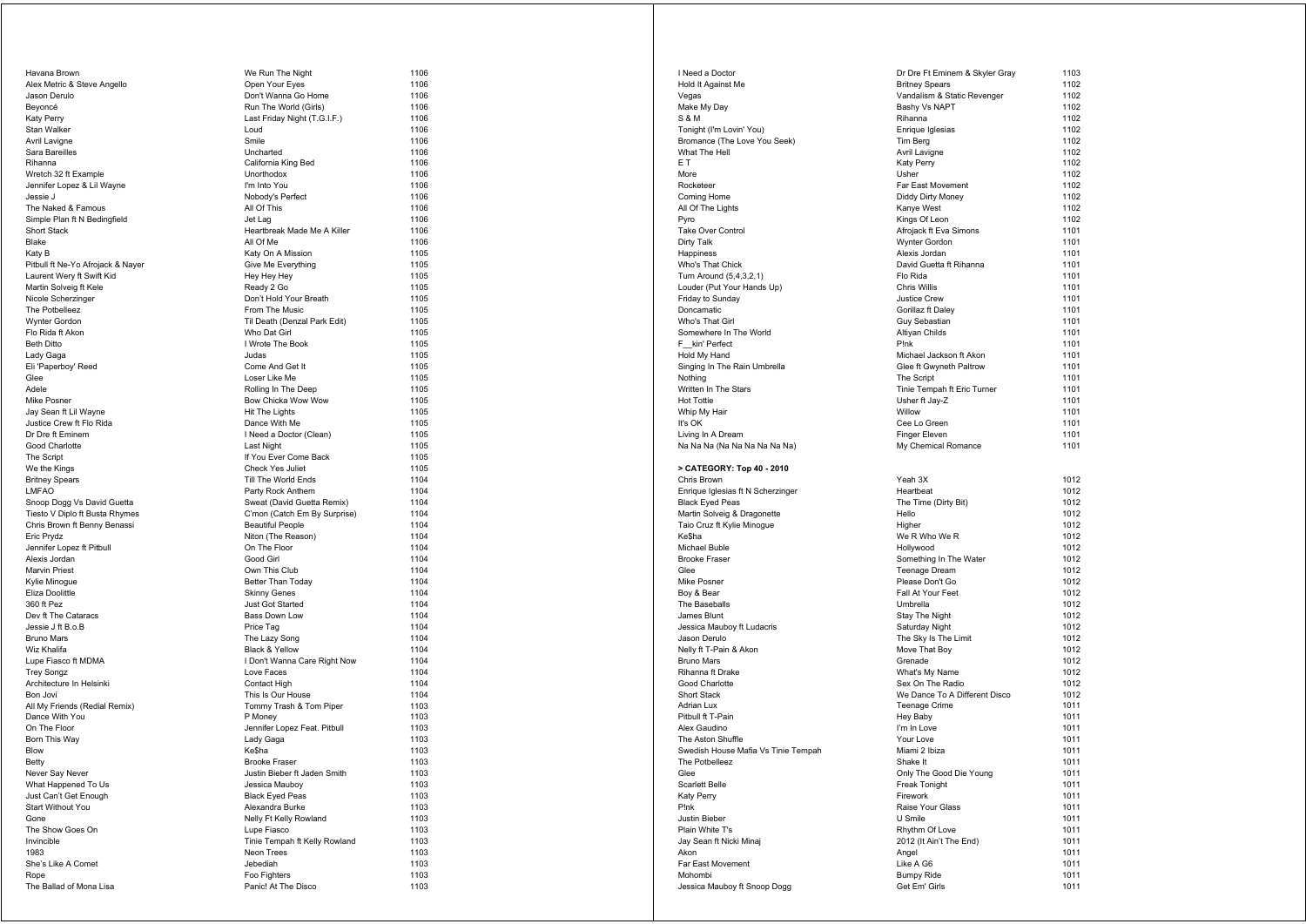| Havana Brown                      |
|-----------------------------------|
| Alex Metric & Steve Angello       |
| Jason Derulo                      |
| Beyoncé                           |
| Katy Perry                        |
| Stan Walker                       |
| Avril Lavigne                     |
| Sara Bareilles                    |
| Rihanna                           |
| Wretch 32 ft Example              |
| Jennifer Lopez & Lil Wayne        |
| Jessie J                          |
| The Naked & Famous                |
| Simple Plan ft N Bedingfield      |
| <b>Short Stack</b>                |
| Blake                             |
| Katy B                            |
| Pitbull ft Ne-Yo Afrojack & Nayer |
| Laurent Wery ft Swift Kid         |
| Martin Solveig ft Kele            |
| Nicole Scherzinger                |
| The Potbelleez                    |
| Wynter Gordon                     |
| Flo Rida ft Akon                  |
| Beth Ditto                        |
| Lady Gaga                         |
| Eli 'Paperboy' Reed               |
| Glee                              |
| Adele                             |
| Mike Posner                       |
| Jay Sean ft Lil Wayne             |
| Justice Crew ft Flo Rida          |
| Dr Dre ft Eminem                  |
| Good Charlotte                    |
| The Script                        |
| We the Kings                      |
| <b>Britney Spears</b>             |
| LMFAO                             |
| Snoop Dogg Vs David Guetta        |
| Tiesto V Diplo ft Busta Rhymes    |
| Chris Brown ft Benny Benassi      |
| Eric Prydz                        |
| Jennifer Lopez ft Pitbull         |
| Alexis Jordan                     |
| Marvin Priest                     |
| Kylie Minogue                     |
| Eliza Doolittle                   |
| 360 ft Pez                        |
| Dev ft The Cataracs               |
| Jessie J ft B.o.B                 |
| Bruno Mars                        |
| Wiz Khalifa                       |
| Lupe Fiasco ft MDMA               |
| Trey Songz                        |
| Architecture In Helsinki          |
| Bon Jovi                          |
| All My Friends (Redial Remix)     |
| Dance With You                    |
| On The Floor                      |
| Born This Way                     |
| Blow                              |
| Betty                             |
| Never Say Never                   |
| What Happened To Us               |
| Just Can't Get Enough             |
| <b>Start Without You</b>          |
| Gone                              |
| The Show Goes On                  |
| Invincible                        |
|                                   |
|                                   |
| 1983                              |
| She's Like A Comet<br>Rope        |

| Havana Brown                      | We Run The Night              | 1106 |
|-----------------------------------|-------------------------------|------|
| Alex Metric & Steve Angello       | Open Your Eyes                | 1106 |
| Jason Derulo                      | Don't Wanna Go Home           | 1106 |
| Beyoncé                           | Run The World (Girls)         | 1106 |
| Katy Perry                        | Last Friday Night (T.G.I.F.)  | 1106 |
| Stan Walker                       | Loud                          | 1106 |
| Avril Lavigne                     | Smile                         | 1106 |
| Sara Bareilles                    | Uncharted                     | 1106 |
| Rihanna                           | California King Bed           | 1106 |
| Wretch 32 ft Example              | Unorthodox                    | 1106 |
| Jennifer Lopez & Lil Wayne        | I'm Into You                  | 1106 |
| Jessie J                          | Nobody's Perfect              | 1106 |
| The Naked & Famous                | All Of This                   | 1106 |
| Simple Plan ft N Bedingfield      | Jet Lag                       | 1106 |
| <b>Short Stack</b>                | Heartbreak Made Me A Killer   | 1106 |
| Blake                             | All Of Me                     | 1106 |
| Katy B                            | Katy On A Mission             | 1105 |
| Pitbull ft Ne-Yo Afrojack & Nayer | Give Me Everything            | 1105 |
| Laurent Wery ft Swift Kid         | Hey Hey Hey                   | 1105 |
| Martin Solveig ft Kele            | Ready 2 Go                    | 1105 |
| Nicole Scherzinger                | Don't Hold Your Breath        | 1105 |
| The Potbelleez                    | From The Music                | 1105 |
| Wynter Gordon                     | Til Death (Denzal Park Edit)  | 1105 |
| Flo Rida ft Akon                  | Who Dat Girl                  | 1105 |
| <b>Beth Ditto</b>                 | I Wrote The Book              | 1105 |
| Lady Gaga                         | Judas                         | 1105 |
| Eli 'Paperboy' Reed               | Come And Get It               | 1105 |
| Glee                              | Loser Like Me                 | 1105 |
| Adele                             | Rolling In The Deep           | 1105 |
| Mike Posner                       | Bow Chicka Wow Wow            | 1105 |
| Jay Sean ft Lil Wayne             | Hit The Lights                | 1105 |
| Justice Crew ft Flo Rida          | Dance With Me                 | 1105 |
| Dr Dre ft Eminem                  | I Need a Doctor (Clean)       | 1105 |
| Good Charlotte                    | <b>Last Night</b>             | 1105 |
| The Script                        | If You Ever Come Back         | 1105 |
| We the Kings                      | <b>Check Yes Juliet</b>       | 1105 |
| <b>Britney Spears</b>             | Till The World Ends           | 1104 |
| LMFAO                             | Party Rock Anthem             | 1104 |
| Snoop Dogg Vs David Guetta        | Sweat (David Guetta Remix)    | 1104 |
| Tiesto V Diplo ft Busta Rhymes    | C'mon (Catch Em By Surprise)  | 1104 |
| Chris Brown ft Benny Benassi      | <b>Beautiful People</b>       | 1104 |
| Eric Prydz                        | Niton (The Reason)            | 1104 |
| Jennifer Lopez ft Pitbull         | On The Floor                  | 1104 |
| Alexis Jordan                     | Good Girl                     | 1104 |
| Marvin Priest                     | Own This Club                 | 1104 |
| Kylie Minogue                     | Better Than Today             | 1104 |
| Eliza Doolittle                   | <b>Skinny Genes</b>           | 1104 |
| 360 ft Pez                        | Just Got Started              | 1104 |
| Dev ft The Cataracs               | Bass Down Low                 | 1104 |
| Jessie J ft B.o.B                 | Price Tag                     | 1104 |
| <b>Bruno Mars</b>                 | The Lazy Song                 | 1104 |
| Wiz Khalifa                       | Black & Yellow                | 1104 |
| Lupe Fiasco ft MDMA               | I Don't Wanna Care Right Now  | 1104 |
| Trey Songz                        | Love Faces                    | 1104 |
| Architecture In Helsinki          | Contact High                  | 1104 |
| Bon Jovi                          | This Is Our House             | 1104 |
| All My Friends (Redial Remix)     | Tommy Trash & Tom Piper       | 1103 |
| Dance With You                    | P Money                       | 1103 |
| On The Floor                      | Jennifer Lopez Feat. Pitbull  | 1103 |
| Born This Way                     | Lady Gaga                     | 1103 |
| Blow                              | Ke\$ha                        | 1103 |
| Betty                             | <b>Brooke Fraser</b>          | 1103 |
| Never Say Never                   | Justin Bieber ft Jaden Smith  | 1103 |
| What Happened To Us               | Jessica Mauboy                | 1103 |
| Just Can't Get Enough             | <b>Black Eyed Peas</b>        | 1103 |
| Start Without You                 | Alexandra Burke               | 1103 |
| Gone                              | Nelly Ft Kelly Rowland        | 1103 |
| The Show Goes On                  | Lupe Fiasco                   | 1103 |
| Invincible                        | Tinie Tempah ft Kelly Rowland | 1103 |
| 1983                              | Neon Trees                    | 1103 |
| She's Like A Comet                | Jebediah                      | 1103 |
| Rope                              | Foo Fighters                  | 1103 |
| The Ballad of Mona Lisa           | Panic! At The Disco           | 1103 |

| I Need a Doctor                     | Dr Dre Ft Eminem & Skyler Gray | 1103 |
|-------------------------------------|--------------------------------|------|
| Hold It Against Me                  | <b>Britney Spears</b>          | 1102 |
| Vegas                               | Vandalism & Static Revenger    | 1102 |
| Make My Day                         | Bashy Vs NAPT                  | 1102 |
| S & M                               | Rihanna                        | 1102 |
| Tonight (I'm Lovin' You)            | Enrique Iglesias               | 1102 |
| Bromance (The Love You Seek)        | Tim Berg                       | 1102 |
| What The Hell                       | Avril Lavigne                  | 1102 |
| E T                                 | Katy Perry                     | 1102 |
| More                                | Usher                          | 1102 |
| Rocketeer                           | Far East Movement              | 1102 |
| Coming Home                         | Diddy Dirty Money              | 1102 |
| All Of The Lights                   | Kanye West                     | 1102 |
|                                     | Kings Of Leon                  | 1102 |
| Pyro                                |                                |      |
| Take Over Control                   | Afrojack ft Eva Simons         | 1101 |
| Dirty Talk                          | Wynter Gordon                  | 1101 |
| Happiness                           | Alexis Jordan                  | 1101 |
| Who's That Chick                    | David Guetta ft Rihanna        | 1101 |
| Turn Around (5,4,3,2,1)             | Flo Rida                       | 1101 |
| Louder (Put Your Hands Up)          | <b>Chris Willis</b>            | 1101 |
| Friday to Sunday                    | <b>Justice Crew</b>            | 1101 |
| Doncamatic                          | Gorillaz ft Daley              | 1101 |
| Who's That Girl                     | Guy Sebastian                  | 1101 |
| Somewhere In The World              | Altiyan Childs                 | 1101 |
| F kin' Perfect                      | P!nk                           | 1101 |
|                                     |                                |      |
| Hold My Hand                        | Michael Jackson ft Akon        | 1101 |
| Singing In The Rain Umbrella        | Glee ft Gwyneth Paltrow        | 1101 |
| Nothing                             | The Script                     | 1101 |
| Written In The Stars                | Tinie Tempah ft Eric Turner    | 1101 |
| <b>Hot Tottie</b>                   | Usher ft Jay-Z                 | 1101 |
| Whip My Hair                        | Willow                         | 1101 |
| It's OK                             | Cee Lo Green                   | 1101 |
| Living In A Dream                   | Finger Eleven                  | 1101 |
| Na Na Na (Na Na Na Na Na Na)        | My Chemical Romance            | 1101 |
|                                     |                                |      |
| > CATEGORY: Top 40 - 2010           |                                |      |
| Chris Brown                         | Yeah 3X                        | 1012 |
|                                     |                                | 1012 |
| Enrique Iglesias ft N Scherzinger   | Heartbeat                      |      |
| <b>Black Eyed Peas</b>              | The Time (Dirty Bit)           | 1012 |
| Martin Solveig & Dragonette         | Hello                          | 1012 |
| Taio Cruz ft Kylie Minogue          | Higher                         | 1012 |
| Ke\$ha                              | We R Who We R                  | 1012 |
| Michael Buble                       | Hollywood                      | 1012 |
| <b>Brooke Fraser</b>                | Something In The Water         | 1012 |
| Glee                                | <b>Teenage Dream</b>           | 1012 |
| Mike Posner                         | Please Don't Go                | 1012 |
| Boy & Bear                          | Fall At Your Feet              | 1012 |
| The Baseballs                       | Umbrella                       | 1012 |
| James Blunt                         | Stay The Night                 | 1012 |
| Jessica Mauboy ft Ludacris          | Saturday Night                 | 1012 |
|                                     |                                | 1012 |
| Jason Derulo                        | The Sky Is The Limit           |      |
| Nelly ft T-Pain & Akon              | Move That Boy                  | 1012 |
| <b>Bruno Mars</b>                   | Grenade                        | 1012 |
| Rihanna ft Drake                    | What's My Name                 | 1012 |
| Good Charlotte                      | Sex On The Radio               | 1012 |
| Short Stack                         | We Dance To A Different Disco  | 1012 |
| <b>Adrian Lux</b>                   | Teenage Crime                  | 1011 |
| Pitbull ft T-Pain                   | Hey Baby                       | 1011 |
| Alex Gaudino                        | I'm In Love                    | 1011 |
| The Aston Shuffle                   | Your Love                      | 1011 |
| Swedish House Mafia Vs Tinie Tempah | Miami 2 Ibiza                  | 1011 |
| The Potbelleez                      | Shake It                       | 1011 |
| Glee                                | Only The Good Die Young        |      |
|                                     |                                | 1011 |
| Scarlett Belle                      | Freak Tonight                  | 1011 |
| Katy Perry                          | Firework                       | 1011 |
| P!nk                                | Raise Your Glass               | 1011 |
| Justin Bieber                       | U Smile                        | 1011 |
| Plain White T's                     | Rhythm Of Love                 | 1011 |
| Jay Sean ft Nicki Minaj             | 2012 (It Ain't The End)        | 1011 |
| Akon                                | Angel                          | 1011 |
| Far East Movement                   | Like A G6                      | 1011 |
| Mohombi                             | <b>Bumpy Ride</b>              | 1011 |
| Jessica Mauboy ft Snoop Dogg        | Get Em' Girls                  | 1011 |
|                                     |                                |      |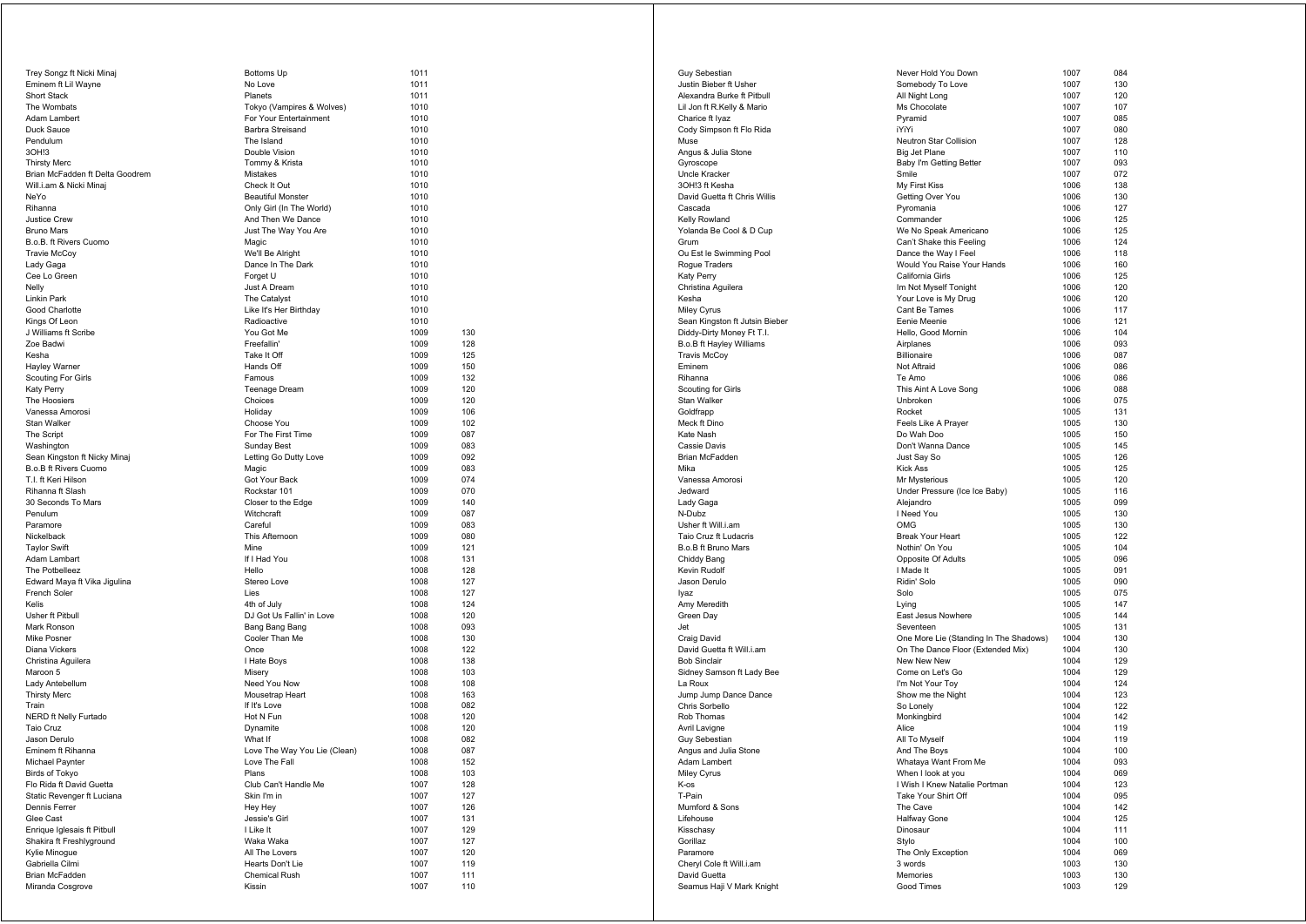| Trey Songz ft Nicki Minaj       | Bottoms Up                   | 1011 |     |
|---------------------------------|------------------------------|------|-----|
| Eminem ft Lil Wayne             | No Love                      | 1011 |     |
| Short Stack                     | Planets                      | 1011 |     |
| The Wombats                     | Tokyo (Vampires & Wolves)    | 1010 |     |
| Adam Lambert                    | For Your Entertainment       | 1010 |     |
| Duck Sauce                      | Barbra Streisand             | 1010 |     |
| Pendulum                        | The Island                   | 1010 |     |
| 30H!3                           | Double Vision                | 1010 |     |
| <b>Thirsty Merc</b>             | Tommy & Krista               | 1010 |     |
| Brian McFadden ft Delta Goodrem | Mistakes                     | 1010 |     |
| Will.i.am & Nicki Minaj         | Check It Out                 | 1010 |     |
| NeYo                            | <b>Beautiful Monster</b>     | 1010 |     |
| Rihanna                         | Only Girl (In The World)     | 1010 |     |
| <b>Justice Crew</b>             | And Then We Dance            | 1010 |     |
| <b>Bruno Mars</b>               | Just The Way You Are         | 1010 |     |
| B.o.B. ft Rivers Cuomo          | Magic                        | 1010 |     |
| <b>Travie McCoy</b>             | We'll Be Alright             | 1010 |     |
| Lady Gaga                       | Dance In The Dark            | 1010 |     |
| Cee Lo Green                    | Forget U                     | 1010 |     |
| Nelly                           | Just A Dream                 | 1010 |     |
| Linkin Park                     | The Catalyst                 | 1010 |     |
| Good Charlotte                  | Like It's Her Birthday       | 1010 |     |
| Kings Of Leon                   | Radioactive                  | 1010 |     |
| J Williams ft Scribe            | You Got Me                   | 1009 | 130 |
| Zoe Badwi                       | Freefallin'                  | 1009 | 128 |
| Kesha                           | Take It Off                  | 1009 | 125 |
| Hayley Warner                   | Hands Off                    | 1009 | 150 |
| Scouting For Girls              | Famous                       | 1009 | 132 |
| Katy Perry                      | <b>Teenage Dream</b>         | 1009 | 120 |
| The Hoosiers                    | Choices                      | 1009 | 120 |
| Vanessa Amorosi                 | Holiday                      | 1009 | 106 |
| Stan Walker                     | Choose You                   | 1009 | 102 |
| The Script                      | For The First Time           | 1009 | 087 |
| Washington                      | Sunday Best                  | 1009 | 083 |
| Sean Kingston ft Nicky Minaj    | Letting Go Dutty Love        | 1009 | 092 |
| B.o.B ft Rivers Cuomo           | Magic                        | 1009 | 083 |
| T.I. ft Keri Hilson             | Got Your Back                | 1009 | 074 |
| Rihanna ft Slash                | Rockstar 101                 | 1009 | 070 |
| 30 Seconds To Mars              | Closer to the Edge           | 1009 | 140 |
| Penulum                         | Witchcraft                   | 1009 | 087 |
| Paramore                        | Careful                      | 1009 | 083 |
| Nickelback                      | This Afternoon               | 1009 | 080 |
| <b>Taylor Swift</b>             | <b>Mine</b>                  | 1009 | 121 |
| Adam Lambart                    | If I Had You                 | 1008 | 131 |
| The Potbelleez                  | Hello                        | 1008 | 128 |
| Edward Maya ft Vika Jigulina    | Stereo Love                  | 1008 | 127 |
| French Soler                    | Lies                         | 1008 | 127 |
| Kelis                           | 4th of July                  | 1008 | 124 |
| Usher ft Pitbull                | DJ Got Us Fallin' in Love    | 1008 | 120 |
| Mark Ronson                     | Bang Bang Bang               | 1008 | 093 |
| Mike Posner                     | Cooler Than Me               | 1008 | 130 |
| Diana Vickers                   | Once                         | 1008 | 122 |
| Christina Aguilera              | I Hate Boys                  | 1008 | 138 |
| Maroon 5                        | Misery                       | 1008 | 103 |
| Lady Antebellum                 | Need You Now                 | 1008 | 108 |
| <b>Thirsty Merc</b>             | Mousetrap Heart              | 1008 | 163 |
| Train                           | If It's Love                 | 1008 | 082 |
| <b>NERD ft Nelly Furtado</b>    | Hot N Fun                    | 1008 | 120 |
| Taio Cruz                       | Dynamite                     | 1008 | 120 |
| Jason Derulo                    | What If                      | 1008 | 082 |
| Eminem ft Rihanna               | Love The Way You Lie (Clean) | 1008 | 087 |
| Michael Paynter                 | Love The Fall                | 1008 | 152 |
| Birds of Tokyo                  | Plans                        | 1008 | 103 |
| Flo Rida ft David Guetta        | Club Can't Handle Me         | 1007 | 128 |
| Static Revenger ft Luciana      | Skin I'm in                  | 1007 | 127 |
| Dennis Ferrer                   | Hey Hey                      | 1007 | 126 |
| Glee Cast                       | Jessie's Girl                | 1007 | 131 |
| Enrique Iglesais ft Pitbull     | I Like It                    | 1007 | 129 |
| Shakira ft Freshlyground        | Waka Waka                    | 1007 | 127 |
| Kylie Minogue                   | All The Lovers               | 1007 | 120 |
| Gabriella Cilmi                 | Hearts Don't Lie             | 1007 | 119 |
| Brian McFadden                  | Chemical Rush                | 1007 | 111 |
| Miranda Cosgrove                | Kissin                       | 1007 | 110 |

|                   | 1011 |     |
|-------------------|------|-----|
|                   | 1011 |     |
|                   |      |     |
|                   | 1011 |     |
| ires & Wolves)    | 1010 |     |
| rtainment         | 1010 |     |
| and               | 1010 |     |
|                   |      |     |
|                   | 1010 |     |
|                   | 1010 |     |
| sta               | 1010 |     |
|                   | 1010 |     |
|                   |      |     |
|                   | 1010 |     |
| ster              | 1010 |     |
| he World)         | 1010 |     |
| Dance             | 1010 |     |
|                   |      |     |
| You Are           | 1010 |     |
|                   | 1010 |     |
| ٦t                | 1010 |     |
| Dark              | 1010 |     |
|                   |      |     |
|                   | 1010 |     |
|                   | 1010 |     |
|                   | 1010 |     |
| irthday           | 1010 |     |
|                   |      |     |
|                   | 1010 |     |
|                   | 1009 | 130 |
|                   | 1009 | 128 |
|                   | 1009 | 125 |
|                   |      |     |
|                   | 1009 | 150 |
|                   | 1009 | 132 |
| aт                | 1009 | 120 |
|                   | 1009 | 120 |
|                   |      |     |
|                   | 1009 | 106 |
|                   | 1009 | 102 |
| Time              | 1009 | 087 |
|                   |      |     |
|                   | 1009 | 083 |
| tty Love          | 1009 | 092 |
|                   | 1009 | 083 |
| k                 | 1009 | 074 |
|                   |      |     |
|                   | 1009 | 070 |
| Edge              | 1009 | 140 |
|                   | 1009 | 087 |
|                   | 1009 | 083 |
|                   |      |     |
| n                 | 1009 | 080 |
|                   | 1009 | 121 |
|                   | 1008 | 131 |
|                   | 1008 | 128 |
|                   |      |     |
|                   | 1008 | 127 |
|                   | 1008 | 127 |
|                   | 1008 | 124 |
| llin' in Love     | 1008 | 120 |
|                   |      |     |
| ang               | 1008 | 093 |
| Иe                | 1008 | 130 |
|                   | 1008 | 122 |
|                   | 1008 | 138 |
|                   |      |     |
|                   | 1008 | 103 |
| W                 | 1008 | 108 |
| art:              | 1008 | 163 |
|                   | 1008 | 082 |
|                   | 1008 |     |
|                   |      | 120 |
|                   | 1008 | 120 |
|                   | 1008 | 082 |
| y You Lie (Clean) | 1008 | 087 |
|                   |      |     |
|                   | 1008 | 152 |
|                   | 1008 | 103 |
| ndle Me           | 1007 | 128 |
|                   | 1007 | 127 |
|                   |      |     |
|                   | 1007 | 126 |
|                   | 1007 | 131 |
|                   | 1007 | 129 |
|                   | 1007 | 127 |
|                   |      |     |
| s                 | 1007 | 120 |
| <sub>-</sub> ie   | 1007 | 119 |
| ۱'n               | 1007 | 111 |
|                   | 1007 | 110 |

| Guy Sebestian                             |
|-------------------------------------------|
|                                           |
| Justin Bieber ft Usher                    |
| Alexandra Burke ft Pitbull                |
|                                           |
| Lil Jon ft R.Kelly & Mario                |
| Charice ft Iyaz                           |
| Cody Simpson ft Flo Rida                  |
|                                           |
| Muse                                      |
| Angus & Julia Stone                       |
| Gyroscope                                 |
|                                           |
| Uncle Kracker                             |
| 3OH!3 ft Kesha                            |
| David Guetta ft Chris Willis              |
|                                           |
| Cascada                                   |
| Kelly Rowland                             |
| Yolanda Be Cool & D Cup                   |
| Grum                                      |
|                                           |
| Ou Est le Swimming Pool                   |
| Rogue Traders                             |
|                                           |
| Katy Perry                                |
| Christina Aguilera                        |
| Kesha                                     |
| Miley Cyrus                               |
|                                           |
| Sean Kingston ft Jutsin Bieber            |
| Diddy-Dirty Money Ft T.I.                 |
| B.o.B ft Hayley Williams                  |
|                                           |
| <b>Travis McCoy</b>                       |
| Eminem                                    |
| Rihanna                                   |
|                                           |
| Scouting for Girls                        |
| Stan Walker                               |
| Goldfrapp                                 |
|                                           |
| Meck ft Dino                              |
| Kate Nash                                 |
| Cassie Davis                              |
|                                           |
| Brian McFadden                            |
| Mika                                      |
| Vanessa Amorosi                           |
|                                           |
| Jedward                                   |
| Lady Gaga                                 |
| N-Dubz                                    |
| Usher ft Will.i.am                        |
|                                           |
| Taio Cruz ft Ludacris                     |
| B.o.B ft Bruno Mars                       |
| Chiddy Bang                               |
|                                           |
| Kevin Rudolf                              |
| Jason Derulo                              |
| Iyaz                                      |
|                                           |
|                                           |
| Amy Meredith                              |
|                                           |
| Green Day                                 |
| Jet                                       |
| Craig David                               |
| David Guetta ft Will.i.am                 |
|                                           |
| <b>Bob Sinclair</b>                       |
| Sidney Samson ft Lady Bee                 |
| La Roux                                   |
|                                           |
| Jump Jump Dance Dance                     |
| Chris Sorbello                            |
| Rob Thomas                                |
|                                           |
| Avril Lavigne                             |
| Guy Sebestian                             |
| Angus and Julia Stone                     |
|                                           |
| Adam Lambert                              |
| Miley Cyrus                               |
| K-os                                      |
| T-Pain                                    |
|                                           |
| Mumford & Sons                            |
| Lifehouse                                 |
| Kisschasy                                 |
|                                           |
| Gorillaz                                  |
| Paramore                                  |
| Cheryl Cole ft Will.i.am                  |
|                                           |
| David Guetta<br>Seamus Haji V Mark Knight |

| Guy Sebestian                                    | Never Hold You Down                                | 1007         | 084        |
|--------------------------------------------------|----------------------------------------------------|--------------|------------|
| Justin Bieber ft Usher                           | Somebody To Love                                   | 1007         | 130        |
| Alexandra Burke ft Pitbull                       | All Night Long                                     | 1007         | 120        |
| Lil Jon ft R.Kelly & Mario                       | Ms Chocolate                                       | 1007         | 107        |
| Charice ft Iyaz                                  | Pyramid<br>iYiYi                                   | 1007         | 085        |
| Cody Simpson ft Flo Rida<br>Muse                 | Neutron Star Collision                             | 1007<br>1007 | 080<br>128 |
| Angus & Julia Stone                              | Big Jet Plane                                      | 1007         | 110        |
| Gyroscope                                        | Baby I'm Getting Better                            | 1007         | 093        |
| Uncle Kracker                                    | Smile                                              | 1007         | 072        |
| 3OH!3 ft Kesha                                   | My First Kiss                                      | 1006         | 138        |
| David Guetta ft Chris Willis                     | Getting Over You                                   | 1006         | 130        |
| Cascada                                          | Pyromania                                          | 1006         | 127        |
| Kelly Rowland                                    | Commander                                          | 1006         | 125        |
| Yolanda Be Cool & D Cup                          | We No Speak Americano                              | 1006         | 125        |
| Grum                                             | Can't Shake this Feeling                           | 1006         | 124        |
| Ou Est le Swimming Pool<br>Rogue Traders         | Dance the Way I Feel<br>Would You Raise Your Hands | 1006<br>1006 | 118<br>160 |
| Katy Perry                                       | California Girls                                   | 1006         | 125        |
| Christina Aguilera                               | Im Not Myself Tonight                              | 1006         | 120        |
| Kesha                                            | Your Love is My Drug                               | 1006         | 120        |
| Miley Cyrus                                      | Cant Be Tames                                      | 1006         | 117        |
| Sean Kingston ft Jutsin Bieber                   | Eenie Meenie                                       | 1006         | 121        |
| Diddy-Dirty Money Ft T.I.                        | Hello, Good Mornin                                 | 1006         | 104        |
| B.o.B ft Hayley Williams                         | Airplanes                                          | 1006         | 093        |
| <b>Travis McCoy</b>                              | Billionaire                                        | 1006         | 087        |
| Eminem                                           | Not Aftraid                                        | 1006         | 086        |
| Rihanna                                          | Te Amo                                             | 1006         | 086        |
| Scouting for Girls<br>Stan Walker                | This Aint A Love Song<br>Unbroken                  | 1006<br>1006 | 088<br>075 |
| Goldfrapp                                        | Rocket                                             | 1005         | 131        |
| Meck ft Dino                                     | Feels Like A Prayer                                | 1005         | 130        |
| Kate Nash                                        | Do Wah Doo                                         | 1005         | 150        |
| Cassie Davis                                     | Don't Wanna Dance                                  | 1005         | 145        |
| Brian McFadden                                   | Just Say So                                        | 1005         | 126        |
| Mika                                             | <b>Kick Ass</b>                                    | 1005         | 125        |
| Vanessa Amorosi                                  | Mr Mysterious                                      | 1005         | 120        |
| Jedward                                          | Under Pressure (Ice Ice Baby)                      | 1005         | 116        |
| Lady Gaga                                        | Alejandro                                          | 1005         | 099        |
| N-Dubz                                           | I Need You                                         | 1005         | 130        |
| Usher ft Will.i.am<br>Taio Cruz ft Ludacris      | <b>OMG</b><br><b>Break Your Heart</b>              | 1005<br>1005 | 130<br>122 |
| B.o.B ft Bruno Mars                              | Nothin' On You                                     | 1005         | 104        |
| Chiddy Bang                                      | Opposite Of Adults                                 | 1005         | 096        |
| Kevin Rudolf                                     | I Made It                                          | 1005         | 091        |
| Jason Derulo                                     | Ridin' Solo                                        | 1005         | 090        |
| lyaz                                             | Solo                                               | 1005         | 075        |
| Amy Meredith                                     | Lying                                              | 1005         | 147        |
| Green Day                                        | East Jesus Nowhere                                 | 1005         | 144        |
| Jet                                              | Seventeen                                          | 1005         | 131        |
| Craig David                                      | One More Lie (Standing In The Shadows)             | 1004         | 130        |
| David Guetta ft Will.i.am                        | On The Dance Floor (Extended Mix)                  | 1004         | 130        |
| <b>Bob Sinclair</b><br>Sidney Samson ft Lady Bee | New New New<br>Come on Let's Go                    | 1004<br>1004 | 129<br>129 |
| La Roux                                          | I'm Not Your Toy                                   | 1004         | 124        |
| Jump Jump Dance Dance                            | Show me the Night                                  | 1004         | 123        |
| Chris Sorbello                                   | So Lonely                                          | 1004         | 122        |
| Rob Thomas                                       | Monkingbird                                        | 1004         | 142        |
| Avril Lavigne                                    | Alice                                              | 1004         | 119        |
| Guy Sebestian                                    | All To Myself                                      | 1004         | 119        |
| Angus and Julia Stone                            | And The Boys                                       | 1004         | 100        |
| Adam Lambert                                     | Whataya Want From Me                               | 1004         | 093        |
| Miley Cyrus                                      | When I look at you                                 | 1004         | 069        |
| K-os                                             | I Wish I Knew Natalie Portman                      | 1004         | 123        |
| T-Pain                                           | Take Your Shirt Off                                | 1004         | 095        |
| Mumford & Sons<br>Lifehouse                      | The Cave<br><b>Halfway Gone</b>                    | 1004<br>1004 | 142<br>125 |
| Kisschasy                                        | Dinosaur                                           | 1004         | 111        |
| Gorillaz                                         | Stylo                                              | 1004         | 100        |
| Paramore                                         | The Only Exception                                 | 1004         | 069        |
| Cheryl Cole ft Will.i.am                         | 3 words                                            | 1003         | 130        |
| David Guetta                                     | Memories                                           | 1003         | 130        |
| Seamus Haji V Mark Knight                        | Good Times                                         | 1003         | 129        |
|                                                  |                                                    |              |            |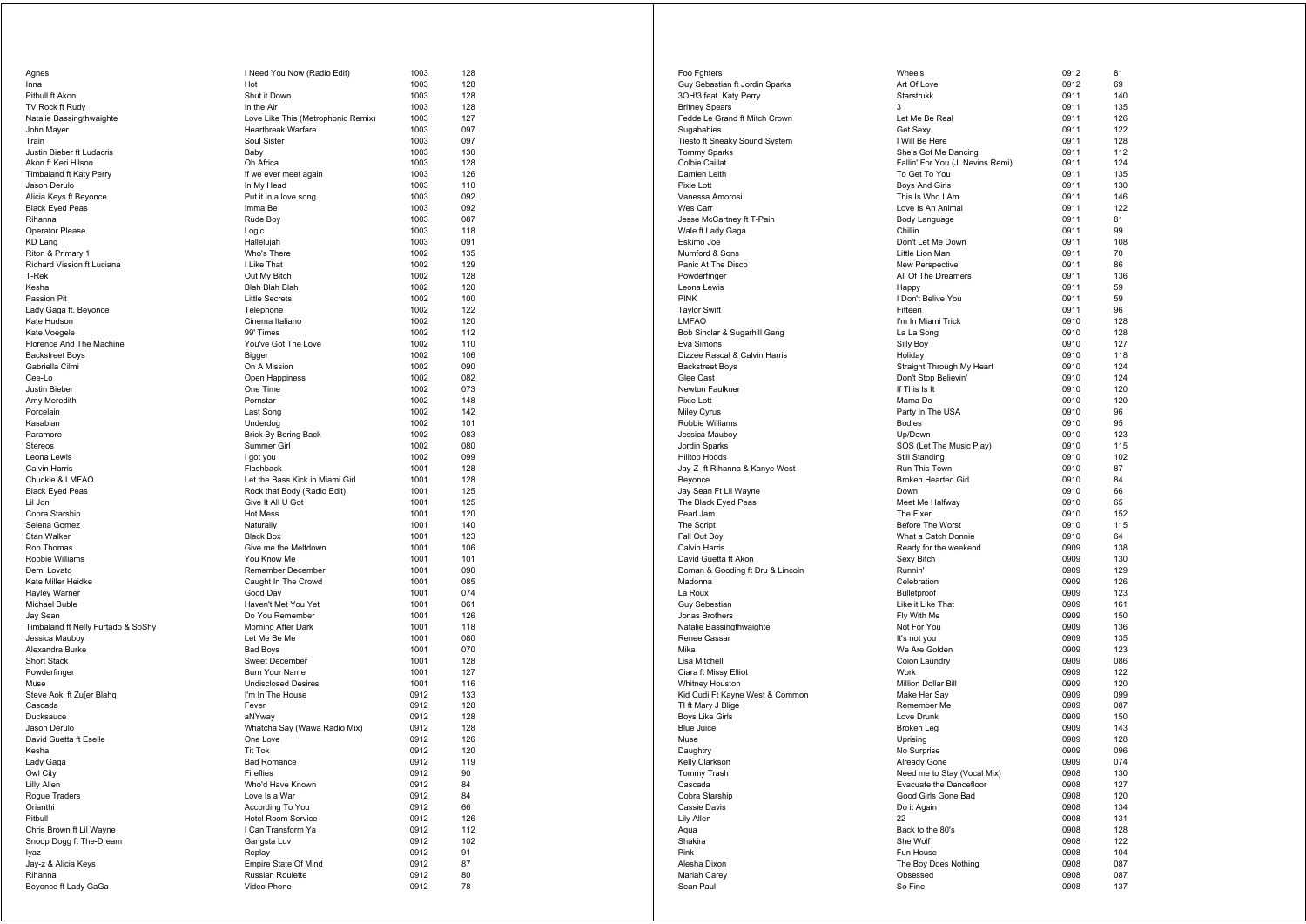| Agnes                                               | I Need You Now (Radio Edit)                      | 1003         | 128        |
|-----------------------------------------------------|--------------------------------------------------|--------------|------------|
| Inna                                                | Hot                                              | 1003         | 128        |
| Pitbull ft Akon                                     | Shut it Down                                     | 1003         | 128        |
| TV Rock ft Rudy                                     | In the Air                                       | 1003         | 128        |
| Natalie Bassingthwaighte                            | Love Like This (Metrophonic Remix)               | 1003<br>1003 | 127<br>097 |
| John Mayer<br>Train                                 | <b>Heartbreak Warfare</b><br>Soul Sister         | 1003         | 097        |
| Justin Bieber ft Ludacris                           | Baby                                             | 1003         | 130        |
| Akon ft Keri Hilson                                 | Oh Africa                                        | 1003         | 128        |
| Timbaland ft Katy Perry                             | If we ever meet again                            | 1003         | 126        |
| Jason Derulo                                        | In My Head                                       | 1003         | 110        |
| Alicia Keys ft Beyonce                              | Put it in a love song                            | 1003         | 092        |
| <b>Black Eyed Peas</b>                              | Imma Be                                          | 1003         | 092        |
| Rihanna                                             | Rude Boy                                         | 1003         | 087        |
| Operator Please                                     | Logic                                            | 1003         | 118        |
| KD Lang<br>Riton & Primary 1                        | Hallelujah<br>Who's There                        | 1003<br>1002 | 091<br>135 |
| Richard Vission ft Luciana                          | I Like That                                      | 1002         | 129        |
| T-Rek                                               | Out My Bitch                                     | 1002         | 128        |
| Kesha                                               | <b>Blah Blah Blah</b>                            | 1002         | 120        |
| Passion Pit                                         | <b>Little Secrets</b>                            | 1002         | 100        |
| Lady Gaga ft. Beyonce                               | Telephone                                        | 1002         | 122        |
| Kate Hudson                                         | Cinema Italiano                                  | 1002         | 120        |
| Kate Voegele                                        | 99' Times                                        | 1002         | 112        |
| Florence And The Machine                            | You've Got The Love                              | 1002         | 110        |
| <b>Backstreet Boys</b>                              | Bigger                                           | 1002         | 106        |
| Gabriella Cilmi<br>Cee-Lo                           | On A Mission<br>Open Happiness                   | 1002<br>1002 | 090<br>082 |
| Justin Bieber                                       | One Time                                         | 1002         | 073        |
| Amy Meredith                                        | Pornstar                                         | 1002         | 148        |
| Porcelain                                           | Last Song                                        | 1002         | 142        |
| Kasabian                                            | Underdog                                         | 1002         | 101        |
| Paramore                                            | <b>Brick By Boring Back</b>                      | 1002         | 083        |
| <b>Stereos</b>                                      | Summer Girl                                      | 1002         | 080        |
| Leona Lewis                                         | I got you                                        | 1002         | 099        |
| Calvin Harris                                       | Flashback                                        | 1001         | 128        |
| Chuckie & LMFAO                                     | Let the Bass Kick in Miami Girl                  | 1001         | 128        |
| <b>Black Eyed Peas</b>                              | Rock that Body (Radio Edit)<br>Give It All U Got | 1001<br>1001 | 125        |
| Lil Jon<br>Cobra Starship                           | <b>Hot Mess</b>                                  | 1001         | 125<br>120 |
| Selena Gomez                                        | Naturally                                        | 1001         | 140        |
| Stan Walker                                         | <b>Black Box</b>                                 | 1001         | 123        |
| Rob Thomas                                          | Give me the Meltdown                             | 1001         | 106        |
| Robbie Williams                                     | You Know Me                                      | 1001         | 101        |
| Demi Lovato                                         | Remember December                                | 1001         | 090        |
| Kate Miller Heidke                                  | Caught In The Crowd                              | 1001         | 085        |
| Hayley Warner                                       | Good Day                                         | 1001         | 074        |
| Michael Buble                                       | Haven't Met You Yet<br>Do You Remember           | 1001<br>1001 | 061<br>126 |
| Jay Sean<br>Timbaland ft Nelly Furtado & SoShy      | Morning After Dark                               | 1001         | 118        |
| Jessica Mauboy                                      | Let Me Be Me                                     | 1001         | 080        |
| Alexandra Burke                                     | <b>Bad Boys</b>                                  | 1001         | 070        |
| <b>Short Stack</b>                                  | <b>Sweet December</b>                            | 1001         | 128        |
| Powderfinger                                        | <b>Burn Your Name</b>                            | 1001         | 127        |
| Muse                                                | <b>Undisclosed Desires</b>                       | 1001         | 116        |
| Steve Aoki ft Zu[er Blahq                           | I'm In The House                                 | 0912         | 133        |
| Cascada                                             | Fever                                            | 0912         | 128        |
| Ducksauce                                           | aNYway                                           | 0912         | 128<br>128 |
| Jason Derulo<br>David Guetta ft Eselle              | Whatcha Say (Wawa Radio Mix)<br>One Love         | 0912<br>0912 | 126        |
| Kesha                                               | Tit Tok                                          | 0912         | 120        |
| Lady Gaga                                           | Bad Romance                                      | <b>0912</b>  | 119        |
| Owl City                                            | Fireflies                                        | 0912         | 90         |
| Lilly Allen                                         | Who'd Have Known                                 | 0912         | 84         |
| Rogue Traders                                       | Love Is a War                                    | 0912         | 84         |
| Orianthi                                            | According To You                                 | 0912         | 66         |
| Pitbull                                             | <b>Hotel Room Service</b>                        | 0912         | 126        |
| Chris Brown ft Lil Wayne<br>Snoop Dogg ft The-Dream | I Can Transform Ya<br>Gangsta Luv                | 0912<br>0912 | 112<br>102 |
| lyaz                                                | Replay                                           | 0912         | 91         |
| Jay-z & Alicia Keys                                 | Empire State Of Mind                             | 0912         | 87         |
| Rihanna                                             | Russian Roulette                                 | 0912         | 80         |
| Beyonce ft Lady GaGa                                | Video Phone                                      | 0912         | 78         |
|                                                     |                                                  |              |            |

| Foo Fghters                                 | Wheels                                      | 0912         | 81         |
|---------------------------------------------|---------------------------------------------|--------------|------------|
| Guy Sebastian ft Jordin Sparks              | Art Of Love                                 | 0912         | 69         |
| 3OH!3 feat. Katy Perry                      | Starstrukk                                  | 0911         | 140        |
| <b>Britney Spears</b>                       | 3                                           | 0911         | 135        |
| Fedde Le Grand ft Mitch Crown               | Let Me Be Real                              | 0911<br>0911 | 126        |
| Sugababies<br>Tiesto ft Sneaky Sound System | Get Sexy<br>I Will Be Here                  | 0911         | 122<br>128 |
| <b>Tommy Sparks</b>                         | She's Got Me Dancing                        | 0911         | 112        |
| Colbie Caillat                              | Fallin' For You (J. Nevins Remi)            | 0911         | 124        |
| Damien Leith                                | To Get To You                               | 0911         | 135        |
| Pixie Lott                                  | <b>Boys And Girls</b>                       | 0911         | 130        |
| Vanessa Amorosi                             | This Is Who I Am                            | 0911         | 146        |
| Wes Carr                                    | Love Is An Animal                           | 0911         | 122        |
| Jesse McCartney ft T-Pain                   | Body Language                               | 0911         | 81         |
| Wale ft Lady Gaga                           | Chillin                                     | 0911         | 99         |
| Eskimo Joe                                  | Don't Let Me Down                           | 0911         | 108        |
| Mumford & Sons                              | Little Lion Man                             | 0911         | 70         |
| Panic At The Disco<br>Powderfinger          | New Perspective                             | 0911         | 86         |
| Leona Lewis                                 | All Of The Dreamers                         | 0911<br>0911 | 136<br>59  |
| PINK                                        | Happy<br>I Don't Belive You                 | 0911         | 59         |
| Taylor Swift                                | Fifteen                                     | 0911         | 96         |
| LMFAO                                       | I'm In Miami Trick                          | 0910         | 128        |
| Bob Sinclar & Sugarhill Gang                | La La Song                                  | 0910         | 128        |
| Eva Simons                                  | Silly Boy                                   | 0910         | 127        |
| Dizzee Rascal & Calvin Harris               | Holiday                                     | 0910         | 118        |
| <b>Backstreet Boys</b>                      | Straight Through My Heart                   | 0910         | 124        |
| Glee Cast                                   | Don't Stop Believin'                        | 0910         | 124        |
| Newton Faulkner                             | If This Is It                               | 0910         | 120        |
| Pixie Lott                                  | Mama Do                                     | 0910         | 120        |
| Miley Cyrus                                 | Party In The USA                            | 0910         | 96         |
| Robbie Williams                             | <b>Bodies</b>                               | 0910<br>0910 | 95         |
| Jessica Mauboy<br>Jordin Sparks             | Up/Down<br>SOS (Let The Music Play)         | 0910         | 123<br>115 |
| <b>Hilltop Hoods</b>                        | Still Standing                              | 0910         | 102        |
| Jay-Z- ft Rihanna & Kanye West              | Run This Town                               | 0910         | 87         |
| Beyonce                                     | <b>Broken Hearted Girl</b>                  | 0910         | 84         |
| Jay Sean Ft Lil Wayne                       | Down                                        | 0910         | 66         |
| The Black Eyed Peas                         | Meet Me Halfway                             | 0910         | 65         |
| Pearl Jam                                   | The Fixer                                   | 0910         | 152        |
| The Script                                  | Before The Worst                            | 0910         | 115        |
| Fall Out Boy                                | What a Catch Donnie                         | 0910         | 64         |
| Calvin Harris                               | Ready for the weekend                       | 0909         | 138        |
| David Guetta ft Akon                        | Sexy Bitch                                  | 0909         | 130        |
| Doman & Gooding ft Dru & Lincoln            | Runnin'                                     | 0909         | 129        |
| Madonna                                     | Celebration                                 | 0909         | 126        |
| La Roux<br>Guy Sebestian                    | <b>Bulletproof</b><br>Like it Like That     | 0909<br>0909 | 123<br>161 |
| Jonas Brothers                              | Fly With Me                                 | 0909         | 150        |
| Natalie Bassingthwaighte                    | Not For You                                 | 0909         | 136        |
| Renee Cassar                                | It's not you                                | 0909         | 135        |
| Mika                                        | We Are Golden                               | 0909         | 123        |
| Lisa Mitchell                               | Coion Laundry                               | 0909         | 086        |
| Ciara ft Missy Elliot                       | Work                                        | 0909         | 122        |
| Whitney Houston                             | Million Dollar Bill                         | 0909         | 120        |
| Kid Cudi Ft Kayne West & Common             | Make Her Say                                | 0909         | 099        |
| TI ft Mary J Blige                          | Remember Me                                 | 0909         | 087        |
| Boys Like Girls                             | Love Drunk                                  | 0909         | 150        |
| Blue Juice                                  | Broken Leg                                  | 0909         | 143        |
| Muse                                        | Uprising                                    | 0909         | 128        |
| Daughtry                                    | No Surprise                                 | 0909         | 096<br>074 |
| Kelly Clarkson<br>Tommy Trash               | Already Gone<br>Need me to Stay (Vocal Mix) | 0909<br>0908 | 130        |
| Cascada                                     | Evacuate the Dancefloor                     | 0908         | 127        |
| Cobra Starship                              | Good Girls Gone Bad                         | 0908         | 120        |
| Cassie Davis                                | Do it Again                                 | 0908         | 134        |
| Lily Allen                                  | 22                                          | 0908         | 131        |
| Aqua                                        | Back to the 80's                            | 0908         | 128        |
| Shakira                                     | She Wolf                                    | 0908         | 122        |
| Pink                                        | Fun House                                   | 0908         | 104        |
| Alesha Dixon                                | The Boy Does Nothing                        | 0908         | 087        |
| Mariah Carey                                | Obsessed                                    | 0908         | 087        |
| Sean Paul                                   | So Fine                                     | 0908         | 137        |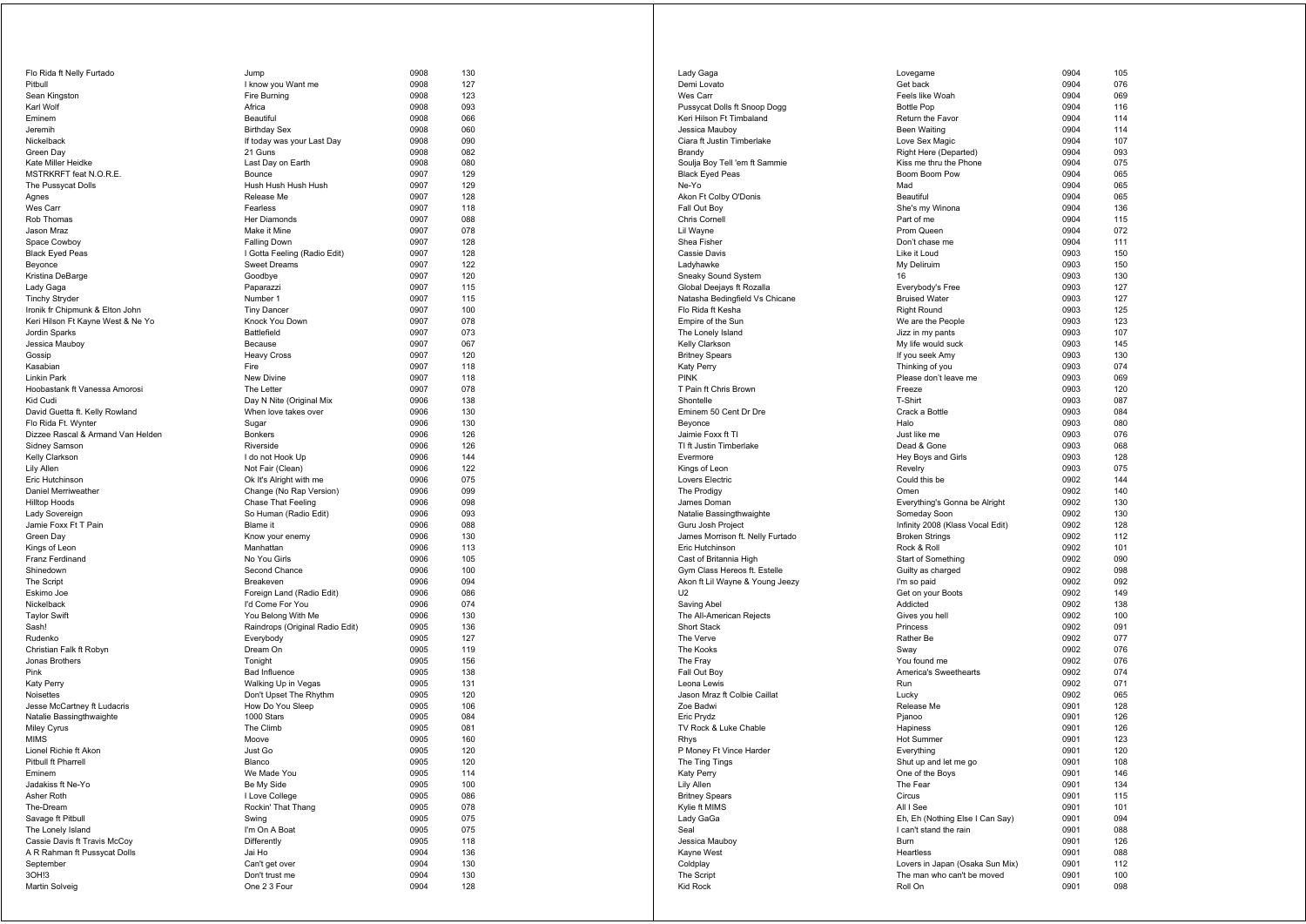| Flo Rida ft Nelly Furtado         | Jump                            | 0908         | 130        |
|-----------------------------------|---------------------------------|--------------|------------|
| Pitbull                           | I know you Want me              | 0908         | 127        |
| Sean Kingston                     | Fire Burning                    | 0908         | 123        |
| Karl Wolf                         | Africa                          | 0908         | 093        |
| Eminem                            | <b>Beautiful</b>                | 0908         | 066        |
| Jeremih                           | <b>Birthday Sex</b>             | 0908         | 060        |
| Nickelback                        | If today was your Last Day      | 0908         | 090        |
| Green Day                         | 21 Guns                         | 0908         | 082        |
| Kate Miller Heidke                | Last Day on Earth               | 0908         | 080        |
| MSTRKRFT feat N.O.R.E.            | Bounce                          | 0907         | 129        |
| The Pussycat Dolls                | Hush Hush Hush Hush             | 0907         | 129        |
| Agnes                             | Release Me                      | 0907         | 128        |
| Wes Carr                          | Fearless                        | 0907         | 118        |
| Rob Thomas                        | Her Diamonds                    | 0907         | 088        |
| Jason Mraz                        | Make it Mine                    | 0907         | 078        |
| Space Cowboy                      | <b>Falling Down</b>             | 0907         | 128        |
| <b>Black Eyed Peas</b>            | I Gotta Feeling (Radio Edit)    | 0907         | 128        |
| Beyonce                           | <b>Sweet Dreams</b>             | 0907         | 122        |
| Kristina DeBarge                  | Goodbye                         | 0907         | 120        |
| Lady Gaga                         | Paparazzi                       | 0907         | 115        |
| <b>Tinchy Stryder</b>             | Number 1                        | 0907         | 115        |
| Ironik fr Chipmunk & Elton John   | <b>Tiny Dancer</b>              | 0907         | 100        |
| Keri Hilson Ft Kayne West & Ne Yo | Knock You Down                  | 0907         | 078        |
| Jordin Sparks                     | Battlefield                     | 0907         | 073        |
| Jessica Mauboy                    | Because                         | 0907         | 067        |
| Gossip                            | <b>Heavy Cross</b>              | 0907         | 120        |
| Kasabian                          | Fire                            | 0907         | 118        |
| <b>Linkin Park</b>                | New Divine                      | 0907         | 118        |
| Hoobastank ft Vanessa Amorosi     | The Letter                      | 0907         | 078        |
| Kid Cudi                          | Day N Nite (Original Mix        | 0906         | 138        |
| David Guetta ft. Kelly Rowland    | When love takes over            | 0906         | 130        |
| Flo Rida Ft. Wynter               | Sugar                           | 0906         | 130        |
| Dizzee Rascal & Armand Van Helden | <b>Bonkers</b>                  | 0906         | 126        |
| Sidney Samson                     | Riverside                       | 0906         | 126        |
| Kelly Clarkson                    | I do not Hook Up                | 0906         | 144        |
| Lily Allen                        | Not Fair (Clean)                | 0906         | 122        |
| Eric Hutchinson                   | Ok It's Alright with me         | 0906         | 075        |
| Daniel Merriweather               | Change (No Rap Version)         | 0906         | 099        |
| <b>Hilltop Hoods</b>              | Chase That Feeling              | 0906         | 098        |
| Lady Sovereign                    | So Human (Radio Edit)           | 0906         | 093        |
| Jamie Foxx Ft T Pain              | Blame it                        | 0906         | 088        |
| Green Day                         | Know your enemy                 | 0906         | 130        |
| Kings of Leon                     | Manhattan                       | 0906         | 113        |
| Franz Ferdinand                   | No You Girls                    | 0906         | 105        |
| Shinedown                         | Second Chance                   | 0906         | 100        |
| The Script                        | Breakeven                       | 0906         | 094        |
| Eskimo Joe                        | Foreign Land (Radio Edit)       | 0906         | 086        |
| Nickelback                        | I'd Come For You                | 0906         | 074        |
| <b>Taylor Swift</b>               | You Belong With Me              | 0906         | 130        |
| Sash!                             | Raindrops (Original Radio Edit) | 0905         | 136        |
| Rudenko                           | Everybody                       | 0905         | 127        |
| Christian Falk ft Robyn           | Dream On                        | 0905         | 119        |
| Jonas Brothers                    | Tonight                         | 0905         | 156        |
| Pink                              | <b>Bad Influence</b>            | 0905         | 138        |
| Katy Perry                        | Walking Up in Vegas             | 0905         | 131        |
| Noisettes                         | Don't Upset The Rhythm          | 0905         | 120        |
| Jesse McCartney ft Ludacris       | How Do You Sleep                | 0905         | 106        |
| Natalie Bassingthwaighte          | 1000 Stars                      | 0905         | 084        |
| Miley Cyrus                       | The Climb                       | 0905         | 081        |
| <b>MIMS</b>                       | Moove                           | 0905         | 160        |
| Lionel Richie ft Akon             | Just Go                         | 0905         | 120        |
| Pitbull ft Pharrell               | Blanco                          | 0905         | 120        |
| Eminem                            | We Made You                     | 0905         | 114        |
| Jadakiss ft Ne-Yo                 | Be My Side                      | 0905         | 100        |
| Asher Roth                        | I Love College                  | 0905         | 086        |
| The-Dream                         | Rockin' That Thang              | 0905         | 078        |
| Savage ft Pitbull                 | Swing                           | 0905         | 075        |
| The Lonely Island                 | I'm On A Boat                   | 0905         | 075        |
| Cassie Davis ft Travis McCoy      | Differently                     | 0905         | 118        |
| A R Rahman ft Pussycat Dolls      | Jai Ho                          | 0904         | 136        |
| September                         |                                 |              |            |
|                                   |                                 |              |            |
|                                   | Can't get over                  | 0904         | 130        |
| 3OH!3<br>Martin Solveig           | Don't trust me<br>One 2 3 Four  | 0904<br>0904 | 130<br>128 |

| Lady Gaga                        | Lovegame                         | 0904         | 105 |
|----------------------------------|----------------------------------|--------------|-----|
| Demi Lovato                      | Get back                         | 0904         | 076 |
| Wes Carr                         | Feels like Woah                  | 0904         | 069 |
| Pussycat Dolls ft Snoop Dogg     | <b>Bottle Pop</b>                | 0904         | 116 |
| Keri Hilson Ft Timbaland         | Return the Favor                 | 0904         | 114 |
| Jessica Mauboy                   | <b>Been Waiting</b>              | 0904         | 114 |
| Ciara ft Justin Timberlake       | Love Sex Magic                   | 0904         | 107 |
| Brandy                           | Right Here (Departed)            | 0904         | 093 |
| Soulja Boy Tell 'em ft Sammie    | Kiss me thru the Phone           | 0904         | 075 |
| <b>Black Eyed Peas</b>           | Boom Boom Pow                    | 0904         | 065 |
| Ne-Yo                            | Mad                              | 0904         | 065 |
| Akon Ft Colby O'Donis            | Beautiful                        | 0904         | 065 |
| Fall Out Boy                     | She's my Winona                  | 0904         | 136 |
| Chris Cornell                    | Part of me                       | 0904         | 115 |
| Lil Wayne                        | Prom Queen                       | 0904         | 072 |
| Shea Fisher                      | Don't chase me                   | 0904         | 111 |
| Cassie Davis                     | Like it Loud                     | 0903         | 150 |
|                                  | My Deliruim                      |              |     |
| Ladyhawke                        |                                  | 0903         | 150 |
| Sneaky Sound System              | 16                               | 0903<br>0903 | 130 |
| Global Deejays ft Rozalla        | Everybody's Free                 |              | 127 |
| Natasha Bedingfield Vs Chicane   | <b>Bruised Water</b>             | 0903         | 127 |
| Flo Rida ft Kesha                | <b>Right Round</b>               | 0903         | 125 |
| Empire of the Sun                | We are the People                | 0903         | 123 |
| The Lonely Island                | Jizz in my pants                 | 0903         | 107 |
| Kelly Clarkson                   | My life would suck               | 0903         | 145 |
| <b>Britney Spears</b>            | If you seek Amy                  | 0903         | 130 |
| Katy Perry                       | Thinking of you                  | 0903         | 074 |
| PINK                             | Please don't leave me            | 0903         | 069 |
| T Pain ft Chris Brown            | Freeze                           | 0903         | 120 |
| Shontelle                        | T-Shirt                          | 0903         | 087 |
| Eminem 50 Cent Dr Dre            | Crack a Bottle                   | 0903         | 084 |
| Beyonce                          | Halo                             | 0903         | 080 |
| Jaimie Foxx ft Tl                | Just like me                     | 0903         | 076 |
| TI ft Justin Timberlake          | Dead & Gone                      | 0903         | 068 |
| Evermore                         | Hey Boys and Girls               | 0903         | 128 |
| Kings of Leon                    | Revelry                          | 0903         | 075 |
| Lovers Electric                  | Could this be                    | 0902         | 144 |
| The Prodigy                      | Omen                             | 0902         | 140 |
| James Doman                      | Everything's Gonna be Alright    | 0902         | 130 |
| Natalie Bassingthwaighte         | Someday Soon                     | 0902         | 130 |
| Guru Josh Project                | Infinity 2008 (Klass Vocal Edit) | 0902         | 128 |
| James Morrison ft. Nelly Furtado | <b>Broken Strings</b>            | 0902         | 112 |
| Eric Hutchinson                  | Rock & Roll                      | 0902         | 101 |
| Cast of Britannia High           | Start of Something               | 0902         | 090 |
| Gym Class Hereos ft. Estelle     | Guilty as charged                | 0902         | 098 |
| Akon ft Lil Wayne & Young Jeezy  | I'm so paid                      | 0902         | 092 |
| U2                               | Get on your Boots                | 0902         | 149 |
| Saving Abel                      | Addicted                         | 0902         | 138 |
| The All-American Rejects         | Gives you hell                   | 0902         | 100 |
| <b>Short Stack</b>               | Princess                         | 0902         | 091 |
| The Verve                        | Rather Be                        | 0902         | 077 |
| The Kooks                        | Sway                             | 0902         | 076 |
| The Fray                         | You found me                     | 0902         | 076 |
| Fall Out Boy                     | America's Sweethearts            | 0902         | 074 |
| Leona Lewis                      | Run                              | 0902         | 071 |
| Jason Mraz ft Colbie Caillat     |                                  | 0902         | 065 |
| Zoe Badwi                        | Lucky                            |              |     |
|                                  | Release Me                       | 0901         | 128 |
| Eric Prydz                       | Pjanoo                           | 0901         | 126 |
| TV Rock & Luke Chable            | Hapiness                         | 0901         | 126 |
| Rhys                             | Hot Summer                       | 0901         | 123 |
| P Money Ft Vince Harder          | Everything                       | 0901         | 120 |
| The Ting Tings                   | Shut up and let me go            | <b>0901</b>  | າບຮ |
| Katy Perry                       | One of the Boys                  | 0901         | 146 |
| Lily Allen                       | The Fear                         | 0901         | 134 |
| <b>Britney Spears</b>            | Circus                           | 0901         | 115 |
| Kylie ft MIMS                    | All I See                        | 0901         | 101 |
| Lady GaGa                        | Eh, Eh (Nothing Else I Can Say)  | 0901         | 094 |
| Seal                             | I can't stand the rain           | 0901         | 088 |
| Jessica Mauboy                   | Burn                             | 0901         | 126 |
| Kayne West                       | Heartless                        | 0901         | 088 |
| Coldplay                         | Lovers in Japan (Osaka Sun Mix)  | 0901         | 112 |
| The Script                       | The man who can't be moved       | 0901         | 100 |
| Kid Rock                         | Roll On                          | 0901         | 098 |
|                                  |                                  |              |     |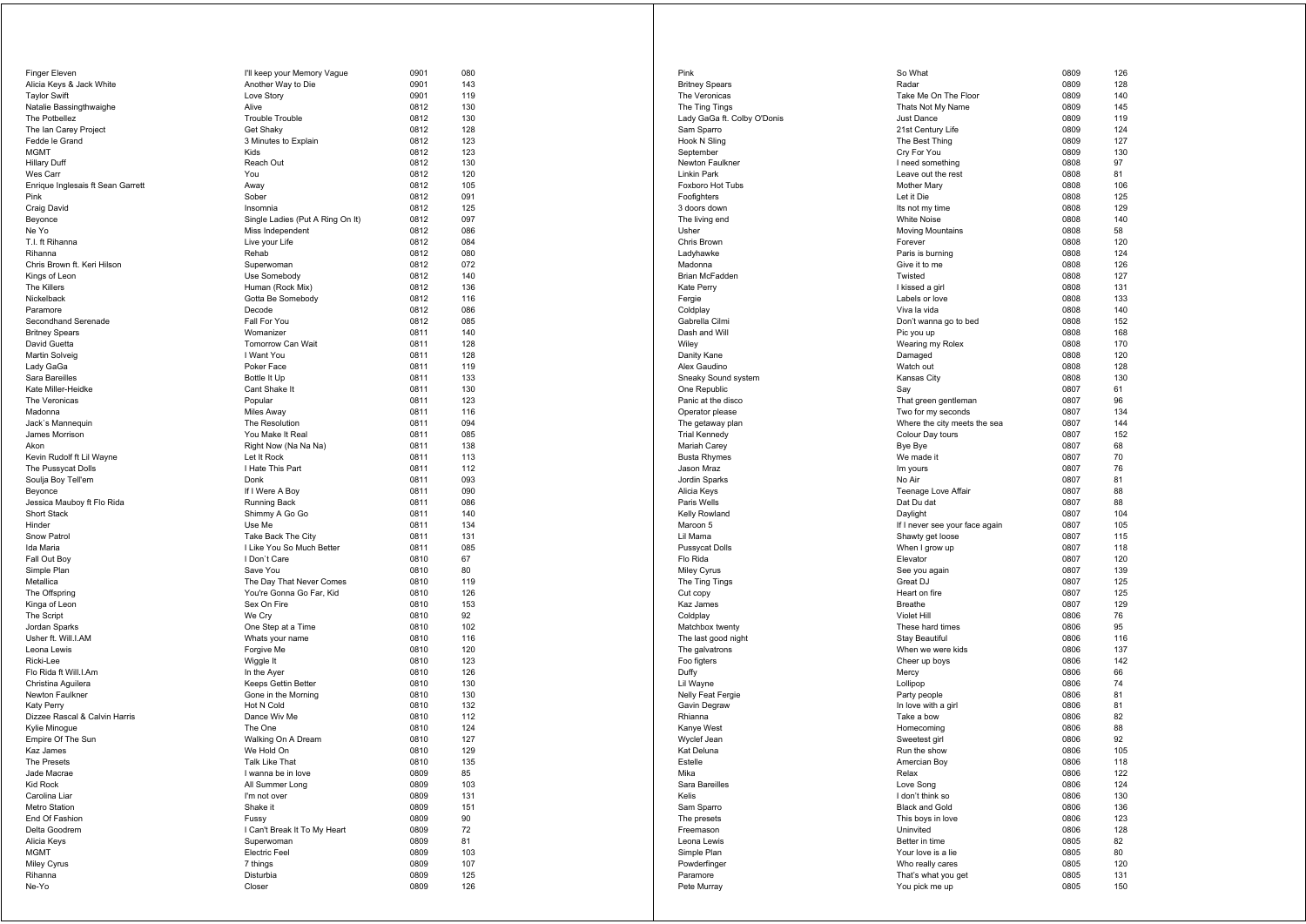| Finger Eleven                             | I'll keep your Memory Vague                | 0901         | 080        |
|-------------------------------------------|--------------------------------------------|--------------|------------|
| Alicia Keys & Jack White                  | Another Way to Die                         | 0901         | 143        |
| <b>Taylor Swift</b>                       | Love Story                                 | 0901         | 119        |
| Natalie Bassingthwaighe                   | Alive                                      | 0812         | 130        |
| The Potbellez                             | <b>Trouble Trouble</b>                     | 0812         | 130        |
| The Ian Carey Project                     | Get Shaky                                  | 0812         | 128        |
| Fedde le Grand                            | 3 Minutes to Explain                       | 0812         | 123        |
| <b>MGMT</b>                               | Kids                                       | 0812         | 123        |
| Hillary Duff                              | Reach Out                                  | 0812         | 130        |
| Wes Carr                                  | You                                        | 0812         | 120        |
| Enrique Inglesais ft Sean Garrett<br>Pink | Away<br>Sober                              | 0812<br>0812 | 105<br>091 |
| Craig David                               | Insomnia                                   | 0812         | 125        |
| Beyonce                                   | Single Ladies (Put A Ring On It)           | 0812         | 097        |
| Ne Yo                                     | Miss Independent                           | 0812         | 086        |
| T.I. ft Rihanna                           | Live your Life                             | 0812         | 084        |
| Rihanna                                   | Rehab                                      | 0812         | 080        |
| Chris Brown ft. Keri Hilson               | Superwoman                                 | 0812         | 072        |
| Kings of Leon                             | Use Somebody                               | 0812         | 140        |
| <b>The Killers</b>                        | Human (Rock Mix)                           | 0812         | 136        |
| Nickelback                                | Gotta Be Somebody                          | 0812         | 116        |
| Paramore                                  | Decode                                     | 0812         | 086        |
| Secondhand Serenade                       | Fall For You                               | 0812         | 085        |
| <b>Britney Spears</b>                     | Womanizer                                  | 0811         | 140        |
| David Guetta                              | Tomorrow Can Wait                          | 0811         | 128        |
| Martin Solveig                            | I Want You                                 | 0811         | 128        |
| Lady GaGa                                 | Poker Face                                 | 0811         | 119        |
| Sara Bareilles                            | Bottle It Up                               | 0811         | 133        |
| Kate Miller-Heidke                        | Cant Shake It                              | 0811         | 130        |
| The Veronicas                             | Popular                                    | 0811         | 123        |
| Madonna                                   | Miles Away                                 | 0811         | 116        |
| Jack's Mannequin                          | The Resolution                             | 0811<br>0811 | 094<br>085 |
| James Morrison<br>Akon                    | You Make It Real<br>Right Now (Na Na Na)   | 0811         | 138        |
| Kevin Rudolf ft Lil Wayne                 | Let It Rock                                | 0811         | 113        |
| The Pussycat Dolls                        | I Hate This Part                           | 0811         | 112        |
| Soulja Boy Tell'em                        | Donk                                       | 0811         | 093        |
| Beyonce                                   | If I Were A Boy                            | 0811         | 090        |
| Jessica Mauboy ft Flo Rida                | <b>Running Back</b>                        | 0811         | 086        |
| Short Stack                               | Shimmy A Go Go                             | 0811         | 140        |
| Hinder                                    | Use Me                                     | 0811         | 134        |
| Snow Patrol                               | Take Back The City                         | 0811         | 131        |
| Ida Maria                                 | I Like You So Much Better                  | 0811         | 085        |
| Fall Out Boy                              | I Don't Care                               | 0810         | 67         |
| Simple Plan                               | Save You                                   | 0810         | 80         |
| Metallica                                 | The Day That Never Comes                   | 0810         | 119        |
| The Offspring                             | You're Gonna Go Far, Kid                   | 0810         | 126        |
| Kinga of Leon                             | Sex On Fire                                | 0810         | 153        |
| The Script                                | We Cry                                     | 0810         | 92         |
| Jordan Sparks<br>Usher ft. Will.I.AM      | One Step at a Time                         | 0810<br>0810 | 102        |
| Leona Lewis                               | Whats your name<br>Forgive Me              | 0810         | 116<br>120 |
| Ricki-Lee                                 | Wiggle It                                  | 0810         | 123        |
| Flo Rida ft Will.I.Am                     | In the Ayer                                | 0810         | 126        |
| Christina Aguilera                        | Keeps Gettin Better                        | 0810         | 130        |
| Newton Faulkner                           | Gone in the Morning                        | 0810         | 130        |
| <b>Katy Perry</b>                         | Hot N Cold                                 | 0810         | 132        |
| Dizzee Rascal & Calvin Harris             | Dance Wiv Me                               | 0810         | 112        |
| Kylie Minoque                             | The One                                    | 0810         | 124        |
| Empire Of The Sun                         | Walking On A Dream                         | 0810         | 127        |
| Kaz James                                 | We Hold On                                 | 0810         | 129        |
| The Presets                               | Talk Like That                             | 0810         | 135        |
| Jade Macrae                               | I wanna be in love                         | 0809         | 85         |
| <b>Kid Rock</b>                           | All Summer Long                            | 0809         | 103        |
| Carolina Liar                             | I'm not over                               | 0809         | 131        |
| Metro Station                             | Shake it                                   | 0809         | 151        |
| End Of Fashion                            | Fussy                                      | 0809         | 90         |
| Delta Goodrem                             | I Can't Break It To My Heart<br>Superwoman | 0809         | 72         |
| Alicia Keys<br><b>MGMT</b>                | <b>Electric Feel</b>                       | 0809<br>0809 | 81<br>103  |
| Miley Cyrus                               | 7 things                                   | 0809         | 107        |
| Rihanna                                   | Disturbia                                  | 0809         | 125        |
| Ne-Yo                                     | Closer                                     | 0809         | 126        |
|                                           |                                            |              |            |

| Pink                                          | So What                                    | 0809         | 126        |
|-----------------------------------------------|--------------------------------------------|--------------|------------|
| <b>Britney Spears</b>                         | Radar                                      | 0809         | 128        |
| The Veronicas                                 | Take Me On The Floor                       | 0809         | 140        |
| The Ting Tings<br>Lady GaGa ft. Colby O'Donis | Thats Not My Name<br>Just Dance            | 0809<br>0809 | 145<br>119 |
| Sam Sparro                                    | 21st Century Life                          | 0809         | 124        |
| Hook N Sling                                  | The Best Thing                             | 0809         | 127        |
| September                                     | Cry For You                                | 0809         | 130        |
| Newton Faulkner                               | I need something                           | 0808         | 97         |
| Linkin Park                                   | Leave out the rest                         | 0808         | 81         |
| Foxboro Hot Tubs<br>Foofighters               | Mother Mary<br>Let it Die                  | 0808<br>0808 | 106<br>125 |
| 3 doors down                                  | Its not my time                            | 0808         | 129        |
| The living end                                | <b>White Noise</b>                         | 0808         | 140        |
| Usher                                         | <b>Moving Mountains</b>                    | 0808         | 58         |
| Chris Brown                                   | Forever                                    | 0808         | 120        |
| Ladyhawke<br>Madonna                          | Paris is burning<br>Give it to me          | 0808<br>0808 | 124<br>126 |
| Brian McFadden                                | Twisted                                    | 0808         | 127        |
| Kate Perry                                    | I kissed a girl                            | 0808         | 131        |
| Fergie                                        | Labels or love                             | 0808         | 133        |
| Coldplay                                      | Viva la vida                               | 0808         | 140        |
| Gabrella Cilmi<br>Dash and Will               | Don't wanna go to bed                      | 0808<br>0808 | 152<br>168 |
| Wiley                                         | Pic you up<br>Wearing my Rolex             | 0808         | 170        |
| Danity Kane                                   | Damaged                                    | 0808         | 120        |
| Alex Gaudino                                  | Watch out                                  | 0808         | 128        |
| Sneaky Sound system                           | Kansas City                                | 0808         | 130        |
| One Republic                                  | Say                                        | 0807         | 61         |
| Panic at the disco<br>Operator please         | That green gentleman<br>Two for my seconds | 0807<br>0807 | 96<br>134  |
| The getaway plan                              | Where the city meets the sea               | 0807         | 144        |
| <b>Trial Kennedy</b>                          | Colour Day tours                           | 0807         | 152        |
| Mariah Carey                                  | Bye Bye                                    | 0807         | 68         |
| <b>Busta Rhymes</b>                           | We made it                                 | 0807         | 70         |
| Jason Mraz                                    | Im yours<br>No Air                         | 0807         | 76         |
| Jordin Sparks<br>Alicia Keys                  | Teenage Love Affair                        | 0807<br>0807 | 81<br>88   |
| Paris Wells                                   | Dat Du dat                                 | 0807         | 88         |
| Kelly Rowland                                 | Daylight                                   | 0807         | 104        |
| Maroon 5                                      | If I never see your face again             | 0807         | 105        |
| Lil Mama                                      | Shawty get loose                           | 0807         | 115        |
| <b>Pussycat Dolls</b><br>Flo Rida             | When I grow up<br>Elevator                 | 0807<br>0807 | 118<br>120 |
| Miley Cyrus                                   | See you again                              | 0807         | 139        |
| The Ting Tings                                | Great DJ                                   | 0807         | 125        |
| Cut copy                                      | Heart on fire                              | 0807         | 125        |
| Kaz James                                     | <b>Breathe</b>                             | 0807         | 129        |
| Coldplay<br>Matchbox twenty                   | <b>Violet Hill</b><br>These hard times     | 0806<br>0806 | 76<br>95   |
| The last good night                           | Stay Beautiful                             | 0806         | 116        |
| The galvatrons                                | When we were kids                          | 0806         | 137        |
| Foo figters                                   | Cheer up boys                              | 0806         | 142        |
| Duffy                                         | Mercy                                      | 0806         | 66         |
| Lil Wayne<br>Nelly Feat Fergie                | Lollipop<br>Party people                   | 0806<br>0806 | 74<br>81   |
| Gavin Degraw                                  | In love with a girl                        | 0806         | 81         |
| Rhianna                                       | Take a bow                                 | 0806         | 82         |
| Kanye West                                    | Homecoming                                 | 0806         | 88         |
| Wyclef Jean                                   | Sweetest girl                              | 0806         | 92         |
| Kat Deluna                                    | Run the show                               | 0806         | 105        |
| Estelle<br>Mika                               | Amercian Boy<br>Relax                      | 0806<br>0806 | 118<br>122 |
| Sara Bareilles                                | Love Song                                  | 0806         | 124        |
| Kelis                                         | I don't think so                           | 0806         | 130        |
| Sam Sparro                                    | <b>Black and Gold</b>                      | 0806         | 136        |
| The presets                                   | This boys in love                          | 0806         | 123        |
| Freemason<br>Leona Lewis                      | Uninvited<br>Better in time                | 0806<br>0805 | 128<br>82  |
| Simple Plan                                   | Your love is a lie                         | 0805         | 80         |
| Powderfinger                                  | Who really cares                           | 0805         | 120        |
| Paramore                                      | That's what you get                        | 0805         | 131        |
| Pete Murray                                   | You pick me up                             | 0805         | 150        |
|                                               |                                            |              |            |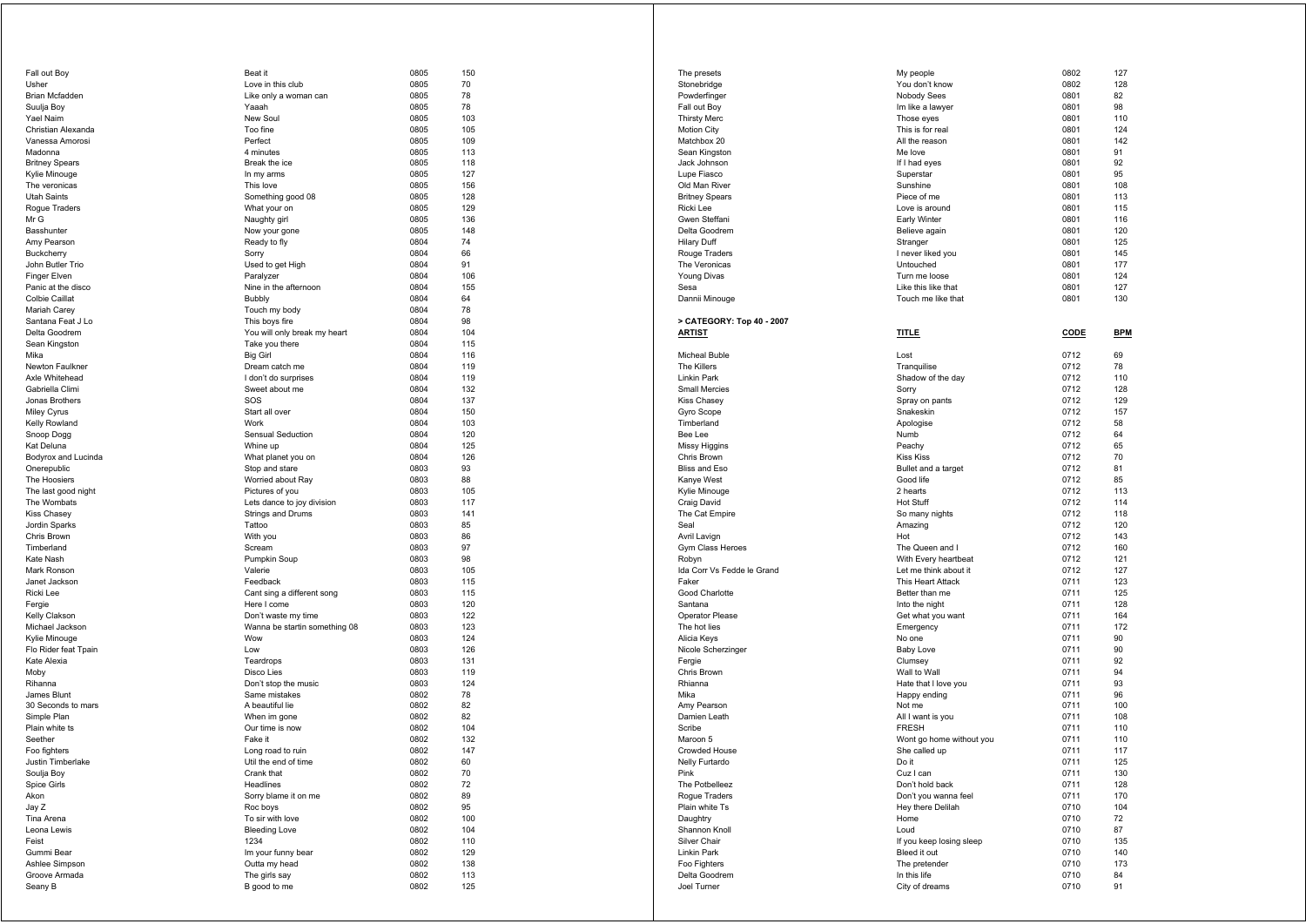| Fall out Boy                    | Beat it                             | 0805         | 150        |
|---------------------------------|-------------------------------------|--------------|------------|
| Usher                           | Love in this club                   | 0805         | 70         |
| Brian Mcfadden                  | Like only a woman can               | 0805         | 78         |
| Suulja Boy                      | Yaaah                               | 0805         | 78         |
| Yael Naim                       | New Soul                            | 0805         | 103        |
| Christian Alexanda              | Too fine                            | 0805         | 105        |
| Vanessa Amorosi                 | Perfect                             | 0805         | 109        |
| Madonna                         | 4 minutes                           | 0805         | 113        |
| <b>Britney Spears</b>           | Break the ice                       | 0805         | 118        |
| Kylie Minouge                   | In my arms                          | 0805         | 127        |
| The veronicas                   | This love                           | 0805         | 156        |
| Utah Saints                     | Something good 08                   | 0805         | 128        |
| Rogue Traders                   | What your on                        | 0805         | 129        |
| Mr G<br>Basshunter              | Naughty girl                        | 0805         | 136        |
| Amy Pearson                     | Now your gone                       | 0805<br>0804 | 148        |
| <b>Buckcherry</b>               | Ready to fly<br>Sorry               |              | 74<br>66   |
| John Butler Trio                | Used to get High                    | 0804<br>0804 | 91         |
| Finger Elven                    | Paralyzer                           | 0804         | 106        |
| Panic at the disco              | Nine in the afternoon               | 0804         | 155        |
| Colbie Caillat                  | Bubbly                              | 0804         | 64         |
| Mariah Carey                    | Touch my body                       | 0804         | 78         |
| Santana Feat J Lo               | This boys fire                      | 0804         | 98         |
| Delta Goodrem                   | You will only break my heart        | 0804         | 104        |
| Sean Kingston                   | Take you there                      | 0804         | 115        |
| Mika                            | <b>Big Girl</b>                     | 0804         | 116        |
| Newton Faulkner                 | Dream catch me                      | 0804         | 119        |
| Axle Whitehead                  | I don't do surprises                | 0804         | 119        |
| Gabriella Climi                 | Sweet about me                      | 0804         | 132        |
| Jonas Brothers                  | SOS                                 | 0804         | 137        |
| Miley Cyrus                     | Start all over                      | 0804         | 150        |
| Kelly Rowland                   | Work                                | 0804         | 103        |
| Snoop Dogg                      | Sensual Seduction                   | 0804         | 120        |
| Kat Deluna                      | Whine up                            | 0804         | 125        |
| <b>Bodyrox and Lucinda</b>      | What planet you on                  | 0804         | 126        |
| Onerepublic                     | Stop and stare                      | 0803         | 93         |
| The Hoosiers                    | Worried about Ray                   | 0803         | 88         |
| The last good night             | Pictures of you                     | 0803         | 105        |
| The Wombats                     | Lets dance to joy division          | 0803         | 117        |
| Kiss Chasey                     | Strings and Drums                   | 0803         | 141        |
| Jordin Sparks                   | Tattoo                              | 0803         | 85         |
| Chris Brown                     | With you                            | 0803         | 86         |
| Timberland                      | Scream                              | 0803         | 97         |
| Kate Nash                       | Pumpkin Soup                        | 0803         | 98         |
| Mark Ronson                     | Valerie                             | 0803         | 105        |
| Janet Jackson                   | Feedback                            | 0803         | 115        |
| Ricki Lee                       | Cant sing a different song          | 0803         | 115        |
| Fergie                          | Here I come                         | 0803         | 120        |
| Kelly Clakson                   | Don't waste my time                 | 0803         | 122        |
| Michael Jackson                 | Wanna be startin something 08       | 0803         | 123        |
| Kylie Minouge                   | Wow                                 | 0803         | 124        |
| Flo Rider feat Tpain            | Low                                 | 0803         | 126        |
| Kate Alexia                     | Teardrops                           | 0803         | 131        |
| Moby                            | Disco Lies                          | 0803         | 119        |
| Rihanna                         | Don't stop the music                | 0803         | 124        |
| James Blunt                     | Same mistakes                       | 0802         | 78         |
| 30 Seconds to mars              | A beautiful lie                     | 0802         | 82         |
| Simple Plan                     | When im gone                        | 0802         | 82         |
| Plain white ts                  | Our time is now                     | 0802         | 104        |
| Seether                         | Fake it                             | 0802         | 132        |
| Foo fighters                    | Long road to ruin                   | 0802         | 147        |
| Justin Timberlake               | Util the end of time                | <b>0802</b>  | 60         |
| Soulja Boy                      | Crank that                          | 0802         | 70         |
| Spice Girls                     | Headlines<br>Sorry blame it on me   | 0802         | 72         |
| Akon                            |                                     | 0802         | 89         |
| Jay Z<br>Tina Arena             | Roc boys<br>To sir with love        | 0802<br>0802 | 95<br>100  |
| Leona Lewis                     | <b>Bleeding Love</b>                |              |            |
|                                 | 1234                                | 0802         | 104        |
| Feist<br>Gummi Bear             |                                     | 0802<br>0802 | 110<br>129 |
|                                 | Im your funny bear<br>Outta my head | 0802         | 138        |
| Ashlee Simpson<br>Groove Armada | The girls say                       |              |            |
| Seany B                         | B good to me                        | 0802<br>0802 | 113<br>125 |
|                                 |                                     |              |            |

| The presets                  | My people                         | 0802         | 127        |
|------------------------------|-----------------------------------|--------------|------------|
| Stonebridge                  | You don't know                    | 0802         | 128        |
| Powderfinger                 | Nobody Sees                       | 0801         | 82         |
| Fall out Boy                 | Im like a lawyer                  | 0801         | 98         |
| <b>Thirsty Merc</b>          | Those eyes                        | 0801         | 110        |
| Motion City                  | This is for real                  | 0801         | 124        |
| Matchbox 20                  | All the reason                    | 0801         | 142        |
| Sean Kingston                | Me love                           | 0801         | 91         |
| Jack Johnson                 | If I had eyes                     | 0801         | 92         |
| Lupe Fiasco<br>Old Man River | Superstar<br>Sunshine             | 0801<br>0801 | 95<br>108  |
| <b>Britney Spears</b>        | Piece of me                       | 0801         | 113        |
| Ricki Lee                    | Love is around                    | 0801         | 115        |
| Gwen Steffani                | <b>Early Winter</b>               | 0801         | 116        |
| Delta Goodrem                | Believe again                     | 0801         | 120        |
| <b>Hilary Duff</b>           | Stranger                          | 0801         | 125        |
| Rouge Traders                | I never liked you                 | 0801         | 145        |
| The Veronicas                | Untouched                         | 0801         | 177        |
| <b>Young Divas</b>           | Turn me loose                     | 0801         | 124        |
| Sesa                         | Like this like that               | 0801         | 127        |
| Dannii Minouge               | Touch me like that                | 0801         | 130        |
| > CATEGORY: Top 40 - 2007    |                                   |              |            |
| <u>ARTIST</u>                | <b>TITLE</b>                      | CODE         | <b>BPM</b> |
|                              |                                   |              |            |
| Micheal Buble                | Lost                              | 0712         | 69         |
| The Killers                  | Tranquilise                       | 0712         | 78         |
| Linkin Park                  | Shadow of the day                 | 0712         | 110        |
| Small Mercies                | Sorry                             | 0712         | 128        |
| <b>Kiss Chasey</b>           | Spray on pants                    | 0712         | 129        |
| Gyro Scope                   | Snakeskin                         | 0712         | 157        |
| Timberland                   | Apologise                         | 0712         | 58         |
| Bee Lee                      | Numb                              | 0712         | 64         |
| <b>Missy Higgins</b>         | Peachy                            | 0712         | 65         |
| Chris Brown                  | <b>Kiss Kiss</b>                  | 0712         | 70         |
| Bliss and Eso                | Bullet and a target               | 0712         | 81         |
| Kanye West                   | Good life                         | 0712         | 85         |
| Kylie Minouge                | 2 hearts                          | 0712         | 113        |
| Craig David                  | <b>Hot Stuff</b>                  | 0712         | 114        |
| The Cat Empire               | So many nights                    | 0712         | 118        |
| Seal<br>Avril Lavign         | Amazing<br>Hot                    | 0712<br>0712 | 120<br>143 |
| Gym Class Heroes             | The Queen and I                   | 0712         | 160        |
| Robyn                        | With Every heartbeat              | 0712         | 121        |
| Ida Corr Vs Fedde le Grand   | Let me think about it             | 0712         | 127        |
| Faker                        | This Heart Attack                 | 0711         | 123        |
| Good Charlotte               | Better than me                    | 0711         | 125        |
| Santana                      | Into the night                    | 0711         | 128        |
| Operator Please              | Get what you want                 | 0711         | 164        |
| The hot lies                 | Emergency                         | 0711         | 172        |
| Alicia Keys                  | No one                            | 0711         | 90         |
| Nicole Scherzinger           | <b>Baby Love</b>                  | 0711         | 90         |
| Fergie                       | Clumsey                           | 0711         | 92         |
| Chris Brown                  | Wall to Wall                      | 0711         | 94         |
| Rhianna                      | Hate that I love you              | 0711         | 93         |
| Mika                         | Happy ending                      | 0711         | 96         |
| Amy Pearson<br>Damien Leath  | Not me                            | 0711<br>0711 | 100<br>108 |
| Scribe                       | All I want is you<br><b>FRESH</b> | 0711         | 110        |
| Maroon 5                     | Wont go home without you          | 0711         | 110        |
| Crowded House                | She called up                     | 0711         | 117        |
| Nelly Furtardo               | Do it                             | 0711         | 125        |
| Pink                         | Cuz I can                         | 0711         | 130        |
| The Potbelleez               | Don't hold back                   | 0711         | 128        |
| Rogue Traders                | Don't you wanna feel              | 0711         | 170        |
| Plain white Ts               | Hey there Delilah                 | 0710         | 104        |
| Daughtry                     | Home                              | 0710         | 72         |
| Shannon Knoll                | Loud                              | 0710         | 87         |
| Silver Chair                 | If you keep losing sleep          | 0710         | 135        |
| Linkin Park                  | Bleed it out                      | 0710         | 140        |
| Foo Fighters                 | The pretender                     | 0710         | 173        |
| Delta Goodrem                | In this life                      | 0710         | 84         |
| Joel Turner                  | City of dreams                    | 0710         | 91         |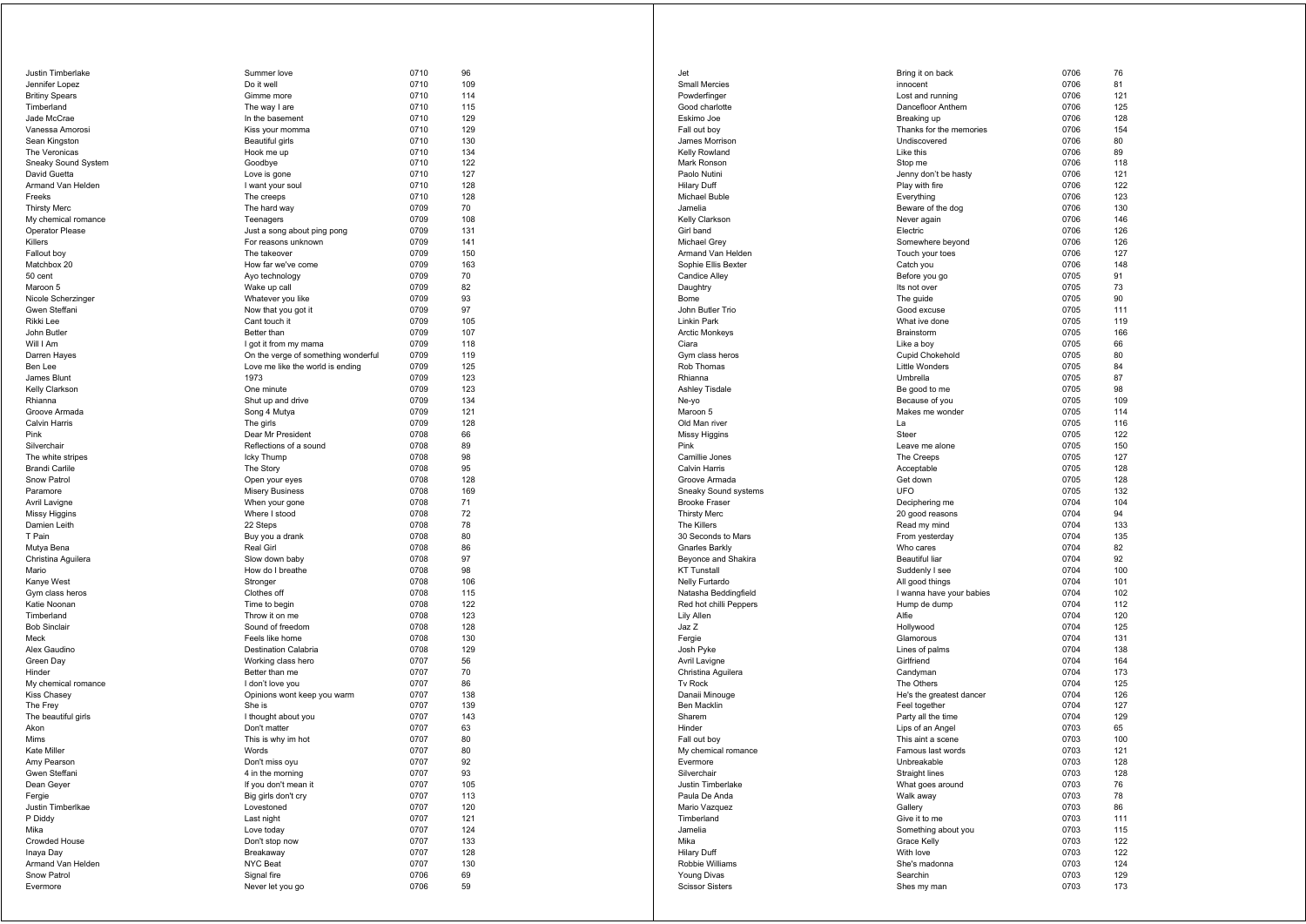| Justin Timberlake                    | Summer love                          | 0710         | 96         |
|--------------------------------------|--------------------------------------|--------------|------------|
| Jennifer Lopez                       | Do it well                           | 0710         | 109        |
| <b>Britiny Spears</b>                | Gimme more                           | 0710         | 114        |
| Timberland                           | The way I are                        | 0710         | 115        |
| Jade McCrae                          | In the basement                      | 0710         | 129        |
| Vanessa Amorosi                      | Kiss your momma                      | 0710         | 129        |
| Sean Kingston                        | Beautiful girls                      | 0710         | 130        |
| The Veronicas<br>Sneaky Sound System | Hook me up<br>Goodbye                | 0710<br>0710 | 134<br>122 |
| David Guetta                         | Love is gone                         | 0710         | 127        |
| Armand Van Helden                    | I want your soul                     | 0710         | 128        |
| Freeks                               | The creeps                           | 0710         | 128        |
| <b>Thirsty Merc</b>                  | The hard way                         | 0709         | 70         |
| My chemical romance                  | Teenagers                            | 0709         | 108        |
| Operator Please                      | Just a song about ping pong          | 0709         | 131        |
| Killers                              | For reasons unknown                  | 0709         | 141        |
| Fallout boy                          | The takeover                         | 0709         | 150        |
| Matchbox 20                          | How far we've come                   | 0709         | 163        |
| 50 cent                              | Ayo technology                       | 0709         | 70         |
| Maroon 5                             | Wake up call                         | 0709         | 82         |
| Nicole Scherzinger                   | Whatever you like                    | 0709         | 93         |
| Gwen Steffani                        | Now that you got it                  | 0709         | 97         |
| Rikki Lee                            | Cant touch it                        | 0709         | 105        |
| John Butler                          | Better than                          | 0709         | 107        |
| Will I Am                            | I got it from my mama                | 0709         | 118        |
| Darren Hayes                         | On the verge of something wonderful  | 0709         | 119        |
| Ben Lee                              | Love me like the world is ending     | 0709         | 125        |
| James Blunt                          | 1973                                 | 0709         | 123        |
| Kelly Clarkson                       | One minute                           | 0709         | 123        |
| Rhianna                              | Shut up and drive                    | 0709         | 134        |
| Groove Armada<br>Calvin Harris       | Song 4 Mutya<br>The girls            | 0709<br>0709 | 121<br>128 |
| Pink                                 | Dear Mr President                    | 0708         | 66         |
| Silverchair                          | Reflections of a sound               | 0708         | 89         |
| The white stripes                    | Icky Thump                           | 0708         | 98         |
| <b>Brandi Carlile</b>                | The Story                            | 0708         | 95         |
| Snow Patrol                          | Open your eyes                       | 0708         | 128        |
| Paramore                             | <b>Misery Business</b>               | 0708         | 169        |
| Avril Lavigne                        | When your gone                       | 0708         | 71         |
| Missy Higgins                        | Where I stood                        | 0708         | 72         |
| Damien Leith                         | 22 Steps                             | 0708         | 78         |
| T Pain                               | Buy you a drank                      | 0708         | 80         |
| Mutya Bena                           | Real Girl                            | 0708         | 86         |
| Christina Aguilera                   | Slow down baby                       | 0708         | 97         |
| Mario                                | How do I breathe                     | 0708         | 98         |
| Kanye West                           | Stronger                             | 0708         | 106        |
| Gym class heros                      | Clothes off                          | 0708         | 115        |
| Katie Noonan                         | Time to begin                        | 0708         | 122        |
| Timberland                           | Throw it on me                       | 0708         | 123        |
| <b>Bob Sinclair</b>                  | Sound of freedom                     | 0708         | 128        |
| Meck                                 | Feels like home                      | 0708         | 130        |
| Alex Gaudino<br>Green Day            | Destination Calabria                 | 0708<br>0707 | 129<br>56  |
| Hinder                               | Working class hero<br>Better than me | 0707         | 70         |
| My chemical romance                  | I don't love you                     | 0707         | 86         |
| Kiss Chasey                          | Opinions wont keep you warm          | 0707         | 138        |
| The Frey                             | She is                               | 0707         | 139        |
| The beautiful girls                  | I thought about you                  | 0707         | 143        |
| Akon                                 | Don't matter                         | 0707         | 63         |
| Mims                                 | This is why im hot                   | 0707         | 80         |
| Kate Miller                          | Words                                | 0707         | 80         |
| Amy Pearson                          | Don't miss oyu                       | 0707         | 92         |
| Gwen Steffani                        | 4 in the morning                     | 0707         | 93         |
| Dean Geyer                           | If you don't mean it                 | 0707         | 105        |
| Fergie                               | Big girls don't cry                  | 0707         | 113        |
| Justin Timberlkae                    | Lovestoned                           | 0707         | 120        |
| P Diddy                              | Last night                           | 0707         | 121        |
| Mika                                 | Love today                           | 0707         | 124        |
| Crowded House                        | Don't stop now                       | 0707         | 133        |
| Inaya Day                            | Breakaway                            | 0707         | 128        |
| Armand Van Helden                    | NYC Beat                             | 0707         | 130        |
| Snow Patrol<br>Evermore              | Signal fire<br>Never let you go      | 0706<br>0706 | 69<br>59   |
|                                      |                                      |              |            |

| Jet                               | Bring it on back                       | 0706         | 76         |
|-----------------------------------|----------------------------------------|--------------|------------|
| Small Mercies                     | innocent                               | 0706         | 81         |
| Powderfinger                      | Lost and running                       | 0706         | 121        |
| Good charlotte                    | Dancefloor Anthem                      | 0706         | 125        |
| Eskimo Joe                        | Breaking up                            | 0706         | 128        |
| Fall out boy                      | Thanks for the memories                | 0706         | 154        |
| James Morrison                    | Undiscovered                           | 0706         | 80         |
| Kelly Rowland                     | Like this                              | 0706         | 89         |
| Mark Ronson                       | Stop me                                | 0706         | 118<br>121 |
| Paolo Nutini<br>Hilary Duff       | Jenny don't be hasty<br>Play with fire | 0706<br>0706 | 122        |
| Michael Buble                     | Everything                             | 0706         | 123        |
| Jamelia                           | Beware of the dog                      | 0706         | 130        |
| Kelly Clarkson                    | Never again                            | 0706         | 146        |
| Girl band                         | Electric                               | 0706         | 126        |
| Michael Grey                      | Somewhere beyond                       | 0706         | 126        |
| Armand Van Helden                 | Touch your toes                        | 0706         | 127        |
| Sophie Ellis Bexter               | Catch you                              | 0706         | 148        |
| Candice Alley                     | Before you go                          | 0705         | 91         |
| Daughtry                          | Its not over                           | 0705         | 73         |
| Bome                              | The guide                              | 0705         | 90         |
| John Butler Trio                  | Good excuse                            | 0705         | 111<br>119 |
| Linkin Park<br>Arctic Monkeys     | What ive done<br>Brainstorm            | 0705<br>0705 | 166        |
| Ciara                             | Like a boy                             | 0705         | 66         |
| Gym class heros                   | Cupid Chokehold                        | 0705         | 80         |
| Rob Thomas                        | <b>Little Wonders</b>                  | 0705         | 84         |
| Rhianna                           | Umbrella                               | 0705         | 87         |
| <b>Ashley Tisdale</b>             | Be good to me                          | 0705         | 98         |
| Ne-yo                             | Because of you                         | 0705         | 109        |
| Maroon 5                          | Makes me wonder                        | 0705         | 114        |
| Old Man river                     | La                                     | 0705         | 116        |
| Missy Higgins                     | Steer                                  | 0705         | 122        |
| Pink                              | Leave me alone                         | 0705         | 150        |
| Camillie Jones                    | The Creeps                             | 0705         | 127        |
| Calvin Harris                     | Acceptable                             | 0705         | 128        |
| Groove Armada                     | Get down                               | 0705         | 128        |
| Sneaky Sound systems              | <b>UFO</b>                             | 0705         | 132        |
| <b>Brooke Fraser</b>              | Deciphering me                         | 0704         | 104        |
| <b>Thirsty Merc</b>               | 20 good reasons                        | 0704         | 94         |
| The Killers<br>30 Seconds to Mars | Read my mind<br>From yesterday         | 0704<br>0704 | 133<br>135 |
| <b>Gnarles Barkly</b>             | Who cares                              | 0704         | 82         |
| Beyonce and Shakira               | Beautiful liar                         | 0704         | 92         |
| <b>KT Tunstall</b>                | Suddenly I see                         | 0704         | 100        |
| Nelly Furtardo                    | All good things                        | 0704         | 101        |
| Natasha Beddingfield              | I wanna have your babies               | 0704         | 102        |
| Red hot chilli Peppers            | Hump de dump                           | 0704         | 112        |
| Lily Allen                        | Alfie                                  | 0704         | 120        |
| Jaz Z                             | Hollywood                              | 0704         | 125        |
| Fergie                            | Glamorous                              | 0704         | 131        |
| Josh Pyke                         | Lines of palms                         | 0704         | 138        |
| Avril Lavigne                     | Girlfriend                             | 0704         | 164        |
| Christina Aguilera                | Candyman                               | 0704         | 173        |
| Tv Rock                           | The Others                             | 0704         | 125        |
| Danaii Minouge                    | He's the greatest dancer               | 0704         | 126        |
| Ben Macklin<br>Sharem             | Feel together<br>Party all the time    | 0704<br>0704 | 127<br>129 |
| Hinder                            | Lips of an Angel                       | 0703         | 65         |
| Fall out boy                      | This aint a scene                      | 0703         | 100        |
| My chemical romance               | Famous last words                      | 0703         | 121        |
| Evermore                          | Unbreakable                            | 0703         | 128        |
| Silverchair                       | Straight lines                         | 0703         | 128        |
| Justin Timberlake                 | What goes around                       | 0703         | 76         |
| Paula De Anda                     | Walk away                              | 0703         | 78         |
| Mario Vazquez                     | Gallery                                | 0703         | 86         |
| Timberland                        | Give it to me                          | 0703         | 111        |
| Jamelia                           | Something about you                    | 0703         | 115        |
| Mika                              | Grace Kelly                            | 0703         | 122        |
| <b>Hilary Duff</b>                | With love                              | 0703         | 122        |
| Robbie Williams                   | She's madonna                          | 0703         | 124        |
| Young Divas                       | Searchin                               | 0703         | 129        |
| <b>Scissor Sisters</b>            | Shes my man                            | 0703         | 173        |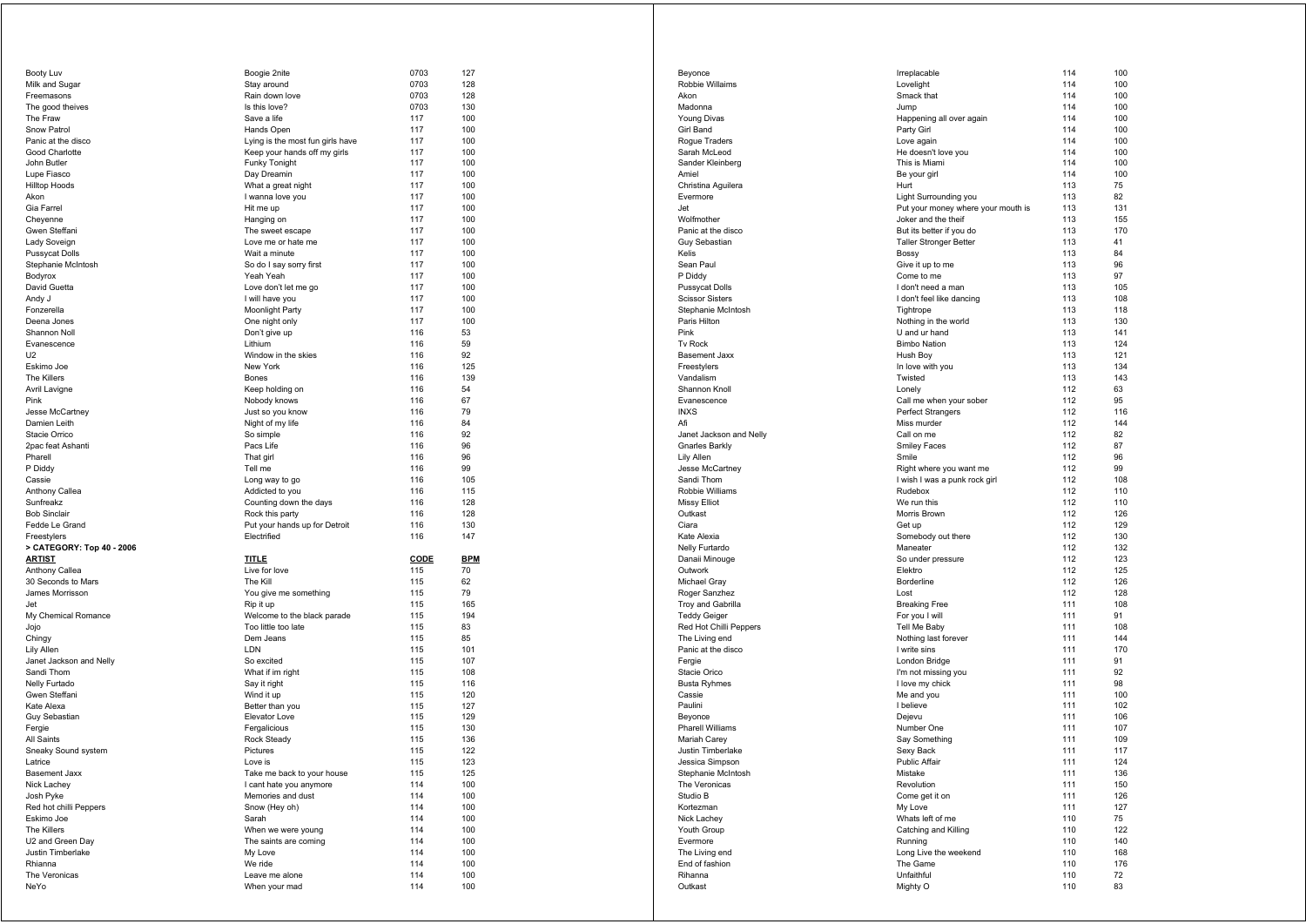| Booty Luv                                           | Boogie 2nite                     | 0703        | 127        |
|-----------------------------------------------------|----------------------------------|-------------|------------|
| Milk and Sugar                                      | Stay around                      | 0703        | 128        |
| Freemasons                                          | Rain down love                   | 0703        | 128        |
| The good theives                                    | Is this love?                    | 0703        | 130        |
| The Fraw                                            | Save a life                      | 117         | 100        |
| Snow Patrol                                         | Hands Open                       | 117         | 100        |
| Panic at the disco                                  | Lying is the most fun girls have | 117         | 100        |
| Good Charlotte                                      | Keep your hands off my girls     | 117         | 100        |
| John Butler                                         | Funky Tonight                    | 117         | 100        |
|                                                     |                                  | 117         | 100        |
| Lupe Fiasco                                         | Day Dreamin                      |             |            |
| Hilltop Hoods                                       | What a great night               | 117         | 100        |
| Akon                                                | I wanna love you                 | 117         | 100        |
| Gia Farrel                                          | Hit me up                        | 117         | 100        |
| Cheyenne                                            | Hanging on                       | 117         | 100        |
| Gwen Steffani                                       | The sweet escape                 | 117         | 100        |
| Lady Soveign                                        | Love me or hate me               | 117         | 100        |
| Pussycat Dolls                                      | Wait a minute                    | 117         | 100        |
| Stephanie McIntosh                                  | So do I say sorry first          | 117         | 100        |
| Bodyrox                                             | Yeah Yeah                        | 117         | 100        |
| David Guetta                                        |                                  | 117         | 100        |
|                                                     | Love don't let me go             |             |            |
| Andy J                                              | I will have you                  | 117         | 100        |
| Fonzerella                                          | Moonlight Party                  | 117         | 100        |
| Deena Jones                                         | One night only                   | 117         | 100        |
| Shannon Noll                                        | Don't give up                    | 116         | 53         |
| Evanescence                                         | Lithium                          | 116         | 59         |
| U2                                                  | Window in the skies              | 116         | 92         |
| Eskimo Joe                                          | New York                         | 116         | 125        |
| The Killers                                         | Bones                            | 116         | 139        |
| Avril Lavigne                                       | Keep holding on                  | 116         | 54         |
|                                                     |                                  |             |            |
| Pink                                                | Nobody knows                     | 116         | 67         |
| Jesse McCartney                                     | Just so you know                 | 116         | 79         |
| Damien Leith                                        | Night of my life                 | 116         | 84         |
| Stacie Orrico                                       | So simple                        | 116         | 92         |
| 2pac feat Ashanti                                   | Pacs Life                        | 116         | 96         |
| Pharell                                             | That girl                        | 116         | 96         |
| P Diddy                                             | Tell me                          | 116         | 99         |
| Cassie                                              | Long way to go                   | 116         | 105        |
|                                                     |                                  |             |            |
|                                                     |                                  |             |            |
| Anthony Callea                                      | Addicted to you                  | 116         | 115        |
| Sunfreakz                                           | Counting down the days           | 116         | 128        |
| <b>Bob Sinclair</b>                                 | Rock this party                  | 116         | 128        |
| Fedde Le Grand                                      | Put your hands up for Detroit    | 116         | 130        |
| Freestylers                                         | Electrified                      | 116         | 147        |
| > CATEGORY: Top 40 - 2006                           |                                  |             |            |
| <u>ARTIST</u>                                       | <b>TITLE</b>                     | <b>CODE</b> | <b>BPM</b> |
| Anthony Callea                                      | Live for love                    | 115         | 70         |
| 30 Seconds to Mars                                  | The Kill                         | 115         | 62         |
| James Morrisson                                     |                                  | 115         | 79         |
|                                                     | You give me something            |             |            |
| Jet                                                 | Rip it up                        | 115         | 165        |
| My Chemical Romance                                 | Welcome to the black parade      | 115         | 194        |
| Jojo                                                | Too little too late              | 115         | 83         |
| Chingy                                              | Dem Jeans                        | 115         | 85         |
| Lily Allen                                          | LDN                              | 115         | 101        |
| Janet Jackson and Nelly                             | So excited                       | 115         | 107        |
| Sandi Thom                                          | What if im right                 | 115         | 108        |
| Nelly Furtado                                       | Say it right                     | 115         | 116        |
| Gwen Steffani                                       | Wind it up                       | 115         | 120        |
| Kate Alexa                                          | Better than you                  | 115         | 127        |
| Guy Sebastian                                       | Elevator Love                    | 115         | 129        |
|                                                     |                                  |             |            |
| Fergie                                              | Fergalicious                     | 115         | 130        |
| All Saints                                          | Rock Steady                      | 115         | 136        |
| Sneaky Sound system                                 | Pictures                         | 115         | 122        |
| ∟атпсе                                              | Love is                          | 115         | 123        |
| Basement Jaxx                                       | Take me back to your house       | 115         | 125        |
| Nick Lachey                                         | I cant hate you anymore          | 114         | 100        |
| Josh Pyke                                           | Memories and dust                | 114         | 100        |
|                                                     | Snow (Hey oh)                    | 114         | 100        |
|                                                     | Sarah                            | 114         | 100        |
| Red hot chilli Peppers<br>Eskimo Joe<br>The Killers | When we were young               | 114         | 100        |
| U2 and Green Day                                    | The saints are coming            | 114         | 100        |
|                                                     |                                  | 114         |            |
| Justin Timberlake                                   | My Love                          |             | 100        |
| Rhianna                                             | We ride                          | 114         | 100        |
| The Veronicas<br>NeYo                               | Leave me alone<br>When your mad  | 114<br>114  | 100<br>100 |

| Beyonce                                      | Irreplacable                       | 114        | 100        |
|----------------------------------------------|------------------------------------|------------|------------|
| Robbie Willaims                              | Lovelight                          | 114        | 100        |
| Akon                                         | Smack that                         | 114        | 100        |
| Madonna                                      | Jump                               | 114        | 100        |
| Young Divas                                  | Happening all over again           | 114        | 100        |
| Girl Band                                    | Party Girl                         | 114        | 100        |
| Rogue Traders                                | Love again                         | 114        | 100        |
| Sarah McLeod                                 | He doesn't love you                | 114        | 100        |
| Sander Kleinberg                             | This is Miami                      | 114        | 100        |
| Amiel                                        | Be your girl                       | 114        | 100        |
| Christina Aguilera                           | Hurt                               | 113        | 75         |
| Evermore                                     | Light Surrounding you              | 113        | 82         |
| Jet                                          | Put your money where your mouth is | 113        | 131        |
| Wolfmother                                   | Joker and the theif                | 113        | 155        |
| Panic at the disco                           | But its better if you do           | 113        | 170        |
| Guy Sebastian                                | <b>Taller Stronger Better</b>      | 113        | 41         |
| Kelis                                        | Bossy                              | 113        | 84         |
| Sean Paul                                    | Give it up to me                   | 113        | 96         |
| P Diddy                                      | Come to me                         | 113        | 97         |
| <b>Pussycat Dolls</b>                        | I don't need a man                 | 113        | 105        |
| <b>Scissor Sisters</b><br>Stephanie McIntosh | I don't feel like dancing          | 113<br>113 | 108        |
| Paris Hilton                                 | Tightrope<br>Nothing in the world  | 113        | 118<br>130 |
| Pink                                         | U and ur hand                      | 113        | 141        |
| <b>Tv Rock</b>                               | <b>Bimbo Nation</b>                | 113        | 124        |
| <b>Basement Jaxx</b>                         | Hush Boy                           | 113        | 121        |
| Freestylers                                  | In love with you                   | 113        | 134        |
| Vandalism                                    | Twisted                            | 113        | 143        |
| Shannon Knoll                                | Lonely                             | 112        | 63         |
| Evanescence                                  | Call me when your sober            | 112        | 95         |
| <b>INXS</b>                                  | <b>Perfect Strangers</b>           | 112        | 116        |
| Afi                                          | Miss murder                        | 112        | 144        |
| Janet Jackson and Nelly                      | Call on me                         | 112        | 82         |
| <b>Gnarles Barkly</b>                        | <b>Smiley Faces</b>                | 112        | 87         |
| Lily Allen                                   | Smile                              | 112        | 96         |
| Jesse McCartney                              | Right where you want me            | 112        | 99         |
| Sandi Thom                                   | I wish I was a punk rock girl      | 112        | 108        |
| Robbie Williams                              | Rudebox                            | 112        | 110        |
| Missy Elliot                                 | We run this                        | 112        | 110        |
| Outkast                                      | Morris Brown                       | 112        | 126        |
| Ciara                                        | Get up                             | 112        | 129        |
| Kate Alexia                                  | Somebody out there                 | 112        | 130        |
| Nelly Furtardo                               | Maneater                           | 112        | 132        |
| Danaii Minouge                               | So under pressure                  | 112        | 123        |
| Outwork                                      | Elektro                            | 112        | 125        |
| Michael Gray<br>Roger Sanzhez                | Borderline<br>Lost                 | 112<br>112 | 126<br>128 |
| Troy and Gabrilla                            | <b>Breaking Free</b>               | 111        | 108        |
| <b>Teddy Geiger</b>                          | For you I will                     | 111        | 91         |
| Red Hot Chilli Peppers                       | Tell Me Baby                       | 111        | 108        |
| The Living end                               | Nothing last forever               | 111        | 144        |
| Panic at the disco                           | I write sins                       | 111        | 170        |
| Fergie                                       | London Bridge                      | 111        | 91         |
| Stacie Orico                                 | I'm not missing you                | 111        | 92         |
| <b>Busta Ryhmes</b>                          | I love my chick                    | 111        | 98         |
| Cassie                                       | Me and you                         | 111        | 100        |
| Paulini                                      | I believe                          | 111        | 102        |
| Beyonce                                      | Dejevu                             | 111        | 106        |
| Pharell Williams                             | Number One                         | 111        | 107        |
| Mariah Carev                                 | Say Something                      | 111        | 109        |
| Justin Timberlake                            | Sexy Back                          | 111        | 117        |
| Jessica Simpson                              | <b>Public Affair</b>               | 111        | 124        |
| Stephanie McIntosh                           | Mistake                            | 111        | 136        |
| The Veronicas                                | Revolution                         | 111        | 150        |
| Studio B                                     | Come get it on                     | 111        | 126        |
| Kortezman                                    | My Love                            | 111        | 127        |
| Nick Lachey                                  | Whats left of me                   | 110        | 75         |
| Youth Group                                  | Catching and Killing               | 110        | 122        |
| Evermore                                     | Running                            | 110        | 140        |
| The Living end<br>End of fashion             | Long Live the weekend<br>The Game  | 110        | 168<br>176 |
| Rihanna                                      | Unfaithful                         | 110<br>110 | 72         |
| Outkast                                      | Mighty O                           | 110        | 83         |
|                                              |                                    |            |            |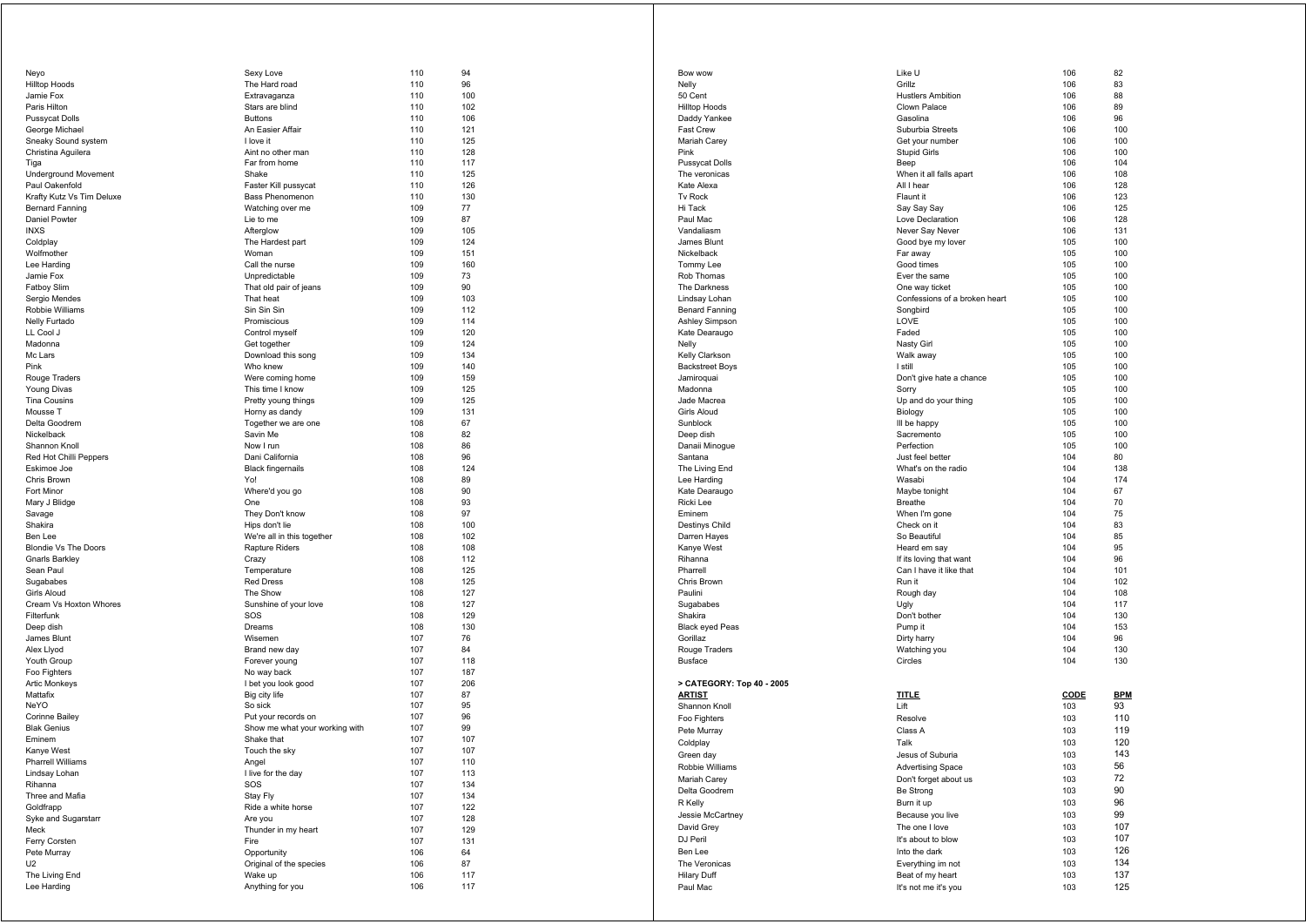| Neyo                        | Sexy Love                      | 110 | 94  |
|-----------------------------|--------------------------------|-----|-----|
| <b>Hilltop Hoods</b>        | The Hard road                  | 110 | 96  |
| Jamie Fox                   | Extravaganza                   | 110 | 100 |
| Paris Hilton                | Stars are blind                | 110 | 102 |
| <b>Pussycat Dolls</b>       | <b>Buttons</b>                 | 110 | 106 |
| George Michael              | An Easier Affair               | 110 | 121 |
| Sneaky Sound system         | I love it                      | 110 | 125 |
| Christina Aquilera          | Aint no other man              | 110 | 128 |
| Tiga                        | Far from home                  | 110 | 117 |
| <b>Underground Movement</b> | Shake                          | 110 | 125 |
|                             |                                |     |     |
| Paul Oakenfold              | Faster Kill pussycat           | 110 | 126 |
| Krafty Kutz Vs Tim Deluxe   | Bass Phenomenon                | 110 | 130 |
| <b>Bernard Fanning</b>      | Watching over me               | 109 | 77  |
| Daniel Powter               | Lie to me                      | 109 | 87  |
| <b>INXS</b>                 | Afterglow                      | 109 | 105 |
| Coldplay                    | The Hardest part               | 109 | 124 |
| Wolfmother                  | Woman                          | 109 | 151 |
| Lee Harding                 | Call the nurse                 | 109 | 160 |
| Jamie Fox                   | Unpredictable                  | 109 | 73  |
| <b>Fatboy Slim</b>          | That old pair of jeans         | 109 | 90  |
| Sergio Mendes               | That heat                      | 109 | 103 |
| Robbie Williams             | Sin Sin Sin                    | 109 | 112 |
| Nelly Furtado               | Promiscious                    | 109 | 114 |
| LL Cool J                   | Control myself                 | 109 | 120 |
| Madonna                     | Get together                   | 109 | 124 |
|                             |                                | 109 | 134 |
| Mc Lars                     | Download this song             |     |     |
| Pink                        | Who knew                       | 109 | 140 |
| Rouge Traders               | Were coming home               | 109 | 159 |
| Young Divas                 | This time I know               | 109 | 125 |
| <b>Tina Cousins</b>         | Pretty young things            | 109 | 125 |
| Mousse T                    | Horny as dandy                 | 109 | 131 |
| Delta Goodrem               | Together we are one            | 108 | 67  |
| Nickelback                  | Savin Me                       | 108 | 82  |
| Shannon Knoll               | Now I run                      | 108 | 86  |
| Red Hot Chilli Peppers      | Dani California                | 108 | 96  |
| Eskimoe Joe                 | <b>Black fingernails</b>       | 108 | 124 |
| Chris Brown                 | Yo!                            | 108 | 89  |
| Fort Minor                  | Where'd you go                 | 108 | 90  |
| Mary J Blidge               | One                            | 108 | 93  |
| Savage                      | They Don't know                | 108 | 97  |
|                             |                                |     | 100 |
| Shakira                     | Hips don't lie                 | 108 |     |
| Ben Lee                     | We're all in this together     | 108 | 102 |
| <b>Blondie Vs The Doors</b> | Rapture Riders                 | 108 | 108 |
| <b>Gnarls Barkley</b>       | Crazy                          | 108 | 112 |
| Sean Paul                   | Temperature                    | 108 | 125 |
| Sugababes                   | <b>Red Dress</b>               | 108 | 125 |
| Girls Aloud                 | The Show                       | 108 | 127 |
| Cream Vs Hoxton Whores      | Sunshine of your love          | 108 | 127 |
| Filterfunk                  | SOS                            | 108 | 129 |
| Deep dish                   | Dreams                         | 108 | 130 |
| James Blunt                 | Wisemen                        | 107 | 76  |
| Alex Llyod                  | Brand new day                  | 107 | 84  |
| Youth Group                 | Forever young                  | 107 | 118 |
| Foo Fighters                | No way back                    | 107 | 187 |
|                             |                                | 107 | 206 |
| <b>Artic Monkeys</b>        | I bet you look good            |     |     |
| Mattafix                    | Big city life                  | 107 | 87  |
| <b>NeYO</b>                 | So sick                        | 107 | 95  |
| Corinne Bailey              | Put your records on            | 107 | 96  |
| <b>Blak Genius</b>          | Show me what your working with | 107 | 99  |
| Eminem                      | Shake that                     | 107 | 107 |
| Kanye West                  | Touch the sky                  | 107 | 107 |
| Pharrell Williams           | Angel                          | 107 | 110 |
| Lindsay Lohan               | I live for the day             | 107 | 113 |
| Rihanna                     | SOS                            | 107 | 134 |
| Three and Mafia             | Stay Fly                       | 107 | 134 |
| Goldfrapp                   | Ride a white horse             | 107 | 122 |
| Syke and Sugarstarr         | Are you                        | 107 | 128 |
| Meck                        | Thunder in my heart            | 107 | 129 |
| Ferry Corsten               | Fire                           |     |     |
|                             |                                | 107 | 131 |
| Pete Murray                 | Opportunity                    | 106 | 64  |
| U <sub>2</sub>              | Original of the species        | 106 | 87  |
| The Living End              | Wake up                        | 106 | 117 |
| Lee Harding                 | Anything for you               | 106 | 117 |
|                             |                                |     |     |

| Bow wow                             | Like U                        | 106        | 82         |
|-------------------------------------|-------------------------------|------------|------------|
| Nelly                               | Grillz                        | 106        | 83         |
| 50 Cent                             | <b>Hustlers Ambition</b>      | 106        | 88         |
| <b>Hilltop Hoods</b>                | Clown Palace                  | 106        | 89         |
| Daddy Yankee                        | Gasolina                      | 106        | 96         |
| <b>Fast Crew</b>                    | Suburbia Streets              | 106        | 100        |
| Mariah Carey                        | Get your number               | 106        | 100        |
| Pink                                | <b>Stupid Girls</b>           | 106        | 100        |
| <b>Pussycat Dolls</b>               | Beep                          | 106        | 104        |
| The veronicas                       | When it all falls apart       | 106        | 108        |
| Kate Alexa                          | All I hear                    | 106        | 128        |
| <b>Tv Rock</b>                      | Flaunt it                     | 106        | 123        |
| Hi Tack                             | Say Say Say                   | 106        | 125        |
| Paul Mac                            | Love Declaration              | 106        | 128        |
| Vandaliasm                          | Never Say Never               | 106        | 131        |
| James Blunt                         | Good bye my lover             | 105        | 100        |
| Nickelback                          | Far away                      | 105        | 100        |
| Tommy Lee                           | Good times                    | 105        | 100        |
| Rob Thomas                          | Ever the same                 | 105        | 100        |
| The Darkness                        | One way ticket                | 105        | 100        |
| Lindsay Lohan                       | Confessions of a broken heart | 105        | 100        |
| <b>Benard Fanning</b>               | Songbird                      | 105        | 100        |
| Ashley Simpson                      | LOVE                          | 105        | 100        |
| Kate Dearaugo                       | Faded                         | 105        | 100        |
| Nelly                               | Nasty Girl                    | 105        | 100        |
| Kelly Clarkson                      | Walk away<br>I still          | 105        | 100        |
| <b>Backstreet Boys</b>              |                               | 105<br>105 | 100<br>100 |
| Jamiroquai                          | Don't give hate a chance      |            |            |
| Madonna<br>Jade Macrea              | Sorry<br>Up and do your thing | 105<br>105 | 100<br>100 |
| Girls Aloud                         | Biology                       | 105        | 100        |
| Sunblock                            | Ill be happy                  | 105        | 100        |
| Deep dish                           | Sacremento                    | 105        | 100        |
| Danaii Minogue                      | Perfection                    | 105        | 100        |
| Santana                             | Just feel better              | 104        | 80         |
| The Living End                      | What's on the radio           | 104        | 138        |
| Lee Harding                         | Wasabi                        | 104        | 174        |
| Kate Dearaugo                       | Maybe tonight                 | 104        | 67         |
| Ricki Lee                           | Breathe                       | 104        | 70         |
| Eminem                              | When I'm gone                 | 104        | 75         |
| Destinys Child                      | Check on it                   | 104        | 83         |
| Darren Hayes                        | So Beautiful                  | 104        | 85         |
| Kanye West                          | Heard em say                  | 104        | 95         |
| Rihanna                             | If its loving that want       | 104        | 96         |
| Pharrell                            | Can I have it like that       | 104        | 101        |
| Chris Brown                         | Run it                        | 104        | 102        |
| Paulini                             | Rough day                     | 104        | 108        |
| Sugababes                           | Ugly                          | 104        | 117        |
| Shakira                             | Don't bother                  | 104        | 130        |
| <b>Black eyed Peas</b>              | Pump it                       | 104        | 153        |
| Gorillaz                            | Dirty harry                   | 104        | 96         |
| Rouge Traders                       | Watching you                  | 104        | 130        |
| <b>Busface</b>                      | Circles                       | 104        | 130        |
|                                     |                               |            |            |
| > CATEGORY: Top 40 - 2005<br>ARTIST | <b>TITLE</b>                  | CODE       | <b>BPM</b> |
| Shannon Knoll                       | Lift                          | 103        | 93         |
|                                     |                               |            | 110        |
| Foo Fighters                        | Resolve                       | 103        | 119        |
| Pete Murray                         | Class A                       | 103        |            |
| Coldplay                            | Talk                          | 103        | 120        |
| Green day                           | Jesus of Suburia              | 103        | 143        |
| Robbie Williams                     | <b>Advertising Space</b>      | 103        | 56         |
| Mariah Carey                        | Don't forget about us         | 103        | 72         |
| Delta Goodrem                       | Be Strong                     | 103        | 90         |
| R Kelly                             | Burn it up                    | 103        | 96         |
| Jessie McCartney                    | Because you live              | 103        | 99         |
| David Grey                          | The one I love                | 103        | 107        |
| DJ Peril                            | It's about to blow            | 103        | 107        |
| Ben Lee                             | Into the dark                 | 103        | 126        |
| The Veronicas                       | Everything im not             | 103        | 134        |
| Hilary Duff                         | Beat of my heart              | 103        | 137        |
|                                     |                               |            | 125        |
| Paul Mac                            | It's not me it's you          | 103        |            |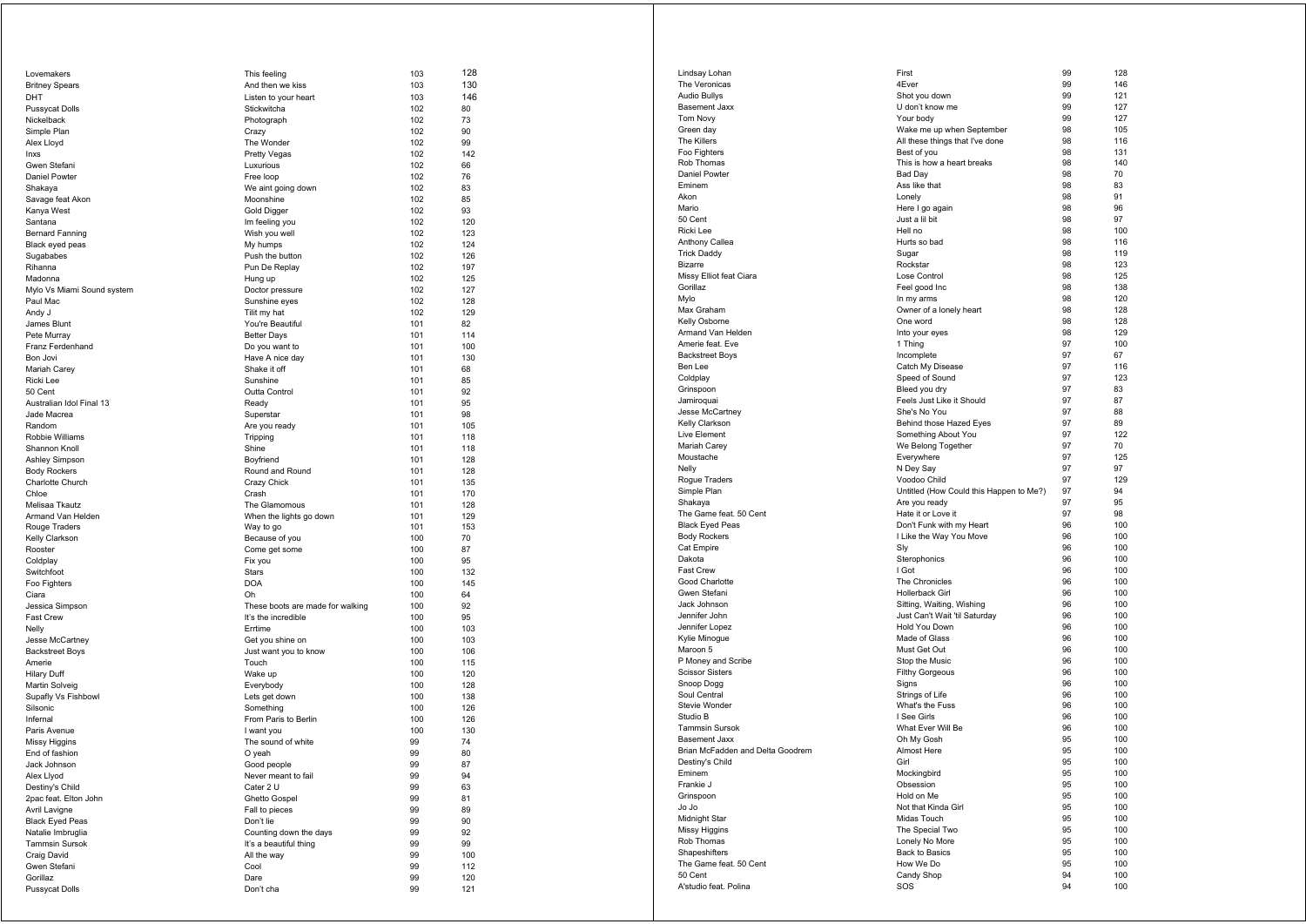| Lovemakers                                  | This feeling                                            | 103        | 128        |
|---------------------------------------------|---------------------------------------------------------|------------|------------|
| <b>Britney Spears</b>                       | And then we kiss                                        | 103        | 130        |
| DHT                                         | Listen to your heart                                    | 103        | 146        |
| Pussycat Dolls                              | Stickwitcha                                             | 102        | 80         |
| Nickelback                                  | Photograph                                              | 102        | 73<br>90   |
| Simple Plan<br>Alex Lloyd                   | Crazy<br>The Wonder                                     | 102<br>102 | 99         |
| Inxs                                        | <b>Pretty Vegas</b>                                     | 102        | 142        |
| Gwen Stefani                                | Luxurious                                               | 102        | 66         |
| Daniel Powter                               | Free loop                                               | 102        | 76         |
| Shakaya                                     | We aint going down                                      | 102        | 83         |
| Savage feat Akon                            | Moonshine                                               | 102        | 85         |
| Kanya West                                  | Gold Digger                                             | 102        | 93         |
| Santana                                     | Im feeling you                                          | 102        | 120        |
| <b>Bernard Fanning</b>                      | Wish you well                                           | 102        | 123        |
| Black eyed peas<br>Sugababes                | My humps<br>Push the button                             | 102<br>102 | 124<br>126 |
| Rihanna                                     | Pun De Replay                                           | 102        | 197        |
| Madonna                                     | Hung up                                                 | 102        | 125        |
| Mylo Vs Miami Sound system                  | Doctor pressure                                         | 102        | 127        |
| Paul Mac                                    | Sunshine eyes                                           | 102        | 128        |
| Andy J                                      | Tilit my hat                                            | 102        | 129        |
| James Blunt                                 | You're Beautiful                                        | 101        | 82         |
| Pete Murray                                 | <b>Better Days</b>                                      | 101        | 114        |
| Franz Ferdenhand                            | Do you want to                                          | 101        | 100        |
| Bon Jovi                                    | Have A nice day                                         | 101        | 130        |
| Mariah Carey<br>Ricki Lee                   | Shake it off<br>Sunshine                                | 101<br>101 | 68<br>85   |
| 50 Cent                                     | Outta Control                                           | 101        | 92         |
| Australian Idol Final 13                    | Ready                                                   | 101        | 95         |
| Jade Macrea                                 | Superstar                                               | 101        | 98         |
| Random                                      | Are you ready                                           | 101        | 105        |
| Robbie Williams                             | Tripping                                                | 101        | 118        |
| Shannon Knoll                               | Shine                                                   | 101        | 118        |
| Ashley Simpson                              | Boyfriend                                               | 101        | 128        |
| <b>Body Rockers</b>                         | Round and Round                                         | 101        | 128        |
| Charlotte Church<br>Chloe                   | Crazy Chick<br>Crash                                    | 101        | 135<br>170 |
| Melisaa Tkautz                              | The Glamomous                                           | 101<br>101 | 128        |
| Armand Van Helden                           | When the lights go down                                 | 101        | 129        |
| Rouge Traders                               | Way to go                                               | 101        | 153        |
| Kelly Clarkson                              | Because of you                                          | 100        | 70         |
| Rooster                                     | Come get some                                           | 100        | 87         |
| Coldplay                                    | Fix you                                                 | 100        | 95         |
| Switchfoot                                  | <b>Stars</b>                                            | 100        | 132        |
| Foo Fighters                                | DOA                                                     | 100        | 145        |
| Ciara                                       | Oh                                                      | 100        | 64         |
| Jessica Simpson<br>Fast Crew                | These boots are made for walking<br>It's the incredible | 100<br>100 | 92<br>95   |
| Nelly                                       | Errtime                                                 | 100        | 103        |
| Jesse McCartney                             | Get you shine on                                        | 100        | 103        |
| <b>Backstreet Boys</b>                      | Just want you to know                                   | 100        | 106        |
| Amerie                                      | Touch                                                   | 100        | 115        |
| Hilary Duff                                 | Wake up                                                 | 100        | 120        |
| Martin Solveig                              | Everybody                                               | 100        | 128        |
| Supafly Vs Fishbowl                         | Lets get down                                           | 100        | 138        |
| Silsonic<br>Infernal                        | Something<br>From Paris to Berlin                       | 100<br>100 | 126<br>126 |
| Paris Avenue                                | I want you                                              | 100        | 130        |
| Missy Higgins                               | The sound of white                                      | 99         | 74         |
| End of fashion                              | O yeah                                                  | 99         | 80         |
| Jack Johnson                                | Good people                                             | 99         | 87         |
| Alex Llyod                                  | Never meant to fail                                     | 99         | 94         |
| Destiny's Child                             | Cater 2 U                                               | 99         | 63         |
| 2pac feat. Elton John                       | <b>Ghetto Gospel</b>                                    | 99         | 81         |
| Avril Lavigne                               | Fall to pieces                                          | 99         | 89         |
| <b>Black Eyed Peas</b><br>Natalie Imbruglia | Don't lie                                               | 99         | 90         |
| Tammsin Sursok                              | Counting down the days<br>It's a beautiful thing        | 99<br>99   | 92<br>99   |
| Craig David                                 | All the way                                             | 99         | 100        |
| Gwen Stefani                                | Cool                                                    | 99         | 112        |
| Gorillaz                                    | Dare                                                    | 99         | 120        |
| <b>Pussycat Dolls</b>                       | Don't cha                                               | 99         | 121        |
|                                             |                                                         |            |            |

| Lindsay Lohan                                     | First                                                      | 99       | 128        |
|---------------------------------------------------|------------------------------------------------------------|----------|------------|
| The Veronicas                                     | 4Ever                                                      | 99       | 146        |
| Audio Bullys                                      | Shot you down                                              | 99       | 121        |
| Basement Jaxx                                     | U don't know me                                            | 99       | 127        |
| Tom Novy                                          | Your body                                                  | 99       | 127        |
| Green day                                         | Wake me up when September                                  | 98       | 105        |
| The Killers                                       | All these things that I've done                            | 98       | 116        |
| Foo Fighters                                      | Best of you                                                | 98       | 131        |
| Rob Thomas                                        | This is how a heart breaks                                 | 98       | 140        |
| Daniel Powter<br>Eminem                           | Bad Day<br>Ass like that                                   | 98<br>98 | 70<br>83   |
| Akon                                              | Lonely                                                     | 98       | 91         |
| Mario                                             | Here I go again                                            | 98       | 96         |
| 50 Cent                                           | Just a lil bit                                             | 98       | 97         |
| Ricki Lee                                         | Hell no                                                    | 98       | 100        |
| Anthony Callea                                    | Hurts so bad                                               | 98       | 116        |
| <b>Trick Daddy</b>                                | Sugar                                                      | 98       | 119        |
| <b>Bizarre</b>                                    | Rockstar                                                   | 98       | 123        |
| Missy Elliot feat Ciara                           | Lose Control                                               | 98       | 125        |
| Gorillaz                                          | Feel good Inc                                              | 98       | 138        |
| Mylo                                              | In my arms                                                 | 98       | 120        |
| Max Graham<br>Kelly Osborne                       | Owner of a lonely heart<br>One word                        | 98<br>98 | 128<br>128 |
| Armand Van Helden                                 | Into your eyes                                             | 98       | 129        |
| Amerie feat. Eve                                  | 1 Thing                                                    | 97       | 100        |
| <b>Backstreet Boys</b>                            | Incomplete                                                 | 97       | 67         |
| Ben Lee                                           | Catch My Disease                                           | 97       | 116        |
| Coldplay                                          | Speed of Sound                                             | 97       | 123        |
| Grinspoon                                         | Bleed you dry                                              | 97       | 83         |
| Jamiroquai                                        | Feels Just Like it Should                                  | 97       | 87         |
| Jesse McCartney                                   | She's No You                                               | 97       | 88         |
| Kelly Clarkson                                    | Behind those Hazed Eyes                                    | 97       | 89         |
| Live Element                                      | Something About You                                        | 97       | 122        |
| Mariah Carey<br>Moustache                         | We Belong Together<br>Everywhere                           | 97<br>97 | 70<br>125  |
| Nelly                                             | N Dey Say                                                  | 97       | 97         |
| Rogue Traders                                     | Voodoo Child                                               | 97       | 129        |
| Simple Plan                                       | Untitled (How Could this Happen to Me?)                    | 97       | 94         |
| Shakaya                                           | Are you ready                                              | 97       | 95         |
| The Game feat. 50 Cent                            | Hate it or Love it                                         | 97       | 98         |
| <b>Black Eyed Peas</b>                            | Don't Funk with my Heart                                   | 96       | 100        |
| <b>Body Rockers</b>                               | I Like the Way You Move                                    | 96       | 100        |
| Cat Empire                                        | Sly                                                        | 96       | 100        |
| Dakota                                            | Sterophonics                                               | 96       | 100        |
| Fast Crew                                         | I Got                                                      | 96       | 100        |
| Good Charlotte                                    | The Chronicles<br>Hollerback Girl                          | 96<br>96 | 100        |
| Gwen Stefani<br>Jack Johnson                      |                                                            | 96       | 100<br>100 |
| Jennifer John                                     | Sitting, Waiting, Wishing<br>Just Can't Wait 'til Saturday | 96       | 100        |
| Jennifer Lopez                                    | Hold You Down                                              | 96       | 100        |
| Kylie Minogue                                     | Made of Glass                                              | 96       | 100        |
| Maroon 5                                          | Must Get Out                                               | 96       | 100        |
| P Money and Scribe                                | Stop the Music                                             | 96       | 100        |
| <b>Scissor Sisters</b>                            | <b>Filthy Gorgeous</b>                                     | 96       | 100        |
| Snoop Dogg                                        | Signs                                                      | 96       | 100        |
| Soul Central                                      | Strings of Life                                            | 96       | 100        |
| <b>Stevie Wonder</b>                              | What's the Fuss                                            | 96       | 100        |
| Studio B                                          | I See Girls                                                | 96       | 100        |
| <b>Tammsin Sursok</b>                             | What Ever Will Be<br>Oh My Gosh                            | 96<br>95 | 100<br>100 |
| Basement Jaxx<br>Brian McFadden and Delta Goodrem | Almost Here                                                | 95       | 100        |
| Destiny's Child                                   | Girl                                                       | 95       | 100        |
| Eminem                                            | Mockingbird                                                | 95       | 100        |
| Frankie J                                         | Obsession                                                  | 95       | 100        |
| Grinspoon                                         | Hold on Me                                                 | 95       | 100        |
| Jo Jo                                             | Not that Kinda Girl                                        | 95       | 100        |
| Midnight Star                                     | Midas Touch                                                | 95       | 100        |
| Missy Higgins                                     | The Special Two                                            | 95       | 100        |
| Rob Thomas                                        | Lonely No More                                             | 95       | 100        |
| Shapeshifters                                     | Back to Basics                                             | 95       | 100        |
| The Game feat. 50 Cent                            | How We Do                                                  | 95       | 100        |
| 50 Cent                                           | Candy Shop                                                 | 94       | 100        |
| A'studio feat. Polina                             | SOS                                                        | 94       | 100        |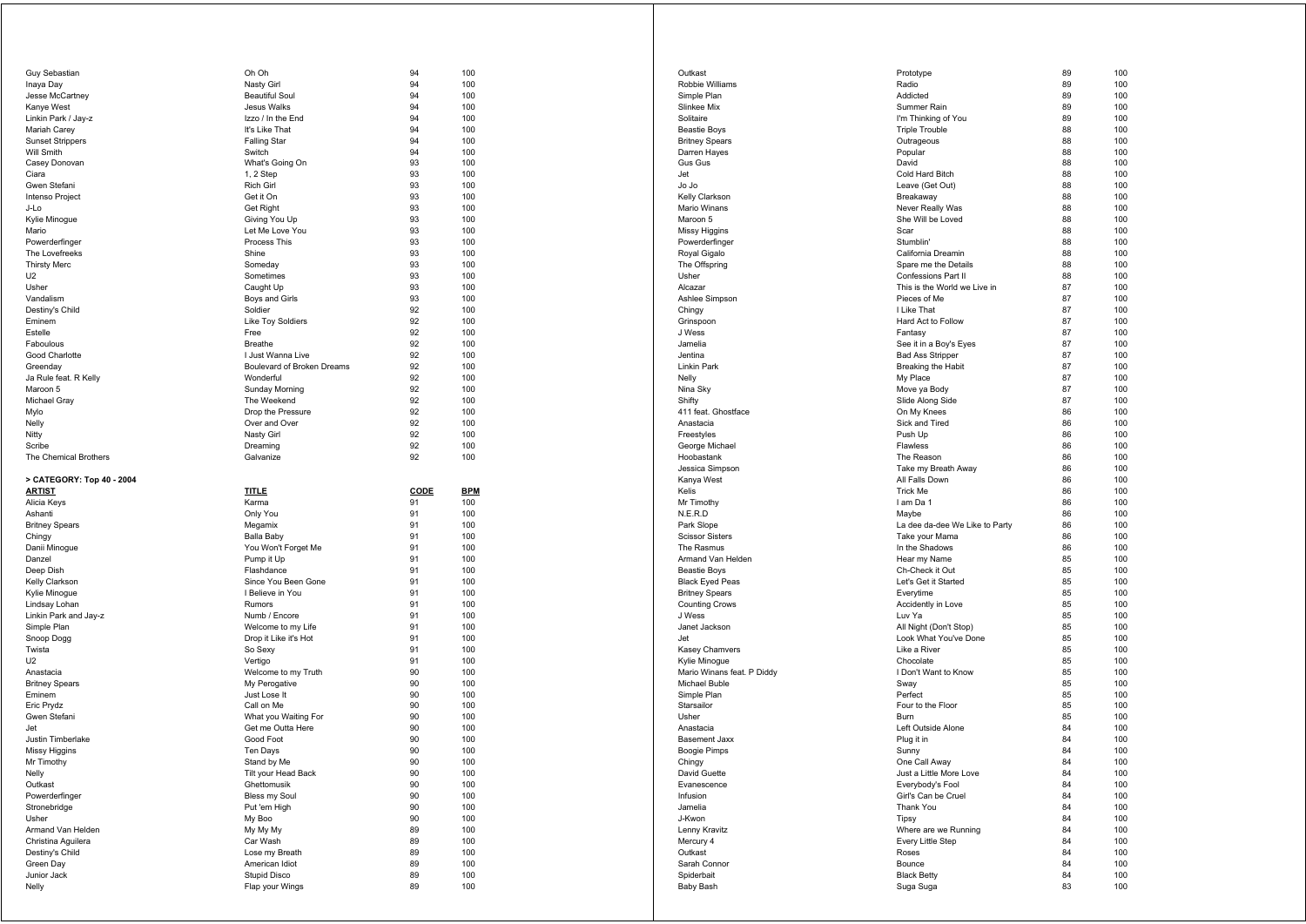| <b>Guy Sebastian</b>      | Oh Oh                           | 94       | 100        |
|---------------------------|---------------------------------|----------|------------|
| Inaya Day                 | Nasty Girl                      | 94       | 100        |
| Jesse McCartney           | <b>Beautiful Soul</b>           | 94       | 100        |
| Kanye West                | <b>Jesus Walks</b>              | 94       | 100        |
| Linkin Park / Jay-z       | Izzo / In the End               | 94       | 100        |
| Mariah Carey              | It's Like That                  | 94       | 100        |
| <b>Sunset Strippers</b>   | <b>Falling Star</b>             | 94       | 100        |
|                           |                                 |          |            |
| Will Smith                | Switch                          | 94       | 100        |
| Casey Donovan             | What's Going On                 | 93       | 100        |
| Ciara                     | 1, 2 Step                       | 93       | 100        |
| Gwen Stefani              | <b>Rich Girl</b>                | 93       | 100        |
| Intenso Project           | Get it On                       | 93       | 100        |
| J-Lo                      | <b>Get Right</b>                | 93       | 100        |
| Kylie Minogue             | Giving You Up                   | 93       | 100        |
| Mario                     | Let Me Love You                 | 93       | 100        |
|                           |                                 |          |            |
| Powerderfinger            | Process This                    | 93       | 100        |
| The Lovefreeks            | Shine                           | 93       | 100        |
| <b>Thirsty Merc</b>       | Someday                         | 93       | 100        |
| U <sub>2</sub>            | Sometimes                       | 93       | 100        |
| Usher                     | Caught Up                       | 93       | 100        |
| Vandalism                 | Boys and Girls                  | 93       | 100        |
| Destiny's Child           | Soldier                         | 92       | 100        |
| Eminem                    | Like Toy Soldiers               | 92       | 100        |
| Estelle                   | Free                            | 92       | 100        |
|                           |                                 |          |            |
| Faboulous                 | <b>Breathe</b>                  | 92       | 100        |
| Good Charlotte            | I Just Wanna Live               | 92       | 100        |
| Greenday                  | Boulevard of Broken Dreams      | 92       | 100        |
| Ja Rule feat. R Kelly     | Wonderful                       | 92       | 100        |
| Maroon 5                  | Sunday Morning                  | 92       | 100        |
| Michael Gray              | The Weekend                     | 92       | 100        |
| Mylo                      | Drop the Pressure               | 92       | 100        |
| Nelly                     | Over and Over                   | 92       | 100        |
|                           |                                 |          |            |
| Nitty                     | Nasty Girl                      | 92       | 100        |
| Scribe                    | Dreaming                        | 92       | 100        |
| The Chemical Brothers     | Galvanize                       | 92       | 100        |
|                           |                                 |          |            |
|                           |                                 |          |            |
| > CATEGORY: Top 40 - 2004 |                                 |          |            |
|                           |                                 | CODE     |            |
| <b>ARTIST</b>             | <b>TITLE</b>                    |          | <b>BPM</b> |
| Alicia Keys               | Karma                           | 91       | 100        |
| Ashanti                   | Only You                        | 91       | 100        |
| <b>Britney Spears</b>     | Megamix                         | 91       | 100        |
| Chingy                    | Balla Baby                      | 91       | 100        |
| Danii Minogue             | You Won't Forget Me             | 91       | 100        |
| Danzel                    | Pump it Up                      | 91       | 100        |
| Deep Dish                 | Flashdance                      | 91       | 100        |
| Kelly Clarkson            | Since You Been Gone             | 91       | 100        |
|                           | I Believe in You                | 91       | 100        |
| Kylie Minogue             |                                 |          |            |
| Lindsay Lohan             | Rumors                          | 91       | 100        |
| Linkin Park and Jay-z     | Numb / Encore                   | 91       | 100        |
| Simple Plan               | Welcome to my Life              | 91       | 100        |
| Snoop Dogg                | Drop it Like it's Hot           | 91       | 100        |
| Twista                    | So Sexy                         | 91       | 100        |
| U <sub>2</sub>            | Vertigo                         | 91       | 100        |
| Anastacia                 | Welcome to my Truth             | 90       | 100        |
| <b>Britney Spears</b>     | My Perogative                   | 90       | 100        |
| Eminem                    | Just Lose It                    | 90       | 100        |
|                           |                                 |          |            |
| Eric Prydz                | Call on Me                      | 90       | 100        |
| Gwen Stefani              | What you Waiting For            | 90       | 100        |
| Jet                       | Get me Outta Here               | 90       | 100        |
| Justin Timberlake         | Good Foot                       | 90       | 100        |
| Missy Higgins             | Ten Days                        | 90       | 100        |
| Mr Timothy                | Stand by Me                     | 90       | 100        |
| Nelly                     | Tilt your Head Back             | 90       | 100        |
| Outkast                   | Ghettomusik                     | 90       | 100        |
| Powerderfinger            | Bless my Soul                   | 90       | 100        |
| Stronebridge              | Put 'em High                    | 90       | 100        |
|                           |                                 |          |            |
| Usher                     | My Boo                          | 90       | 100        |
| Armand Van Helden         | My My My                        | 89       | 100        |
| Christina Aguilera        | Car Wash                        | 89       | 100        |
| Destiny's Child           | Lose my Breath                  | 89       | 100        |
| Green Day                 | American Idiot                  | 89       | 100        |
| Junior Jack<br>Nelly      | Stupid Disco<br>Flap your Wings | 89<br>89 | 100<br>100 |

| Outkast                    | Prototype                      | 89 | 100 |
|----------------------------|--------------------------------|----|-----|
| Robbie Williams            | Radio                          | 89 | 100 |
| Simple Plan                | Addicted                       | 89 | 100 |
| Slinkee Mix                | Summer Rain                    | 89 | 100 |
| Solitaire                  | I'm Thinking of You            | 89 | 100 |
| Beastie Boys               | <b>Triple Trouble</b>          | 88 | 100 |
|                            |                                |    |     |
| <b>Britney Spears</b>      | Outrageous                     | 88 | 100 |
| Darren Hayes               | Popular                        | 88 | 100 |
| Gus Gus                    | David                          | 88 | 100 |
| .let                       | Cold Hard Bitch                | 88 | 100 |
| Jo Jo                      | Leave (Get Out)                | 88 | 100 |
| Kelly Clarkson             | Breakaway                      | 88 | 100 |
| Mario Winans               | Never Really Was               | 88 | 100 |
|                            |                                |    |     |
| Maroon 5                   | She Will be Loved              | 88 | 100 |
| Missy Higgins              | Scar                           | 88 | 100 |
| Powerderfinger             | Stumblin'                      | 88 | 100 |
| Royal Gigalo               | California Dreamin             | 88 | 100 |
| The Offspring              | Spare me the Details           | 88 | 100 |
| Usher                      | Confessions Part II            | 88 | 100 |
| Alcazar                    | This is the World we Live in   | 87 | 100 |
|                            | Pieces of Me                   | 87 | 100 |
| Ashlee Simpson             |                                |    |     |
| Chingy                     | I Like That                    | 87 | 100 |
| Grinspoon                  | Hard Act to Follow             | 87 | 100 |
| J Wess                     | Fantasy                        | 87 | 100 |
| Jamelia                    | See it in a Boy's Eyes         | 87 | 100 |
| Jentina                    | <b>Bad Ass Stripper</b>        | 87 | 100 |
| Linkin Park                | Breaking the Habit             | 87 | 100 |
|                            | My Place                       | 87 | 100 |
| Nelly                      |                                |    |     |
| Nina Sky                   | Move ya Body                   | 87 | 100 |
| Shifty                     | Slide Along Side               | 87 | 100 |
| 411 feat. Ghostface        | On My Knees                    | 86 | 100 |
| Anastacia                  | Sick and Tired                 | 86 | 100 |
| Freestyles                 | Push Up                        | 86 | 100 |
| George Michael             | Flawless                       | 86 | 100 |
| Hoobastank                 | The Reason                     | 86 | 100 |
|                            |                                |    |     |
| Jessica Simpson            | Take my Breath Away            | 86 | 100 |
| Kanya West                 | All Falls Down                 | 86 | 100 |
| Kelis                      | <b>Trick Me</b>                | 86 | 100 |
| Mr Timothy                 | I am Da 1                      | 86 | 100 |
| N.E.R.D                    | Maybe                          | 86 | 100 |
| Park Slope                 | La dee da-dee We Like to Party | 86 | 100 |
| <b>Scissor Sisters</b>     | Take your Mama                 | 86 | 100 |
|                            |                                | 86 |     |
| The Rasmus                 | In the Shadows                 |    | 100 |
| Armand Van Helden          | Hear my Name                   | 85 | 100 |
| Beastie Boys               | Ch-Check it Out                | 85 | 100 |
| <b>Black Eyed Peas</b>     | Let's Get it Started           | 85 | 100 |
| <b>Britney Spears</b>      | Everytime                      | 85 | 100 |
| <b>Counting Crows</b>      | Accidently in Love             | 85 | 100 |
| J Wess                     | Luv Ya                         | 85 | 100 |
|                            |                                |    | 100 |
| Janet Jackson              | All Night (Don't Stop)         | 85 |     |
| Jet                        | Look What You've Done          | 85 | 100 |
| Kasey Chamvers             | Like a River                   | 85 | 100 |
| Kylie Minoque              | Chocolate                      | 85 | 100 |
| Mario Winans feat. P Diddy | I Don't Want to Know           | 85 | 100 |
| Michael Buble              | Sway                           | 85 | 100 |
| Simple Plan                | Perfect                        | 85 | 100 |
| Starsailor                 | Four to the Floor              | 85 | 100 |
|                            |                                |    |     |
| Usher                      | Burn                           | 85 | 100 |
| Anastacia                  | Left Outside Alone             | 84 | 100 |
| <b>Basement Jaxx</b>       | Plug it in                     | 84 | 100 |
| Boogie Pimps               | Sunny                          | 84 | 100 |
| Chingy                     | One Call Away                  | 84 | 100 |
| David Guette               | Just a Little More Love        | 84 | 100 |
| Evanescence                | Everybody's Fool               | 84 | 100 |
| Infusion                   | Girl's Can be Cruel            | 84 | 100 |
|                            |                                |    |     |
| Jamelia                    | Thank You                      | 84 | 100 |
| J-Kwon                     | <b>Tipsy</b>                   | 84 | 100 |
| Lenny Kravitz              | Where are we Running           | 84 | 100 |
| Mercury 4                  | Every Little Step              | 84 | 100 |
| Outkast                    | Roses                          | 84 | 100 |
| Sarah Connor               | Bounce                         | 84 | 100 |
| Spiderbait                 | <b>Black Betty</b>             | 84 | 100 |
|                            |                                |    |     |
| <b>Baby Bash</b>           | Suga Suga                      | 83 | 100 |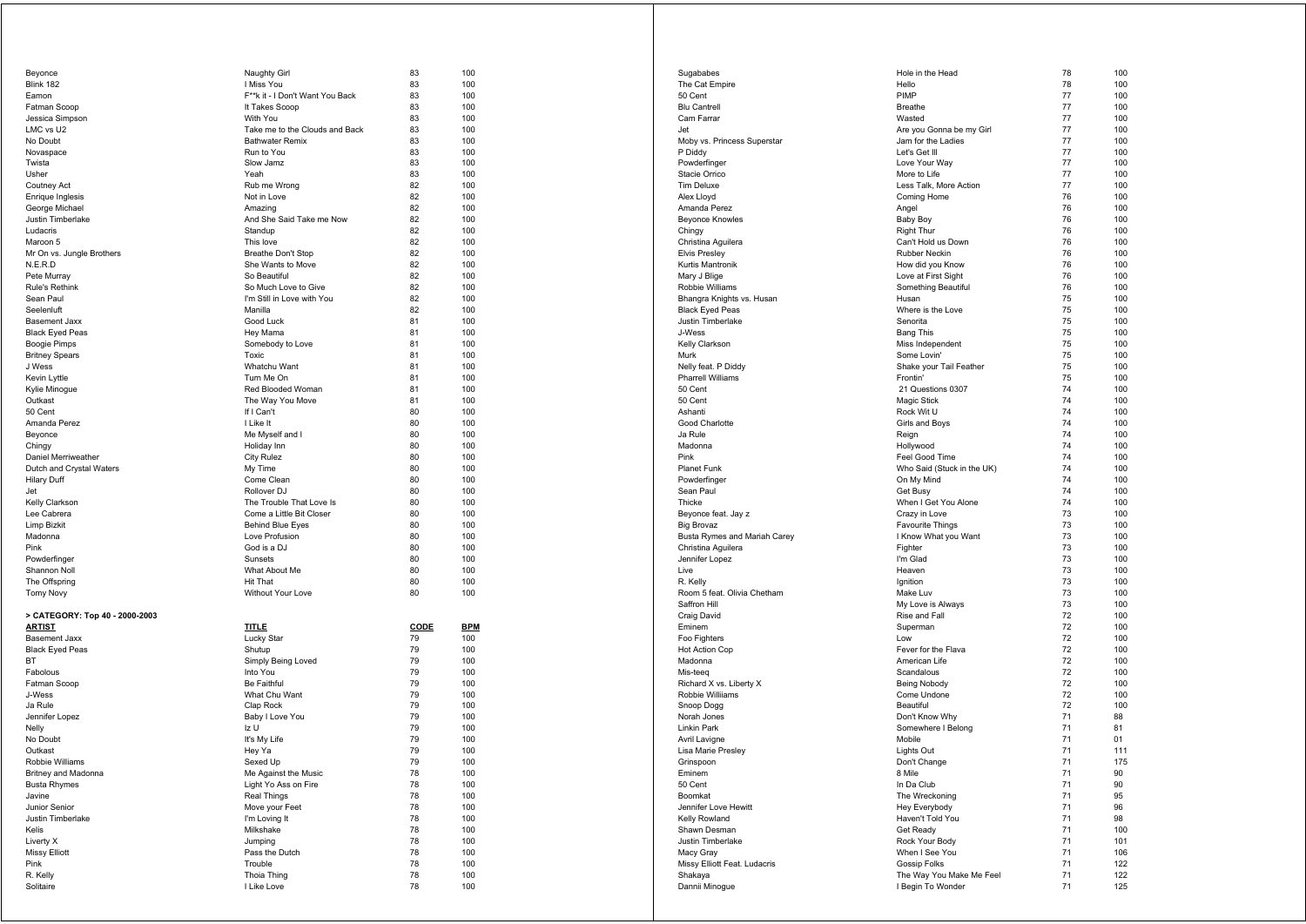| Beyonce                        | Naughty Girl                    | 83          | 100        |
|--------------------------------|---------------------------------|-------------|------------|
| Blink 182                      | I Miss You                      | 83          | 100        |
| Eamon                          | F**k it - I Don't Want You Back | 83          | 100        |
| Fatman Scoop                   | It Takes Scoop                  | 83          | 100        |
| Jessica Simpson                | With You                        | 83          | 100        |
| LMC vs U2                      | Take me to the Clouds and Back  | 83          | 100        |
| No Doubt                       | <b>Bathwater Remix</b>          | 83          | 100        |
|                                |                                 |             |            |
| Novaspace                      | Run to You                      | 83          | 100        |
| Twista                         | Slow Jamz                       | 83          | 100        |
| Usher                          | Yeah                            | 83          | 100        |
| Coutney Act                    | Rub me Wrong                    | 82          | 100        |
| Enrique Inglesis               | Not in Love                     | 82          | 100        |
| George Michael                 | Amazing                         | 82          | 100        |
| Justin Timberlake              | And She Said Take me Now        | 82          | 100        |
| Ludacris                       | Standup                         | 82          | 100        |
|                                |                                 |             |            |
| Maroon 5                       | This love                       | 82          | 100        |
| Mr On vs. Jungle Brothers      | Breathe Don't Stop              | 82          | 100        |
| N.E.R.D                        | She Wants to Move               | 82          | 100        |
| Pete Murray                    | So Beautiful                    | 82          | 100        |
| <b>Rule's Rethink</b>          | So Much Love to Give            | 82          | 100        |
| Sean Paul                      | I'm Still in Love with You      | 82          | 100        |
| Seelenluft                     | Manilla                         | 82          | 100        |
| <b>Basement Jaxx</b>           | Good Luck                       | 81          | 100        |
|                                |                                 | 81          | 100        |
| <b>Black Eyed Peas</b>         | Hey Mama                        |             |            |
| Boogie Pimps                   | Somebody to Love                | 81          | 100        |
| <b>Britney Spears</b>          | Toxic                           | 81          | 100        |
| J Wess                         | Whatchu Want                    | 81          | 100        |
| Kevin Lyttle                   | Turn Me On                      | 81          | 100        |
| Kylie Minoque                  | Red Blooded Woman               | 81          | 100        |
| Outkast                        | The Way You Move                | 81          | 100        |
| 50 Cent                        | If I Can't                      | 80          | 100        |
|                                |                                 |             |            |
| Amanda Perez                   | I Like It                       | 80          | 100        |
| Beyonce                        | Me Myself and I                 | 80          | 100        |
| Chingy                         | Holiday Inn                     | 80          | 100        |
| Daniel Merriweather            | <b>City Rulez</b>               | 80          | 100        |
| Dutch and Crystal Waters       | My Time                         | 80          | 100        |
| Hilary Duff                    | Come Clean                      | 80          | 100        |
| Jet                            | Rollover DJ                     | 80          | 100        |
| Kelly Clarkson                 | The Trouble That Love Is        | 80          | 100        |
| Lee Cabrera                    | Come a Little Bit Closer        | 80          | 100        |
|                                |                                 |             |            |
| Limp Bizkit                    | <b>Behind Blue Eyes</b>         | 80          | 100        |
| Madonna                        | Love Profusion                  | 80          | 100        |
| Pink                           | God is a DJ                     | 80          | 100        |
| Powderfinger                   | Sunsets                         | 80          | 100        |
| Shannon Noll                   | What About Me                   | 80          | 100        |
| The Offspring                  | <b>Hit That</b>                 | 80          | 100        |
| <b>Tomy Novy</b>               | Without Your Love               | 80          | 100        |
|                                |                                 |             |            |
|                                |                                 |             |            |
| > CATEGORY: Top 40 - 2000-2003 |                                 |             |            |
| <b>ARTIST</b>                  | <b>TITLE</b>                    | <b>CODE</b> | <b>BPM</b> |
| <b>Basement Jaxx</b>           | Lucky Star                      | 79          | 100        |
| <b>Black Eyed Peas</b>         | Shutup                          | 79          | 100        |
| BT                             | Simply Being Loved              | 79          | 100        |
| Fabolous                       | Into You                        | 79          | 100        |
| Fatman Scoop                   | Be Faithful                     | 79          | 100        |
| J-Wess                         | What Chu Want                   | 79          | 100        |
| Ja Rule                        | Clap Rock                       | 79          | 100        |
|                                |                                 |             |            |
| Jennifer Lopez                 | Baby I Love You                 | 79          | 100        |
| Nelly                          | Iz U                            | 79          | 100        |
| No Doubt                       | It's My Life                    | 79          | 100        |
| Outkast                        | Hey Ya                          | 79          | 100        |
| Robbie Williams                | Sexed Up                        | 79          | 100        |
| Britney and Madonna            | Me Against the Music            | 78          | 100        |
| <b>Busta Rhymes</b>            | Light Yo Ass on Fire            | 78          | 100        |
| Javine                         | Real Things                     | 78          | 100        |
|                                |                                 |             |            |
| Junior Senior                  | Move your Feet                  | 78          | 100        |
| Justin Timberlake              | I'm Loving It                   | 78          | 100        |
| Kelis                          | Milkshake                       | 78          | 100        |
| Liverty X                      | Jumping                         | 78          | 100        |
| <b>Missy Elliott</b>           | Pass the Dutch                  | 78          | 100        |
| Pink                           | Trouble                         | 78          | 100        |
|                                |                                 |             |            |
|                                |                                 | 78          |            |
| R. Kelly<br>Solitaire          | Thoia Thing<br>I Like Love      | 78          | 100<br>100 |

| Sugababes                           | Hole in the Head           | 78 | 100 |
|-------------------------------------|----------------------------|----|-----|
| The Cat Empire                      | Hello                      | 78 | 100 |
| 50 Cent                             | PIMP                       | 77 | 100 |
| <b>Blu Cantrell</b>                 | <b>Breathe</b>             | 77 | 100 |
| Cam Farrar                          | Wasted                     | 77 | 100 |
| Jet                                 | Are you Gonna be my Girl   | 77 | 100 |
| Moby vs. Princess Superstar         | Jam for the Ladies         | 77 | 100 |
| P Diddy                             | Let's Get III              | 77 | 100 |
| Powderfinger                        | Love Your Way              | 77 | 100 |
| <b>Stacie Orrico</b>                | More to Life               | 77 | 100 |
| <b>Tim Deluxe</b>                   | Less Talk, More Action     | 77 | 100 |
| Alex Lloyd                          | Coming Home                | 76 | 100 |
| Amanda Perez                        | Angel                      | 76 | 100 |
| Beyonce Knowles                     | <b>Baby Boy</b>            | 76 | 100 |
| Chingy                              | <b>Right Thur</b>          | 76 | 100 |
| Christina Aquilera                  | Can't Hold us Down         | 76 | 100 |
| Elvis Presley                       | Rubber Neckin              | 76 | 100 |
| Kurtis Mantronik                    | How did you Know           | 76 | 100 |
| Mary J Blige                        | Love at First Sight        | 76 | 100 |
| Robbie Williams                     | Something Beautiful        | 76 | 100 |
| Bhangra Knights vs. Husan           | Husan                      | 75 | 100 |
| <b>Black Eyed Peas</b>              | Where is the Love          | 75 | 100 |
| Justin Timberlake                   | Senorita                   | 75 | 100 |
| J-Wess                              | <b>Bang This</b>           | 75 | 100 |
|                                     |                            | 75 | 100 |
| Kelly Clarkson                      | Miss Independent           |    |     |
| Murk                                | Some Lovin'                | 75 | 100 |
| Nelly feat. P Diddy                 | Shake your Tail Feather    | 75 | 100 |
| Pharrell Williams                   | Frontin'                   | 75 | 100 |
| 50 Cent                             | 21 Questions 0307          | 74 | 100 |
| 50 Cent                             | Magic Stick                | 74 | 100 |
| Ashanti                             | Rock Wit U                 | 74 | 100 |
| Good Charlotte                      | Girls and Boys             | 74 | 100 |
| Ja Rule                             | Reign                      | 74 | 100 |
| Madonna                             | Hollywood                  | 74 | 100 |
| Pink                                | Feel Good Time             | 74 | 100 |
| <b>Planet Funk</b>                  | Who Said (Stuck in the UK) | 74 | 100 |
| Powderfinger                        | On My Mind                 | 74 | 100 |
| Sean Paul                           | Get Busy                   | 74 | 100 |
| Thicke                              | When I Get You Alone       | 74 | 100 |
| Beyonce feat. Jay z                 | Crazy in Love              | 73 | 100 |
| <b>Big Brovaz</b>                   | Favourite Things           | 73 | 100 |
| Busta Rymes and Mariah Carey        | I Know What you Want       | 73 | 100 |
| Christina Aguilera                  | Fighter                    | 73 | 100 |
| Jennifer Lopez                      | I'm Glad                   | 73 | 100 |
| Live                                | Heaven                     | 73 | 100 |
| R. Kelly                            | Ignition                   | 73 | 100 |
| Room 5 feat. Olivia Chetham         | Make Luv                   | 73 | 100 |
| Saffron Hill                        | My Love is Always          | 73 | 100 |
| Craig David                         | Rise and Fall              | 72 | 100 |
| Eminem                              | Superman                   | 72 | 100 |
| Foo Fighters                        | Low                        | 72 | 100 |
| <b>Hot Action Cop</b>               | Fever for the Flava        | 72 | 100 |
|                                     | American Life              | 72 | 100 |
| Madonna                             | Scandalous                 | 72 | 100 |
| Mis-teeq<br>Richard X vs. Liberty X |                            |    |     |
|                                     | Being Nobody               | 72 | 100 |
| Robbie Williiams                    | Come Undone                | 72 | 100 |
| Snoop Dogg                          | Beautiful                  | 72 | 100 |
| Norah Jones                         | Don't Know Why             | 71 | 88  |
| Linkin Park                         | Somewhere I Belong         | 71 | 81  |
| Avril Lavigne                       | Mobile                     | 71 | 01  |
| Lisa Marie Presley                  | Lights Out                 | 71 | 111 |
| Grinspoon                           | Don't Change               | 71 | 175 |
| Eminem                              | 8 Mile                     | 71 | 90  |
| 50 Cent                             | In Da Club                 | 71 | 90  |
| Boomkat                             | The Wreckoning             | 71 | 95  |
| Jennifer Love Hewitt                | Hey Everybody              | 71 | 96  |
| Kelly Rowland                       | Haven't Told You           | 71 | 98  |
| Shawn Desman                        | Get Ready                  | 71 | 100 |
| Justin Timberlake                   | Rock Your Body             | 71 | 101 |
| Macy Gray                           | When I See You             | 71 | 106 |
| Missy Elliott Feat. Ludacris        | Gossip Folks               | 71 | 122 |
| Shakaya                             | The Way You Make Me Feel   | 71 | 122 |
| Dannii Minoque                      | I Begin To Wonder          | 71 | 125 |
|                                     |                            |    |     |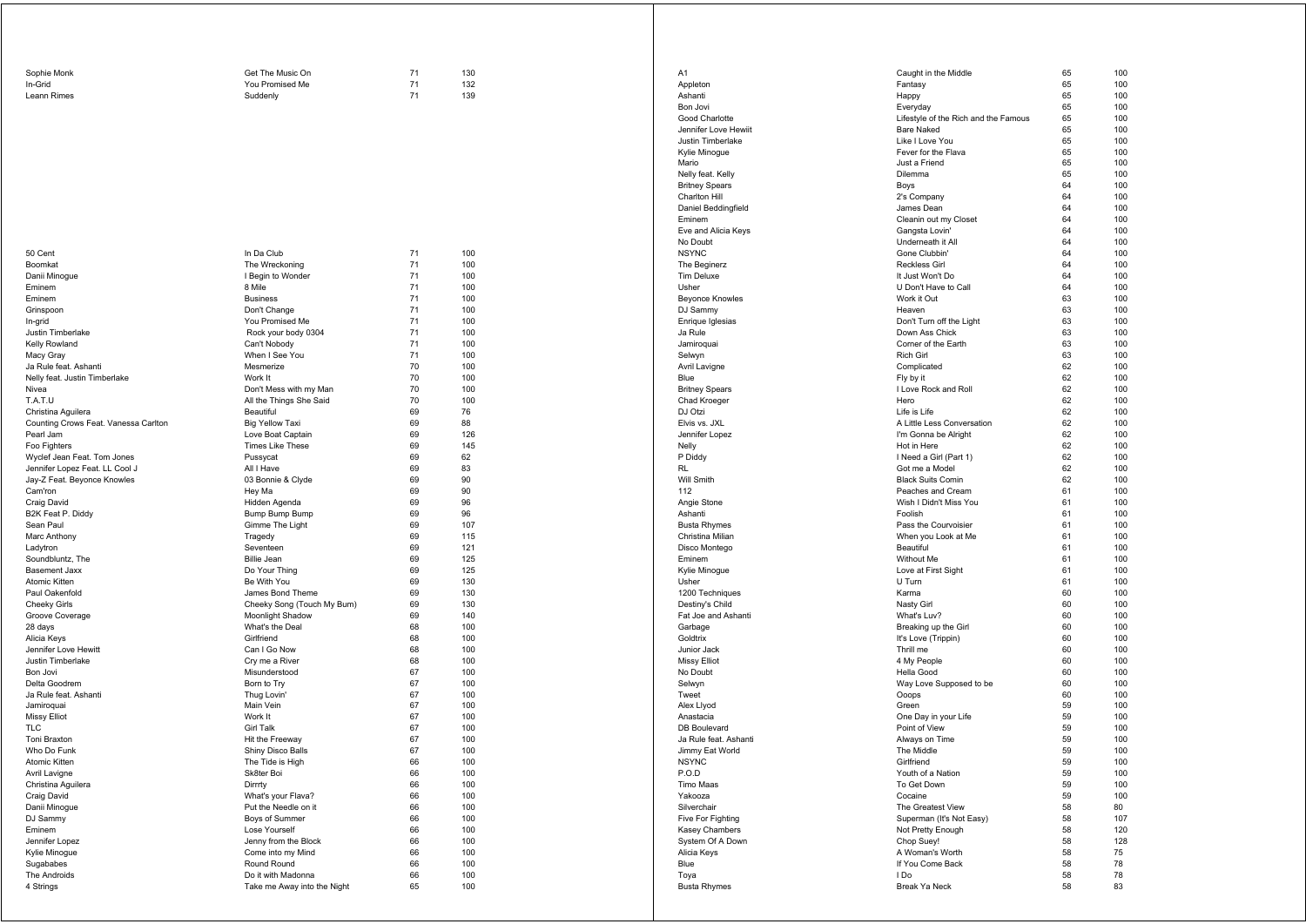| Sophie Monk | Get The Music On | 130 |
|-------------|------------------|-----|
| In-Grid     | You Promised Me  | 132 |
| Leann Rimes | Suddenly         | 139 |

| 50 Cent                              | In Da Club                                 | 71       | 100        |
|--------------------------------------|--------------------------------------------|----------|------------|
| Boomkat                              | The Wreckoning                             | 71       | 100        |
| Danii Minoque                        | I Begin to Wonder                          | 71       | 100        |
| Eminem                               | 8 Mile                                     | 71       | 100        |
| Eminem                               | <b>Business</b>                            | 71       | 100        |
| Grinspoon                            | Don't Change                               | 71       | 100        |
| In-grid                              | You Promised Me                            | 71       | 100        |
| Justin Timberlake                    | Rock your body 0304                        | 71       | 100        |
| Kelly Rowland                        | Can't Nobody                               | 71       | 100        |
| Macy Gray                            | When I See You                             | 71       | 100        |
| Ja Rule feat. Ashanti                | Mesmerize                                  | 70       | 100        |
| Nelly feat. Justin Timberlake        | Work It                                    | 70       | 100        |
| Nivea                                | Don't Mess with my Man                     | 70       | 100        |
| T.A.T.U                              | All the Things She Said                    | 70       | 100        |
| Christina Aguilera                   | Beautiful                                  | 69       | 76         |
| Counting Crows Feat. Vanessa Carlton | <b>Big Yellow Taxi</b>                     | 69       | 88         |
| Pearl Jam                            | Love Boat Captain                          | 69       | 126        |
| Foo Fighters                         | <b>Times Like These</b>                    | 69       | 145        |
| Wyclef Jean Feat. Tom Jones          | Pussycat                                   | 69       | 62         |
| Jennifer Lopez Feat. LL Cool J       | All I Have                                 | 69       | 83         |
| Jay-Z Feat. Beyonce Knowles          | 03 Bonnie & Clyde                          | 69       | 90         |
| Cam'ron                              | Hey Ma                                     | 69       | 90         |
| Craig David                          | Hidden Agenda                              | 69       | 96         |
| B2K Feat P. Diddy                    | Bump Bump Bump                             | 69       | 96         |
| Sean Paul                            | Gimme The Light                            | 69       | 107        |
| Marc Anthony                         | Tragedy                                    | 69       | 115        |
| Ladytron                             | Seventeen                                  | 69       | 121        |
| Soundbluntz, The                     | <b>Billie Jean</b>                         | 69       | 125        |
| <b>Basement Jaxx</b>                 | Do Your Thing                              | 69       | 125        |
| Atomic Kitten                        | Be With You                                | 69       | 130        |
| Paul Oakenfold                       | James Bond Theme                           | 69       | 130        |
| Cheeky Girls                         | Cheeky Song (Touch My Bum)                 | 69       | 130        |
| Groove Coverage                      | Moonlight Shadow                           | 69       | 140        |
| 28 days                              | What's the Deal                            | 68       | 100        |
| Alicia Keys                          | Girlfriend                                 | 68       | 100        |
| Jennifer Love Hewitt                 | Can I Go Now                               | 68       | 100        |
| Justin Timberlake                    | Cry me a River                             | 68       | 100        |
| Bon Jovi                             | Misunderstood                              | 67       | 100        |
| Delta Goodrem                        | Born to Try                                | 67       | 100        |
| Ja Rule feat. Ashanti                | Thug Lovin'                                | 67       | 100        |
| Jamiroquai                           | Main Vein                                  | 67       | 100        |
| Missy Elliot                         | Work It                                    | 67       | 100        |
| TLC                                  | Girl Talk                                  | 67       | 100        |
| Toni Braxton                         | Hit the Freeway                            | 67       | 100        |
| Who Do Funk                          | Shiny Disco Balls                          | 67       | 100        |
| Atomic Kitten                        | The Tide is High<br>Sk8ter Boi             | 66<br>66 | 100<br>100 |
| Avril Lavigne                        | Dirrrty                                    | 66       | 100        |
| Christina Aquilera                   |                                            | 66       | 100        |
| Craig David                          | What's your Flava?<br>Put the Needle on it | 66       | 100        |
| Danii Minogue<br>DJ Sammy            |                                            | 66       | 100        |
| Eminem                               | Boys of Summer<br>Lose Yourself            | 66       | 100        |
|                                      |                                            | 66       | 100        |
| Jennifer Lopez<br>Kylie Minogue      | Jenny from the Block<br>Come into my Mind  | 66       | 100        |
| Sugababes                            | Round Round                                | 66       | 100        |
| The Androids                         | Do it with Madonna                         | 66       | 100        |
| 4 Strings                            | Take me Away into the Night                | 65       | 100        |
|                                      |                                            |          |            |

| A1                                    | Caught in the Middle                       | 65       | 100        |
|---------------------------------------|--------------------------------------------|----------|------------|
| Appleton<br>Ashanti                   | Fantasy<br>Happy                           | 65<br>65 | 100<br>100 |
| Bon Jovi                              | Everyday                                   | 65       | 100        |
| Good Charlotte                        | Lifestyle of the Rich and the Famous       | 65       | 100        |
| Jennifer Love Hewiit                  | <b>Bare Naked</b>                          | 65       | 100        |
| Justin Timberlake                     | Like I Love You                            | 65       | 100        |
| Kylie Minogue                         | Fever for the Flava                        | 65       | 100        |
| Mario                                 | Just a Friend                              | 65       | 100        |
| Nelly feat. Kelly                     | Dilemma                                    | 65       | 100        |
| <b>Britney Spears</b>                 | Boys                                       | 64       | 100        |
| Charlton Hill                         | 2's Company                                | 64       | 100        |
| Daniel Beddingfield                   | James Dean                                 | 64       | 100        |
| Eminem                                | Cleanin out my Closet                      | 64       | 100        |
| Eve and Alicia Keys                   | Gangsta Lovin'                             | 64       | 100        |
| No Doubt                              | Underneath it All                          | 64       | 100        |
| <b>NSYNC</b>                          | Gone Clubbin'                              | 64       | 100        |
| The Beginerz                          | <b>Reckless Girl</b>                       | 64       | 100        |
| <b>Tim Deluxe</b>                     | It Just Won't Do                           | 64       | 100        |
| Usher                                 | U Don't Have to Call                       | 64       | 100        |
| <b>Beyonce Knowles</b>                | Work it Out                                | 63       | 100        |
| DJ Sammy                              | Heaven                                     | 63       | 100        |
| Enrique Iglesias                      | Don't Turn off the Light                   | 63       | 100        |
| Ja Rule                               | Down Ass Chick                             | 63       | 100        |
| Jamiroquai                            | Corner of the Earth                        | 63       | 100        |
| Selwyn                                | <b>Rich Girl</b>                           | 63       | 100        |
| Avril Lavigne                         | Complicated                                | 62       | 100        |
| Blue                                  | Fly by it                                  | 62       | 100        |
| <b>Britney Spears</b>                 | I Love Rock and Roll                       | 62       | 100        |
| Chad Kroeger                          | Hero                                       | 62       | 100        |
| DJ Otzi                               | Life is Life<br>A Little Less Conversation | 62<br>62 | 100        |
| Elvis vs. JXL<br>Jennifer Lopez       | I'm Gonna be Alright                       | 62       | 100<br>100 |
| Nelly                                 | Hot in Here                                | 62       | 100        |
| P Diddy                               | I Need a Girl (Part 1)                     | 62       | 100        |
| <b>RL</b>                             | Got me a Model                             | 62       | 100        |
| Will Smith                            | <b>Black Suits Comin</b>                   | 62       | 100        |
| 112                                   | Peaches and Cream                          | 61       | 100        |
| Angie Stone                           | Wish I Didn't Miss You                     | 61       | 100        |
| Ashanti                               | Foolish                                    | 61       | 100        |
| <b>Busta Rhymes</b>                   | Pass the Courvoisier                       | 61       | 100        |
| Christina Milian                      | When you Look at Me                        | 61       | 100        |
| Disco Montego                         | Beautiful                                  | 61       | 100        |
| Eminem                                | Without Me                                 | 61       | 100        |
| Kylie Minogue                         | Love at First Sight                        | 61       | 100        |
| Usher                                 | U Turn                                     | 61       | 100        |
| 1200 Techniques                       | Karma                                      | 60       | 100        |
| Destiny's Child                       | Nasty Girl                                 | 60       | 100        |
| Fat Joe and Ashanti                   | What's Luv?                                | 60       | 100        |
| Garbage                               | Breaking up the Girl                       | 60       | 100        |
| Goldtrix                              | It's Love (Trippin)                        | 60       | 100        |
| Junior Jack                           | Thrill me                                  | 60       | 100        |
| Missy Elliot                          | 4 My People                                | 60       | 100        |
| No Doubt                              | Hella Good                                 | 60       | 100        |
| Selwyn                                | Way Love Supposed to be                    | 60       | 100        |
| Tweet                                 | Ooops                                      | 60       | 100        |
| Alex Llyod                            | Green                                      | 59       | 100        |
| Anastacia                             | One Day in your Life                       | 59       | 100        |
| DB Boulevard<br>Ja Rule feat. Ashanti | Point of View<br>Always on Time            | 59<br>59 | 100<br>100 |
| Jimmy Eat World                       | The Middle                                 | 59       | 100        |
| <b>NSYNC</b>                          | Girlfriend                                 | 59       | 100        |
| P.O.D                                 | Youth of a Nation                          | 59       | 100        |
| Timo Maas                             | To Get Down                                | 59       | 100        |
| Yakooza                               | Cocaine                                    | 59       | 100        |
| Silverchair                           | The Greatest View                          | 58       | 80         |
| Five For Fighting                     | Superman (It's Not Easy)                   | 58       | 107        |
| Kasey Chambers                        | Not Pretty Enough                          | 58       | 120        |
| System Of A Down                      | Chop Suey!                                 | 58       | 128        |
| Alicia Keys                           | A Woman's Worth                            | 58       | 75         |
| Blue                                  | If You Come Back                           | 58       | 78         |
| Toya                                  | I Do                                       | 58       | 78         |
| <b>Busta Rhymes</b>                   | Break Ya Neck                              | 58       | 83         |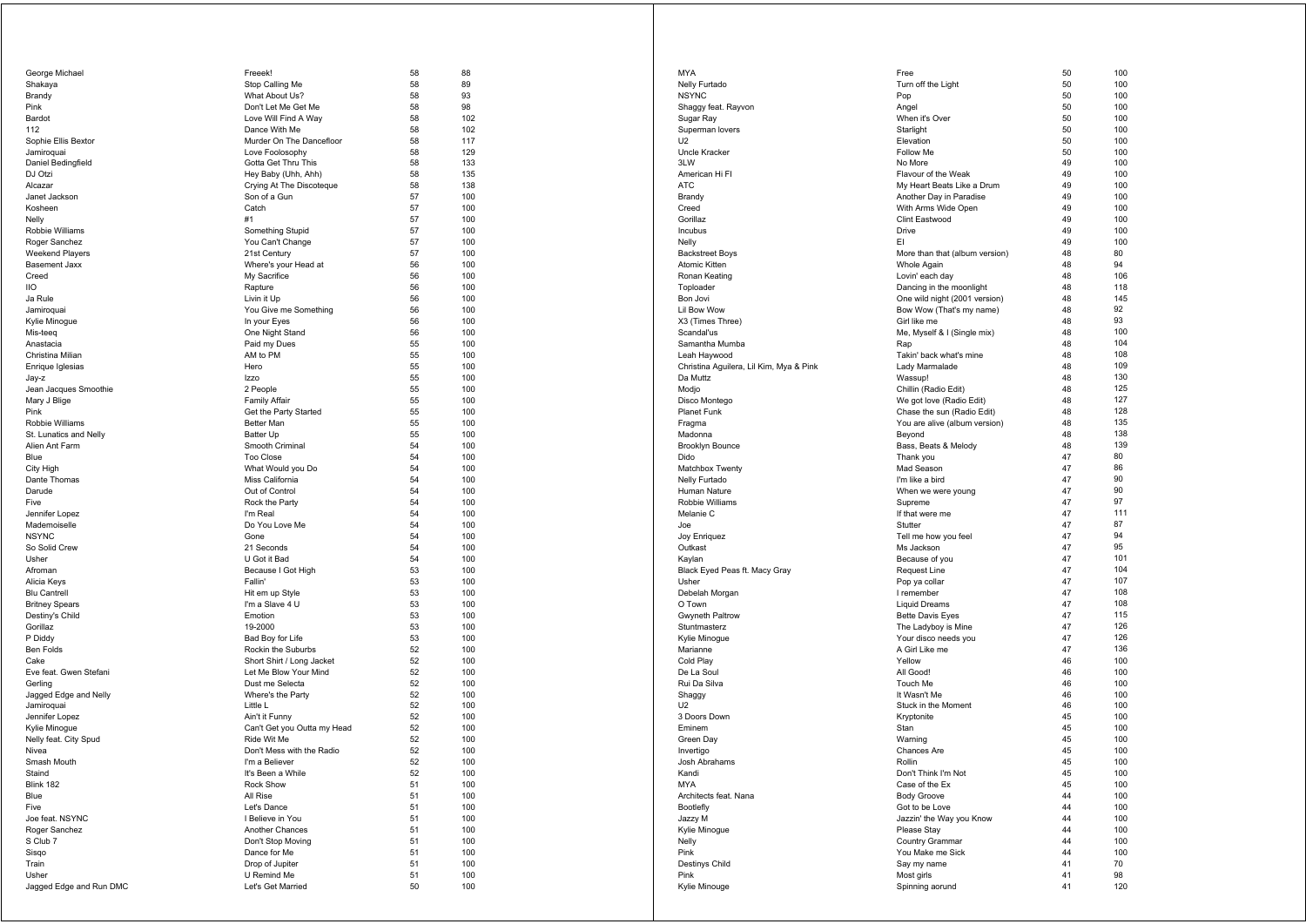| George Michael                | Freeek!                                     | 58       | 88         |
|-------------------------------|---------------------------------------------|----------|------------|
| Shakaya                       | Stop Calling Me                             | 58       | 89         |
| Brandy                        | What About Us?                              | 58       | 93         |
| Pink<br>Bardot                | Don't Let Me Get Me<br>Love Will Find A Way | 58<br>58 | 98<br>102  |
| 112                           | Dance With Me                               | 58       | 102        |
| Sophie Ellis Bextor           | Murder On The Dancefloor                    | 58       | 117        |
| Jamiroquai                    | Love Foolosophy                             | 58       | 129        |
| Daniel Bedingfield            | Gotta Get Thru This                         | 58       | 133        |
| DJ Otzi                       | Hey Baby (Uhh, Ahh)                         | 58       | 135        |
| Alcazar<br>Janet Jackson      | Crying At The Discoteque<br>Son of a Gun    | 58<br>57 | 138<br>100 |
| Kosheen                       | Catch                                       | 57       | 100        |
| Nelly                         | #1                                          | 57       | 100        |
| Robbie Williams               | Something Stupid                            | 57       | 100        |
| Roger Sanchez                 | You Can't Change                            | 57       | 100        |
| Weekend Players               | 21st Century                                | 57       | 100        |
| <b>Basement Jaxx</b>          | Where's your Head at                        | 56       | 100        |
| Creed<br>liо                  | My Sacrifice<br>Rapture                     | 56<br>56 | 100<br>100 |
| Ja Rule                       | Livin it Up                                 | 56       | 100        |
| Jamiroquai                    | You Give me Something                       | 56       | 100        |
| Kylie Minogue                 | In your Eyes                                | 56       | 100        |
| Mis-teeq                      | One Night Stand                             | 56       | 100        |
| Anastacia                     | Paid my Dues                                | 55       | 100        |
| Christina Milian              | AM to PM                                    | 55       | 100        |
| Enrique Iglesias<br>Jay-z     | Hero<br><b>Izzo</b>                         | 55<br>55 | 100<br>100 |
| Jean Jacques Smoothie         | 2 People                                    | 55       | 100        |
| Mary J Blige                  | <b>Family Affair</b>                        | 55       | 100        |
| Pink                          | Get the Party Started                       | 55       | 100        |
| Robbie Williams               | <b>Better Man</b>                           | 55       | 100        |
| St. Lunatics and Nelly        | Batter Up                                   | 55       | 100        |
| Alien Ant Farm                | Smooth Criminal<br>Too Close                | 54<br>54 | 100<br>100 |
| Blue<br>City High             | What Would you Do                           | 54       | 100        |
| Dante Thomas                  | Miss California                             | 54       | 100        |
| Darude                        | Out of Control                              | 54       | 100        |
| Five                          | Rock the Party                              | 54       | 100        |
| Jennifer Lopez                | I'm Real                                    | 54       | 100        |
| Mademoiselle                  | Do You Love Me                              | 54       | 100        |
| <b>NSYNC</b><br>So Solid Crew | Gone<br>21 Seconds                          | 54<br>54 | 100<br>100 |
| Usher                         | U Got it Bad                                | 54       | 100        |
| Afroman                       | Because I Got High                          | 53       | 100        |
| Alicia Keys                   | Fallin'                                     | 53       | 100        |
| <b>Blu Cantrell</b>           | Hit em up Style                             | 53       | 100        |
| <b>Britney Spears</b>         | I'm a Slave 4 U                             | 53       | 100        |
| Destiny's Child<br>Gorillaz   | Emotion<br>19-2000                          | 53<br>53 | 100<br>100 |
| P Diddy                       | Bad Boy for Life                            | 53       | 100        |
| <b>Ben Folds</b>              | Rockin the Suburbs                          | 52       | 100        |
| Cake                          | Short Shirt / Long Jacket                   | 52       | 100        |
| Eve feat. Gwen Stefani        | Let Me Blow Your Mind                       | 52       | 100        |
| Gerling                       | Dust me Selecta                             | 52       | 100        |
| Jagged Edge and Nelly         | Where's the Party                           | 52       | 100        |
| Jamiroquai<br>Jennifer Lopez  | Little L<br>Ain't it Funny                  | 52<br>52 | 100<br>100 |
| Kylie Minogue                 | Can't Get you Outta my Head                 | 52       | 100        |
| Nelly feat. City Spud         | Ride Wit Me                                 | 52       | 100        |
| Nivea                         | Don't Mess with the Radio                   | 52       | 100        |
| Smash Mouth                   | I'm a Believer                              | 52       | 100        |
| Staind                        | It's Been a While                           | 52       | 100        |
| Blink 182<br>Blue             | Rock Show<br>All Rise                       | 51<br>51 | 100        |
| Five                          | Let's Dance                                 | 51       | 100<br>100 |
| Joe feat. NSYNC               | I Believe in You                            | 51       | 100        |
| Roger Sanchez                 | Another Chances                             | 51       | 100        |
| S Club 7                      | Don't Stop Moving                           | 51       | 100        |
| Sisgo                         | Dance for Me                                | 51       | 100        |
| Train                         | Drop of Jupiter                             | 51       | 100        |
| Usher                         | U Remind Me                                 | 51       | 100        |
| Jagged Edge and Run DMC       | Let's Get Married                           | 50       | 100        |

| MYA                                     | Free                                             | 50       | 100        |
|-----------------------------------------|--------------------------------------------------|----------|------------|
| Nelly Furtado                           | Turn off the Light                               | 50       | 100        |
| <b>NSYNC</b>                            | Pop                                              | 50       | 100        |
| Shaggy feat. Rayvon                     | Angel                                            | 50       | 100        |
| Sugar Ray                               | When it's Over                                   | 50       | 100        |
| Superman lovers<br>U <sub>2</sub>       | Starlight<br>Elevation                           | 50<br>50 | 100<br>100 |
| Uncle Kracker                           | Follow Me                                        | 50       | 100        |
| $3I$ W                                  | No More                                          | 49       | 100        |
| American Hi Fl                          | Flavour of the Weak                              | 49       | 100        |
| <b>ATC</b>                              | My Heart Beats Like a Drum                       | 49       | 100        |
| Brandy                                  | Another Day in Paradise                          | 49       | 100        |
| Creed                                   | With Arms Wide Open                              | 49       | 100        |
| Gorillaz                                | Clint Eastwood                                   | 49       | 100        |
| Incubus                                 | Drive                                            | 49       | 100        |
| Nelly                                   | EI                                               | 49       | 100        |
| <b>Backstreet Boys</b>                  | More than that (album version)                   | 48<br>48 | 80<br>94   |
| Atomic Kitten<br>Ronan Keating          | Whole Again<br>Lovin' each day                   | 48       | 106        |
| Toploader                               | Dancing in the moonlight                         | 48       | 118        |
| Bon Jovi                                | One wild night (2001 version)                    | 48       | 145        |
| Lil Bow Wow                             | Bow Wow (That's my name)                         | 48       | 92         |
| X3 (Times Three)                        | Girl like me                                     | 48       | 93         |
| Scandal'us                              | Me, Myself & I (Single mix)                      | 48       | 100        |
| Samantha Mumba                          | Rap                                              | 48       | 104        |
| Leah Haywood                            | Takin' back what's mine                          | 48       | 108        |
| Christina Aguilera, Lil Kim, Mya & Pink | Lady Marmalade                                   | 48       | 109        |
| Da Muttz                                | Wassup!                                          | 48       | 130        |
| Modjo<br>Disco Montego                  | Chillin (Radio Edit)<br>We got love (Radio Edit) | 48<br>48 | 125<br>127 |
| <b>Planet Funk</b>                      | Chase the sun (Radio Edit)                       | 48       | 128        |
| Fragma                                  | You are alive (album version)                    | 48       | 135        |
| Madonna                                 | Beyond                                           | 48       | 138        |
| <b>Brooklyn Bounce</b>                  | Bass, Beats & Melody                             | 48       | 139        |
| Dido                                    | Thank you                                        | 47       | 80         |
| Matchbox Twenty                         | Mad Season                                       | 47       | 86         |
| Nelly Furtado                           | I'm like a bird                                  | 47       | 90         |
| Human Nature                            | When we were young                               | 47       | 90         |
| Robbie Williams                         | Supreme                                          | 47       | 97         |
| Melanie C                               | If that were me                                  | 47<br>47 | 111<br>87  |
| Joe<br>Joy Enriquez                     | Stutter<br>Tell me how you feel                  | 47       | 94         |
| Outkast                                 | Ms Jackson                                       | 47       | 95         |
| Kaylan                                  | Because of you                                   | 47       | 101        |
| Black Eyed Peas ft. Macy Gray           | <b>Request Line</b>                              | 47       | 104        |
| Usher                                   | Pop ya collar                                    | 47       | 107        |
| Debelah Morgan                          | I remember                                       | 47       | 108        |
| O Town                                  | <b>Liquid Dreams</b>                             | 47       | 108        |
| Gwyneth Paltrow                         | <b>Bette Davis Eyes</b>                          | 47       | 115        |
| Stuntmasterz                            | The Ladyboy is Mine                              | 47       | 126<br>126 |
| Kylie Minogue<br>Marianne               | Your disco needs you<br>A Girl Like me           | 47<br>47 | 136        |
| Cold Play                               | Yellow                                           | 46       | 100        |
| De La Soul                              | All Good!                                        | 46       | 100        |
| Rui Da Silva                            | Touch Me                                         | 46       | 100        |
| Shaggy                                  | It Wasn't Me                                     | 46       | 100        |
| U <sub>2</sub>                          | Stuck in the Moment                              | 46       | 100        |
| 3 Doors Down                            | Kryptonite                                       | 45       | 100        |
| Eminem                                  | Stan                                             | 45       | 100        |
| Green Day                               | Warning                                          | 45       | 100        |
| Invertigo                               | <b>Chances Are</b>                               | 45       | 100<br>100 |
| Josh Abrahams<br>Kandi                  | Rollin<br>Don't Think I'm Not                    | 45<br>45 | 100        |
| MYA                                     | Case of the Ex                                   | 45       | 100        |
| Architects feat. Nana                   | <b>Body Groove</b>                               | 44       | 100        |
| Bootlefly                               | Got to be Love                                   | 44       | 100        |
| Jazzy M                                 | Jazzin' the Way you Know                         | 44       | 100        |
| Kylie Minogue                           | Please Stay                                      | 44       | 100        |
| Nelly                                   | Country Grammar                                  | 44       | 100        |
| Pink                                    | You Make me Sick                                 | 44       | 100        |
| Destinys Child<br>Pink                  | Say my name<br>Most girls                        | 41<br>41 | 70<br>98   |
| Kylie Minouge                           | Spinning aorund                                  | 41       | 120        |
|                                         |                                                  |          |            |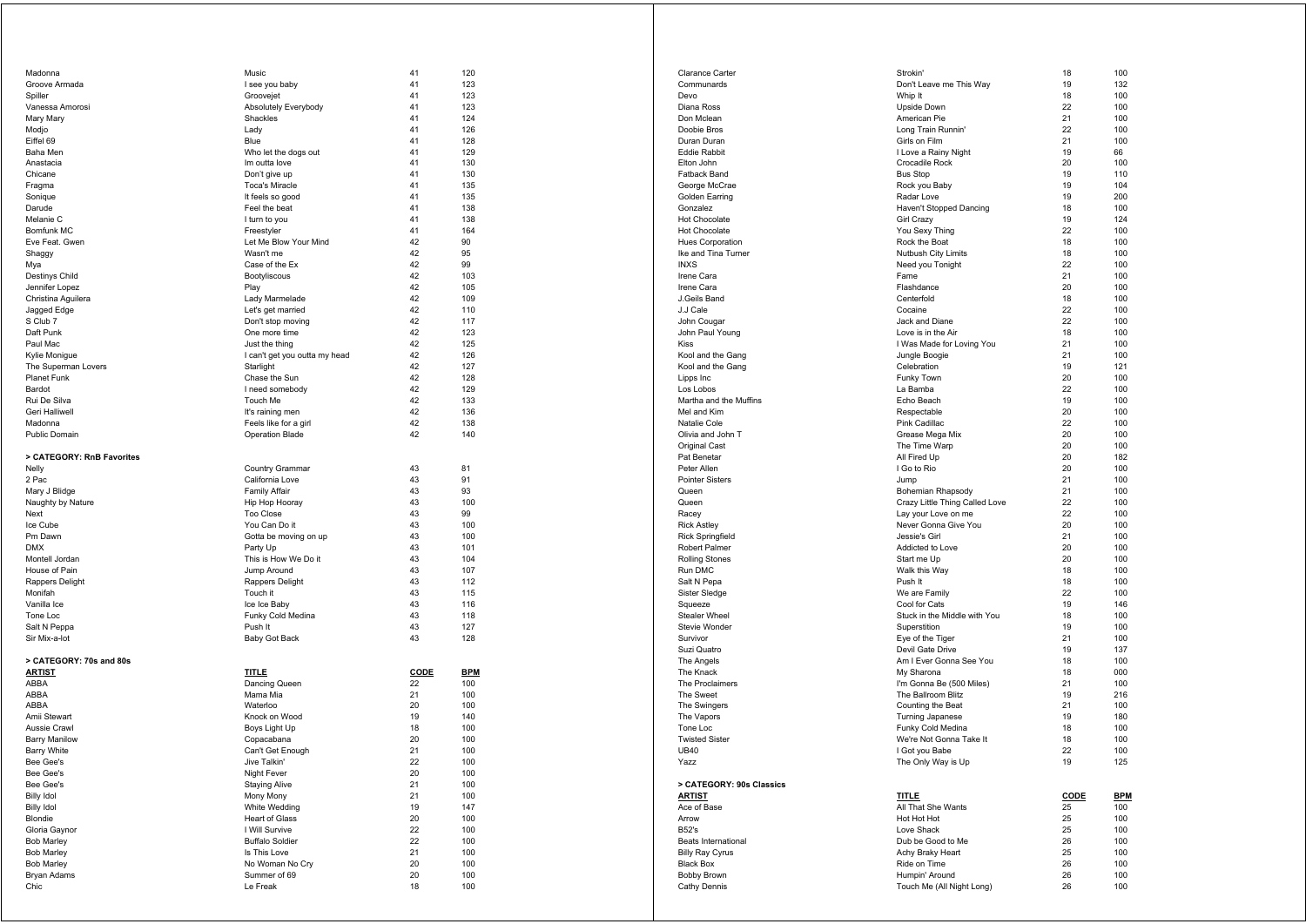| Madonna                   | Music                         | 41          | 120        |
|---------------------------|-------------------------------|-------------|------------|
| Groove Armada             | I see you baby                | 41          | 123        |
| Spiller                   | Groovejet                     | 41          | 123        |
| Vanessa Amorosi           | Absolutely Everybody          | 41          | 123        |
|                           |                               |             |            |
| Mary Mary                 | Shackles                      | 41          | 124        |
| Modjo                     | Lady                          | 41          | 126        |
| Eiffel 69                 | Blue                          | 41          | 128        |
| Baha Men                  | Who let the dogs out          | 41          | 129        |
| Anastacia                 | Im outta love                 | 41          | 130        |
|                           |                               |             |            |
| Chicane                   | Don't give up                 | 41          | 130        |
| Fragma                    | <b>Toca's Miracle</b>         | 41          | 135        |
| Sonique                   | It feels so good              | 41          | 135        |
| Darude                    | Feel the beat                 | 41          | 138        |
|                           |                               | 41          |            |
| Melanie C                 | I turn to you                 |             | 138        |
| Bomfunk MC                | Freestyler                    | 41          | 164        |
| Eve Feat. Gwen            | Let Me Blow Your Mind         | 42          | 90         |
| Shaggy                    | Wasn't me                     | 42          | 95         |
| Mya                       | Case of the Ex                | 42          | 99         |
|                           |                               |             |            |
| Destinys Child            | Bootyliscous                  | 42          | 103        |
| Jennifer Lopez            | Play                          | 42          | 105        |
| Christina Aguilera        | Lady Marmelade                | 42          | 109        |
| Jagged Edge               | Let's get married             | 42          | 110        |
| S Club 7                  | Don't stop moving             | 42          | 117        |
|                           |                               |             |            |
| Daft Punk                 | One more time                 | 42          | 123        |
| Paul Mac                  | Just the thing                | 42          | 125        |
| Kylie Monigue             | I can't get you outta my head | 42          | 126        |
| The Superman Lovers       | Starlight                     | 42          | 127        |
| Planet Funk               | Chase the Sun                 | 42          | 128        |
|                           |                               |             |            |
| Bardot                    | I need somebody               | 42          | 129        |
| Rui De Silva              | Touch Me                      | 42          | 133        |
| Geri Halliwell            | It's raining men              | 42          | 136        |
| Madonna                   | Feels like for a girl         | 42          | 138        |
| Public Domain             | Operation Blade               | 42          | 140        |
|                           |                               |             |            |
|                           |                               |             |            |
| > CATEGORY: RnB Favorites |                               |             |            |
| Nelly                     | Country Grammar               | 43          | 81         |
| 2 Pac                     | California Love               | 43          | 91         |
|                           |                               | 43          |            |
| Mary J Blidge             | <b>Family Affair</b>          |             | 93         |
| Naughty by Nature         | Hip Hop Hooray                | 43          | 100        |
| Next                      | Too Close                     | 43          | 99         |
| Ice Cube                  | You Can Do it                 | 43          | 100        |
| Pm Dawn                   | Gotta be moving on up         | 43          | 100        |
|                           |                               |             |            |
| <b>DMX</b>                | Party Up                      | 43          | 101        |
| Montell Jordan            | This is How We Do it          | 43          | 104        |
| House of Pain             | Jump Around                   | 43          | 107        |
| Rappers Delight           | Rappers Delight               | 43          | 112        |
| Monifah                   | Touch it                      | 43          | 115        |
|                           |                               |             |            |
| Vanilla Ice               | Ice Ice Baby                  | 43          | 116        |
| Tone Loc                  | Funky Cold Medina             | 43          | 118        |
| Salt N Peppa              | Push It                       | 43          | 127        |
| Sir Mix-a-lot             | Baby Got Back                 | 43          | 128        |
|                           |                               |             |            |
| > CATEGORY: 70s and 80s   |                               |             |            |
|                           |                               |             |            |
|                           |                               |             |            |
| <b>ARTIST</b>             | <b>TITLE</b>                  | <b>CODE</b> | <b>BPM</b> |
| ABBA                      | Dancing Queen                 | 22          | 100        |
| ABBA                      | Mama Mia                      | 21          | 100        |
|                           |                               |             |            |
| ABBA                      | Waterloo                      | 20          | 100        |
| Amii Stewart              | Knock on Wood                 | 19          | 140        |
| Aussie Crawl              | Boys Light Up                 | 18          | 100        |
| <b>Barry Manilow</b>      | Copacabana                    | 20          | 100        |
| <b>Barry White</b>        | Can't Get Enough              | 21          | 100        |
|                           |                               |             |            |
| Bee Gee's                 | Jive Talkin'                  | 22          | 100        |
| Bee Gee's                 | Night Fever                   | 20          | 100        |
| Bee Gee's                 | <b>Staying Alive</b>          | 21          | 100        |
| <b>Billy Idol</b>         | Mony Mony                     | 21          | 100        |
|                           |                               |             |            |
| <b>Billy Idol</b>         | White Wedding                 | 19          | 147        |
| Blondie                   | <b>Heart of Glass</b>         | 20          | 100        |
| Gloria Gaynor             | I Will Survive                | 22          | 100        |
| <b>Bob Marley</b>         | <b>Buffalo Soldier</b>        | 22          | 100        |
| <b>Bob Marley</b>         | Is This Love                  | 21          | 100        |
|                           |                               |             |            |
| <b>Bob Marley</b>         | No Woman No Cry               | 20          | 100        |
| Bryan Adams<br>Chic       | Summer of 69<br>Le Freak      | 20<br>18    | 100<br>100 |

| <b>Clarance Carter</b>                   | Strokin'                                     | 18          | 100        |
|------------------------------------------|----------------------------------------------|-------------|------------|
| Communards                               | Don't Leave me This Way                      | 19          | 132        |
| Devo                                     | Whip It                                      | 18          | 100        |
| Diana Ross<br>Don Mclean                 | Upside Down<br>American Pie                  | 22<br>21    | 100<br>100 |
| Doobie Bros                              | Long Train Runnin'                           | 22          | 100        |
| Duran Duran                              | Girls on Film                                | 21          | 100        |
| <b>Eddie Rabbit</b>                      | I Love a Rainy Night                         | 19          | 66         |
| Elton John                               | Crocadile Rock                               | 20          | 100        |
| <b>Fatback Band</b>                      | <b>Bus Stop</b>                              | 19          | 110        |
| George McCrae<br>Golden Earring          | Rock you Baby<br>Radar Love                  | 19<br>19    | 104<br>200 |
| Gonzalez                                 | Haven't Stopped Dancing                      | 18          | 100        |
| <b>Hot Chocolate</b>                     | Girl Crazy                                   | 19          | 124        |
| <b>Hot Chocolate</b>                     | You Sexy Thing                               | 22          | 100        |
| <b>Hues Corporation</b>                  | Rock the Boat                                | 18          | 100        |
| Ike and Tina Turner                      | Nutbush City Limits                          | 18          | 100        |
| <b>INXS</b><br>Irene Cara                | Need you Tonight<br>Fame                     | 22<br>21    | 100<br>100 |
| Irene Cara                               | Flashdance                                   | 20          | 100        |
| J.Geils Band                             | Centerfold                                   | 18          | 100        |
| J.J Cale                                 | Cocaine                                      | 22          | 100        |
| John Cougar                              | Jack and Diane                               | 22          | 100        |
| John Paul Young                          | Love is in the Air                           | 18          | 100        |
| <b>Kiss</b>                              | I Was Made for Loving You                    | 21          | 100        |
| Kool and the Gang                        | Jungle Boogie                                | 21          | 100        |
| Kool and the Gang<br>Lipps Inc           | Celebration<br>Funky Town                    | 19<br>20    | 121<br>100 |
| Los Lobos                                | La Bamba                                     | 22          | 100        |
| Martha and the Muffins                   | Echo Beach                                   | 19          | 100        |
| Mel and Kim                              | Respectable                                  | 20          | 100        |
| Natalie Cole                             | Pink Cadillac                                | 22          | 100        |
| Olivia and John T                        | Grease Mega Mix                              | 20          | 100        |
| Original Cast<br>Pat Benetar             | The Time Warp                                | 20<br>20    | 100<br>182 |
| Peter Allen                              | All Fired Up<br>I Go to Rio                  | 20          | 100        |
| <b>Pointer Sisters</b>                   | Jump                                         | 21          | 100        |
| Queen                                    | Bohemian Rhapsody                            | 21          | 100        |
| Queen                                    | Crazy Little Thing Called Love               | 22          | 100        |
| Racey                                    | Lay your Love on me                          | 22          | 100        |
| <b>Rick Astley</b>                       | Never Gonna Give You                         | 20          | 100        |
| <b>Rick Springfield</b><br>Robert Palmer | Jessie's Girl<br>Addicted to Love            | 21<br>20    | 100<br>100 |
| <b>Rolling Stones</b>                    | Start me Up                                  | 20          | 100        |
| Run DMC                                  | Walk this Way                                | 18          | 100        |
| Salt N Pepa                              | Push It                                      | 18          | 100        |
| Sister Sledge                            | We are Family                                | 22          | 100        |
| Squeeze                                  | Cool for Cats                                | 19          | 146        |
| <b>Stealer Wheel</b>                     | Stuck in the Middle with You                 | 18          | 100        |
| Stevie Wonder<br>Survivor                | Superstition<br>Eye of the Tiger             | 19<br>21    | 100<br>100 |
| Suzi Quatro                              | Devil Gate Drive                             | 19          | 137        |
| The Angels                               | Am I Ever Gonna See You                      | 18          | 100        |
| The Knack                                | My Sharona                                   | 18          | 000        |
| The Proclaimers                          | I'm Gonna Be (500 Miles)                     | 21          | 100        |
| The Sweet                                | The Ballroom Blitz                           | 19          | 216        |
| The Swingers<br>The Vapors               | Counting the Beat<br><b>Turning Japanese</b> | 21<br>19    | 100<br>180 |
| Tone Loc                                 | Funky Cold Medina                            | 18          | 100        |
| <b>Twisted Sister</b>                    | We're Not Gonna Take It                      | 18          | 100        |
| <b>UB40</b>                              | I Got you Babe                               | 22          | 100        |
| Yazz                                     | The Only Way is Up                           | 19          | 125        |
|                                          |                                              |             |            |
| > CATEGORY: 90s Classics<br>ARTIST       | TITLE                                        | <b>CODE</b> | <b>BPM</b> |
| Ace of Base                              | All That She Wants                           | 25          | 100        |
| Arrow                                    | Hot Hot Hot                                  | 25          | 100        |
| <b>B52's</b>                             | Love Shack                                   | 25          | 100        |
| Beats International                      | Dub be Good to Me                            | 26          | 100        |
| <b>Billy Ray Cyrus</b>                   | Achy Braky Heart                             | 25          | 100        |
| <b>Black Box</b>                         |                                              |             |            |
|                                          | Ride on Time                                 | 26          | 100        |
| Bobby Brown<br>Cathy Dennis              | Humpin' Around<br>Touch Me (All Night Long)  | 26<br>26    | 100<br>100 |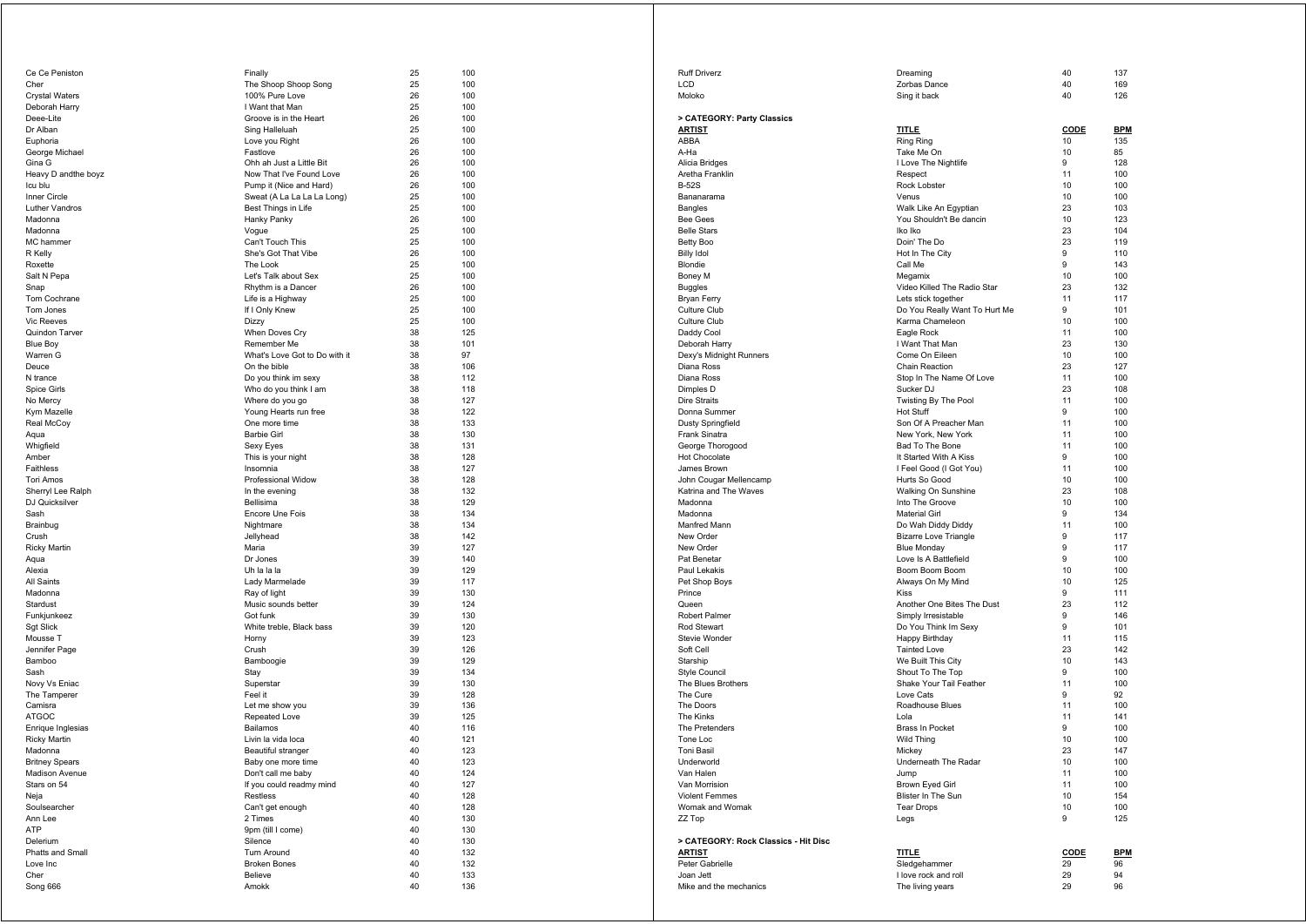| Ce Ce Peniston                          | Finally                                  | 25       | 100        |
|-----------------------------------------|------------------------------------------|----------|------------|
| Cher                                    | The Shoop Shoop Song                     | 25       | 100        |
| <b>Crystal Waters</b>                   | 100% Pure Love                           | 26       | 100        |
| Deborah Harry                           | I Want that Man                          | 25       | 100        |
| Deee-Lite                               | Groove is in the Heart                   | 26       | 100        |
| Dr Alban                                | Sing Halleluah                           | 25       | 100        |
| Euphoria                                | Love you Right                           | 26       | 100        |
| George Michael<br>Gina G                | Fastlove<br>Ohh ah Just a Little Bit     | 26<br>26 | 100<br>100 |
| Heavy D andthe boyz                     | Now That I've Found Love                 | 26       | 100        |
| Icu blu                                 | Pump it (Nice and Hard)                  | 26       | 100        |
| Inner Circle                            | Sweat (A La La La La Long)               | 25       | 100        |
| <b>Luther Vandros</b>                   | Best Things in Life                      | 25       | 100        |
| Madonna                                 | Hanky Panky                              | 26       | 100        |
| Madonna                                 | Vogue                                    | 25       | 100        |
| MC hammer                               | Can't Touch This                         | 25       | 100        |
| R Kelly                                 | She's Got That Vibe                      | 26       | 100        |
| Roxette                                 | The Look                                 | 25       | 100        |
| Salt N Pepa                             | Let's Talk about Sex                     | 25       | 100        |
| Snap                                    | Rhythm is a Dancer                       | 26       | 100        |
| Tom Cochrane                            | Life is a Highway                        | 25       | 100        |
| Tom Jones                               | If I Only Knew                           | 25       | 100        |
| <b>Vic Reeves</b>                       | Dizzy                                    | 25       | 100        |
| Quindon Tarver                          | When Doves Cry                           | 38       | 125        |
| <b>Blue Boy</b>                         | Remember Me                              | 38       | 101        |
| Warren G                                | What's Love Got to Do with it            | 38       | 97         |
| Deuce                                   | On the bible                             | 38       | 106        |
| N trance                                | Do you think im sexy                     | 38<br>38 | 112<br>118 |
| Spice Girls<br>No Mercy                 | Who do you think I am<br>Where do you go | 38       | 127        |
| Kym Mazelle                             | Young Hearts run free                    | 38       | 122        |
| Real McCoy                              | One more time                            | 38       | 133        |
| Aqua                                    | <b>Barbie Girl</b>                       | 38       | 130        |
| Whigfield                               | Sexy Eyes                                | 38       | 131        |
| Amber                                   | This is your night                       | 38       | 128        |
| Faithless                               | Insomnia                                 | 38       | 127        |
| <b>Tori Amos</b>                        | Professional Widow                       | 38       | 128        |
| Sherryl Lee Ralph                       | In the evening                           | 38       | 132        |
| DJ Quicksilver                          | Bellisima                                | 38       | 129        |
| Sash                                    | Encore Une Fois                          | 38       | 134        |
| Brainbug                                | Nightmare                                | 38       | 134        |
| Crush                                   | Jellyhead                                | 38       | 142        |
| <b>Ricky Martin</b>                     | Maria                                    | 39       | 127        |
| Aqua                                    | Dr Jones                                 | 39       | 140        |
| Alexia<br>All Saints                    | Uh la la la<br>Lady Marmelade            | 39<br>39 | 129<br>117 |
| Madonna                                 | Ray of light                             | 39       | 130        |
| Stardust                                | Music sounds better                      | 39       | 124        |
| Funkjunkeez                             | Got funk                                 | 39       | 130        |
| <b>Sgt Slick</b>                        | White treble, Black bass                 | 39       | 120        |
| Mousse T                                | Horny                                    | 39       | 123        |
| Jennifer Page                           | Crush                                    | 39       | 126        |
| Bamboo                                  | Bamboogie                                | 39       | 129        |
| Sash                                    | Stay                                     | 39       | 134        |
| Novy Vs Eniac                           | Superstar                                | 39       | 130        |
| The Tamperer                            | Feel it                                  | 39       | 128        |
| Camisra                                 | Let me show you                          | 39       | 136        |
| <b>ATGOC</b>                            | Repeated Love                            | 39       | 125        |
| Enrique Inglesias                       | Bailamos                                 | 40       | 116        |
| <b>Ricky Martin</b><br>Madonna          | Livin la vida loca                       | 40<br>40 | 121<br>123 |
|                                         | Beautiful stranger                       | 40       | 123        |
| <b>Britney Spears</b><br>Madison Avenue | Baby one more time<br>Don't call me baby | 40       | 124        |
| Stars on 54                             | If you could readmy mind                 | 40       | 127        |
| Neja                                    | Restless                                 | 40       | 128        |
| Soulsearcher                            | Can't get enough                         | 40       | 128        |
| Ann Lee                                 | 2 Times                                  | 40       | 130        |
| ATP                                     | 9pm (till I come)                        | 40       | 130        |
| Delerium                                | Silence                                  | 40       | 130        |
| Phatts and Small                        | Turn Around                              | 40       | 132        |
| Love Inc                                | <b>Broken Bones</b>                      | 40       | 132        |
| Cher                                    | Believe                                  | 40       | 133        |
| Song 666                                | Amokk                                    | 40       | 136        |

| <b>Ruff Driverz</b>                         | Dreaming                                 | 40          | 137        |
|---------------------------------------------|------------------------------------------|-------------|------------|
| <b>LCD</b>                                  | Zorbas Dance                             | 40          | 169        |
| Moloko                                      | Sing it back                             | 40          | 126        |
|                                             |                                          |             |            |
| > CATEGORY: Party Classics<br><u>ARTIST</u> | <b>TITLE</b>                             | CODE        | <b>BPM</b> |
| ABBA                                        | Ring Ring                                | 10          | 135        |
| A-Ha                                        | Take Me On                               | 10          | 85         |
| Alicia Bridges                              | I Love The Nightlife                     | 9           | 128        |
| Aretha Franklin                             | Respect                                  | 11          | 100        |
| <b>B-52S</b>                                | Rock Lobster                             | 10          | 100        |
| Bananarama                                  | Venus                                    | 10          | 100        |
| <b>Bangles</b>                              | Walk Like An Egyptian                    | 23          | 103        |
| <b>Bee Gees</b>                             | You Shouldn't Be dancin                  | 10          | 123        |
| <b>Belle Stars</b>                          | Iko Iko                                  | 23          | 104        |
| Betty Boo                                   | Doin' The Do                             | 23          | 119        |
| <b>Billy Idol</b>                           | Hot In The City                          | 9           | 110        |
| Blondie                                     | Call Me                                  | 9           | 143        |
| Boney M                                     | Megamix                                  | 10          | 100        |
| <b>Buggles</b>                              | Video Killed The Radio Star              | 23          | 132        |
| Bryan Ferry                                 | Lets stick together                      | 11          | 117        |
| Culture Club                                | Do You Really Want To Hurt Me            | 9           | 101        |
| Culture Club                                | Karma Chameleon                          | 10          | 100        |
| Daddy Cool                                  | Eagle Rock                               | 11          | 100        |
| Deborah Harry                               | I Want That Man                          | 23          | 130        |
| Dexy's Midnight Runners                     | Come On Eileen                           | 10          | 100        |
| Diana Ross                                  | Chain Reaction                           | 23          | 127        |
| Diana Ross                                  | Stop In The Name Of Love                 | 11          | 100        |
| Dimples D<br><b>Dire Straits</b>            | Sucker DJ<br>Twisting By The Pool        | 23<br>11    | 108<br>100 |
| Donna Summer                                | <b>Hot Stuff</b>                         | 9           | 100        |
| <b>Dusty Springfield</b>                    | Son Of A Preacher Man                    | 11          | 100        |
| Frank Sinatra                               | New York, New York                       | 11          | 100        |
| George Thorogood                            | Bad To The Bone                          | 11          | 100        |
| <b>Hot Chocolate</b>                        | It Started With A Kiss                   | 9           | 100        |
| James Brown                                 | I Feel Good (I Got You)                  | 11          | 100        |
| John Cougar Mellencamp                      | Hurts So Good                            | 10          | 100        |
| Katrina and The Waves                       | Walking On Sunshine                      | 23          | 108        |
| Madonna                                     | Into The Groove                          | 10          | 100        |
| Madonna                                     | <b>Material Girl</b>                     | 9           | 134        |
| Manfred Mann                                | Do Wah Diddy Diddy                       | 11          | 100        |
| New Order                                   | <b>Bizarre Love Triangle</b>             | 9           | 117        |
| New Order                                   | <b>Blue Monday</b>                       | 9           | 117        |
| Pat Benetar                                 | Love Is A Battlefield                    | 9           | 100        |
| Paul Lekakis                                | Boom Boom Boom                           | 10          | 100        |
| Pet Shop Boys                               | Always On My Mind                        | 10          | 125        |
| Prince                                      | Kiss                                     | 9           | 111        |
| Queen                                       | Another One Bites The Dust               | 23          | 112        |
| Robert Palmer                               | Simply Irresistable                      | 9           | 146        |
| Rod Stewart                                 | Do You Think Im Sexy                     | 9           | 101        |
| Stevie Wonder                               | Happy Birthday                           | 11          | 115        |
| Soft Cell                                   | <b>Tainted Love</b>                      | 23          | 142        |
| Starship<br><b>Style Council</b>            | We Built This City<br>Shout To The Top   | 10<br>9     | 143<br>100 |
| The Blues Brothers                          | Shake Your Tail Feather                  | 11          | 100        |
| The Cure                                    | Love Cats                                | 9           | 92         |
| The Doors                                   | Roadhouse Blues                          | 11          | 100        |
| The Kinks                                   | Lola                                     | 11          | 141        |
| The Pretenders                              | <b>Brass In Pocket</b>                   | 9           | 100        |
| Tone Loc                                    | <b>Wild Thing</b>                        | 10          | 100        |
| <b>Toni Basil</b>                           | Mickey                                   | 23          | 147        |
| Underworld                                  | Underneath The Radar                     | 10          | 100        |
| Van Halen                                   | Jump                                     | 11          | 100        |
| Van Morrision                               | Brown Eyed Girl                          | 11          | 100        |
| <b>Violent Femmes</b>                       | Blister In The Sun                       | 10          | 154        |
| Womak and Womak                             | <b>Tear Drops</b>                        | 10          | 100        |
| ZZ Top                                      | Legs                                     | 9           | 125        |
|                                             |                                          |             |            |
| > CATEGORY: Rock Classics - Hit Disc        |                                          |             |            |
| <b>ARTIST</b>                               | TITLE                                    | <u>CODE</u> | BPM        |
| Peter Gabrielle<br>Joan Jett                | Sledgehammer                             | 29          | 96<br>94   |
| Mike and the mechanics                      | I love rock and roll<br>The living years | 29<br>29    | 96         |
|                                             |                                          |             |            |
|                                             |                                          |             |            |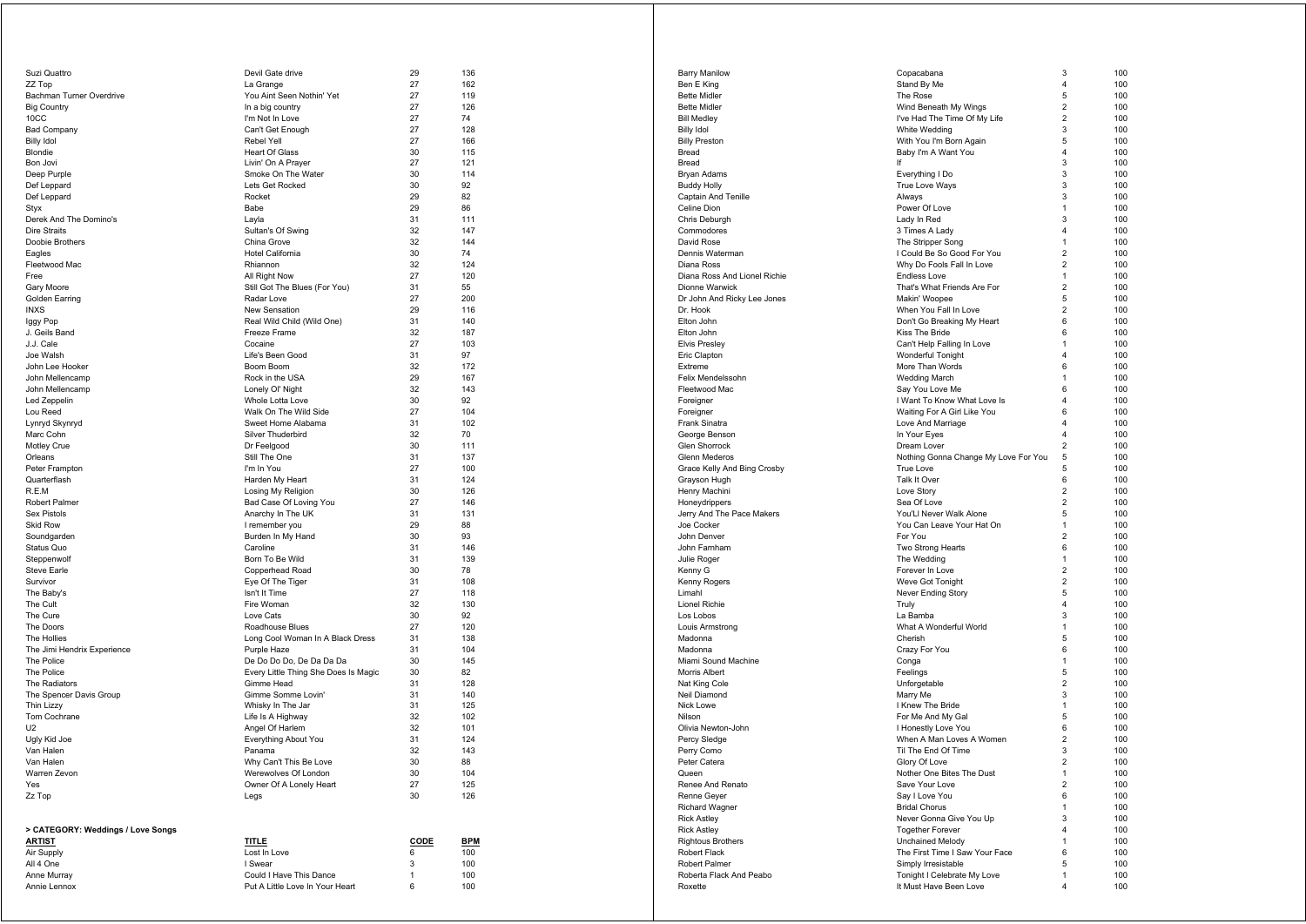| Suzi Quattro                      | Devil Gate drive                                           | 29          | 136        |
|-----------------------------------|------------------------------------------------------------|-------------|------------|
| ZZ Top                            | La Grange                                                  | 27          | 162        |
| Bachman Turner Overdrive          | You Aint Seen Nothin' Yet                                  | 27          | 119        |
| <b>Big Country</b><br>10CC        | In a big country<br>I'm Not In Love                        | 27<br>27    | 126<br>74  |
| <b>Bad Company</b>                | Can't Get Enough                                           | 27          | 128        |
| <b>Billy Idol</b>                 | Rebel Yell                                                 | 27          | 166        |
| Blondie                           | <b>Heart Of Glass</b>                                      | 30          | 115        |
| Bon Jovi                          | Livin' On A Prayer                                         | 27          | 121        |
| Deep Purple                       | Smoke On The Water                                         | 30          | 114        |
| Def Leppard                       | Lets Get Rocked                                            | 30          | 92         |
| Def Leppard                       | Rocket                                                     | 29          | 82<br>86   |
| Styx<br>Derek And The Domino's    | Babe<br>Layla                                              | 29<br>31    | 111        |
| Dire Straits                      | Sultan's Of Swing                                          | 32          | 147        |
| Doobie Brothers                   | China Grove                                                | 32          | 144        |
| Eagles                            | Hotel California                                           | 30          | 74         |
| Fleetwood Mac                     | Rhiannon                                                   | 32          | 124        |
| Free                              | All Right Now                                              | 27          | 120        |
| Gary Moore                        | Still Got The Blues (For You)                              | 31          | 55         |
| Golden Earring                    | Radar Love                                                 | 27          | 200        |
| <b>INXS</b><br>Iggy Pop           | <b>New Sensation</b><br>Real Wild Child (Wild One)         | 29<br>31    | 116<br>140 |
| J. Geils Band                     | Freeze Frame                                               | 32          | 187        |
| J.J. Cale                         | Cocaine                                                    | 27          | 103        |
| Joe Walsh                         | Life's Been Good                                           | 31          | 97         |
| John Lee Hooker                   | Boom Boom                                                  | 32          | 172        |
| John Mellencamp                   | Rock in the USA                                            | 29          | 167        |
| John Mellencamp                   | Lonely OI' Night                                           | 32          | 143        |
| Led Zeppelin                      | Whole Lotta Love                                           | 30          | 92         |
| Lou Reed                          | Walk On The Wild Side                                      | 27<br>31    | 104<br>102 |
| Lynryd Skynryd<br>Marc Cohn       | Sweet Home Alabama<br>Silver Thuderbird                    | 32          | 70         |
| Motley Crue                       | Dr Feelgood                                                | 30          | 111        |
| Orleans                           | Still The One                                              | 31          | 137        |
| Peter Frampton                    | I'm In You                                                 | 27          | 100        |
| Quarterflash                      | Harden My Heart                                            | 31          | 124        |
| R.E.M                             | Losing My Religion                                         | 30          | 126        |
| Robert Palmer                     | Bad Case Of Loving You                                     | 27          | 146        |
| <b>Sex Pistols</b>                | Anarchy In The UK                                          | 31          | 131        |
| <b>Skid Row</b><br>Soundgarden    | I remember you<br>Burden In My Hand                        | 29<br>30    | 88<br>93   |
| Status Quo                        | Caroline                                                   | 31          | 146        |
| Steppenwolf                       | Born To Be Wild                                            | 31          | 139        |
| <b>Steve Earle</b>                | Copperhead Road                                            | 30          | 78         |
| Survivor                          | Eye Of The Tiger                                           | 31          | 108        |
| The Baby's                        | Isn't It Time                                              | 27          | 118        |
| The Cult                          | Fire Woman                                                 | 32          | 130        |
| The Cure                          | Love Cats                                                  | 30          | 92         |
| The Doors<br>The Hollies          | Roadhouse Blues<br>Long Cool Woman In A Black Dress        | 27<br>31    | 120<br>138 |
| The Jimi Hendrix Experience       | Purple Haze                                                | 31          | 104        |
| The Police                        | De Do Do Do, De Da Da Da                                   | 30          | 145        |
| The Police                        | Every Little Thing She Does Is Magic                       | 30          | 82         |
| The Radiators                     | Gimme Head                                                 | 31          | 128        |
| The Spencer Davis Group           | Gimme Somme Lovin'                                         | 31          | 140        |
| Thin Lizzy                        | Whisky In The Jar                                          | 31          | 125        |
| Tom Cochrane<br>U <sub>2</sub>    | Life Is A Highway                                          | 32          | 102        |
| Ugly Kid Joe                      | Angel Of Harlem<br>Everything About You                    | 32<br>31    | 101<br>124 |
| Van Halen                         | Panama                                                     | 32          | 143        |
| Van Halen                         | Why Can't This Be Love                                     | 30          | 88         |
| Warren Zevon                      | Werewolves Of London                                       | 30          | 104        |
| Yes                               | Owner Of A Lonely Heart                                    | 27          | 125        |
| Zz Top                            | Legs                                                       | 30          | 126        |
|                                   |                                                            |             |            |
|                                   |                                                            |             |            |
| > CATEGORY: Weddings / Love Songs |                                                            |             |            |
| <b>ARTIST</b>                     | <b>TITLE</b>                                               | <b>CODE</b> | <b>BPM</b> |
| Air Supply                        | Lost In Love                                               | 6           | 100        |
| All 4 One                         | I Swear                                                    | 3           | 100        |
| Anne Murray<br>Annie Lennox       | Could I Have This Dance<br>Put A Little Love In Your Heart | 1<br>6      | 100<br>100 |

| Manilow                               |
|---------------------------------------|
| E King                                |
| Midler                                |
| Midler                                |
| ledley                                |
| dol                                   |
| Preston                               |
| ı<br>ı                                |
| Adams ו                               |
| y Holly                               |
| ain And Tenille                       |
| e Dion                                |
| Deburgh                               |
| nodores                               |
| l Rose                                |
| is Waterman                           |
| a Ross                                |
| a Ross And Lionel Richie<br>e Warwick |
| hn And Ricky Lee Jones                |
| ook                                   |
| John                                  |
| John                                  |
| Presley                               |
| Clapton                               |
| me                                    |
| Mendelssohn                           |
| wood Mac                              |
| gner<br>gner                          |
| Sinatra                               |
| ge Benson                             |
| Shorrock                              |
| Mederos                               |
| e Kelly And Bing Crosby               |
| son Hugh                              |
| y Machini                             |
| ydrippers                             |
| And The Pace Makers<br>Cocker         |
| Denver                                |
| Farnham                               |
| Roger                                 |
| y G                                   |
| y Rogers                              |
| ٦I                                    |
| <b>I</b> Richie                       |
| obos                                  |
| Armstrong<br>nna                      |
| nna                                   |
| i Sound Machine                       |
| s Albert                              |
| ing Cole                              |
| Diamond                               |
| Lowe                                  |
| n                                     |
| I Newton-John                         |
| / Sledge<br>Como                      |
| <sup>c</sup> atera                    |
| 'n                                    |
| e And Renato                          |
| e Geyer                               |
| <b>ard Wagner</b>                     |
| Astley                                |
| Astley                                |
| ous Brothers                          |
| rt Flack<br>rt Palmer                 |
| rta Flack And Peabo                   |
| tte                                   |
|                                       |

| Barry Manilow                  | Copacabana                                               | 3                   | 100        |
|--------------------------------|----------------------------------------------------------|---------------------|------------|
| Ben E King                     | Stand By Me                                              | $\overline{4}$      | 100        |
| <b>Bette Midler</b>            | The Rose                                                 | 5                   | 100        |
| <b>Bette Midler</b>            | Wind Beneath My Wings                                    | $\overline{2}$      | 100        |
| Bill Medley                    | I've Had The Time Of My Life                             | $\overline{2}$      | 100        |
| Billy Idol                     | White Wedding                                            | 3                   | 100        |
| <b>Billy Preston</b>           | With You I'm Born Again                                  | 5                   | 100        |
| Bread                          | Baby I'm A Want You                                      | 4                   | 100        |
| Bread                          | lf                                                       | 3                   | 100        |
| Bryan Adams                    | Everything I Do                                          | 3                   | 100        |
| <b>Buddy Holly</b>             | True Love Ways                                           | 3                   | 100        |
| Captain And Tenille            | Always                                                   | 3                   | 100        |
| Celine Dion                    | Power Of Love                                            | 1                   | 100        |
| Chris Deburgh                  | Lady In Red                                              | 3                   | 100        |
| Commodores                     | 3 Times A Lady                                           | 4                   | 100        |
| David Rose                     | The Stripper Song                                        | 1                   | 100        |
| Dennis Waterman                | I Could Be So Good For You                               | $\overline{2}$      | 100        |
| Diana Ross                     | Why Do Fools Fall In Love                                | $\overline{2}$      | 100        |
| Diana Ross And Lionel Richie   | <b>Endless Love</b>                                      | 1                   | 100        |
| Dionne Warwick                 | That's What Friends Are For                              | 2                   | 100        |
| Dr John And Ricky Lee Jones    | Makin' Woopee                                            | 5                   | 100        |
| Dr. Hook                       | When You Fall In Love                                    | $\overline{2}$      | 100        |
| Elton John                     | Don't Go Breaking My Heart                               | 6                   | 100        |
| Elton John                     | Kiss The Bride                                           | 6                   | 100        |
| Elvis Presley                  | Can't Help Falling In Love                               | 1                   | 100        |
| Eric Clapton                   | Wonderful Tonight                                        | $\overline{4}$      | 100        |
| Extreme                        | More Than Words                                          | 6                   | 100        |
| Felix Mendelssohn              | <b>Wedding March</b>                                     | 1                   | 100        |
| Fleetwood Mac                  | Say You Love Me                                          | 6                   | 100        |
| Foreigner                      | I Want To Know What Love Is                              | $\overline{4}$      | 100        |
| Foreigner<br>Frank Sinatra     | Waiting For A Girl Like You<br>Love And Marriage         | 6<br>$\overline{4}$ | 100        |
|                                |                                                          | $\overline{4}$      | 100<br>100 |
| George Benson<br>Glen Shorrock | In Your Eyes<br>Dream Lover                              | $\overline{2}$      | 100        |
| Glenn Mederos                  |                                                          | 5                   | 100        |
| Grace Kelly And Bing Crosby    | Nothing Gonna Change My Love For You<br><b>True Love</b> | 5                   | 100        |
|                                | Talk It Over                                             | 6                   | 100        |
| Grayson Hugh<br>Henry Machini  | Love Story                                               | $\overline{2}$      | 100        |
| Honeydrippers                  | Sea Of Love                                              | $\overline{2}$      | 100        |
| Jerry And The Pace Makers      | You'Ll Never Walk Alone                                  | 5                   | 100        |
| <b>Joe Cocker</b>              | You Can Leave Your Hat On                                | 1                   | 100        |
| John Denver                    | For You                                                  | $\overline{2}$      | 100        |
| John Farnham                   | Two Strong Hearts                                        | 6                   | 100        |
| Julie Roger                    | The Wedding                                              | 1                   | 100        |
| Kenny G                        | Forever In Love                                          | $\overline{2}$      | 100        |
| Kenny Rogers                   | Weve Got Tonight                                         | $\overline{2}$      | 100        |
| Limahl                         | Never Ending Story                                       | 5                   | 100        |
| Lionel Richie                  | Truly                                                    | 4                   | 100        |
| Los Lobos                      | La Bamba                                                 | 3                   | 100        |
| Louis Armstrong                | What A Wonderful World                                   | 1                   | 100        |
| Madonna                        | Cherish                                                  | 5                   | 100        |
| Madonna                        | Crazy For You                                            | 6                   | 100        |
| Miami Sound Machine            | Conga                                                    | 1                   | 100        |
| Morris Albert                  | Feelings                                                 | 5                   | 100        |
| Nat King Cole                  | Unforgetable                                             | 2                   | 100        |
| Neil Diamond                   | Marry Me                                                 | 3                   | 100        |
| Nick Lowe                      | I Knew The Bride                                         | 1                   | 100        |
| Nilson                         | For Me And My Gal                                        | 5                   | 100        |
| Olivia Newton-John             | I Honestly Love You                                      | 6                   | 100        |
| Percy Sledge                   | When A Man Loves A Women                                 | 2                   | 100        |
| Perry Como                     | Til The End Of Time                                      | 3                   | 100        |
| Peter Catera                   | Glory Of Love                                            | 2                   | 100        |
| Queen                          | Nother One Bites The Dust                                | 1                   | 100        |
| Renee And Renato               | Save Your Love                                           | 2                   | 100        |
| Renne Geyer                    | Say I Love You                                           | 6                   | 100        |
| Richard Wagner                 | <b>Bridal Chorus</b>                                     | 1                   | 100        |
| <b>Rick Astley</b>             | Never Gonna Give You Up                                  | 3                   | 100        |
| <b>Rick Astley</b>             | <b>Together Forever</b>                                  | $\overline{4}$      | 100        |
| <b>Rightous Brothers</b>       | Unchained Melody                                         | 1                   | 100        |
| Robert Flack                   | The First Time I Saw Your Face                           | 6                   | 100        |
| Robert Palmer                  | Simply Irresistable                                      | 5                   | 100        |
| Roberta Flack And Peabo        | Tonight I Celebrate My Love                              | 1                   | 100        |
| Roxette                        | It Must Have Been Love                                   | 4                   | 100        |
|                                |                                                          |                     |            |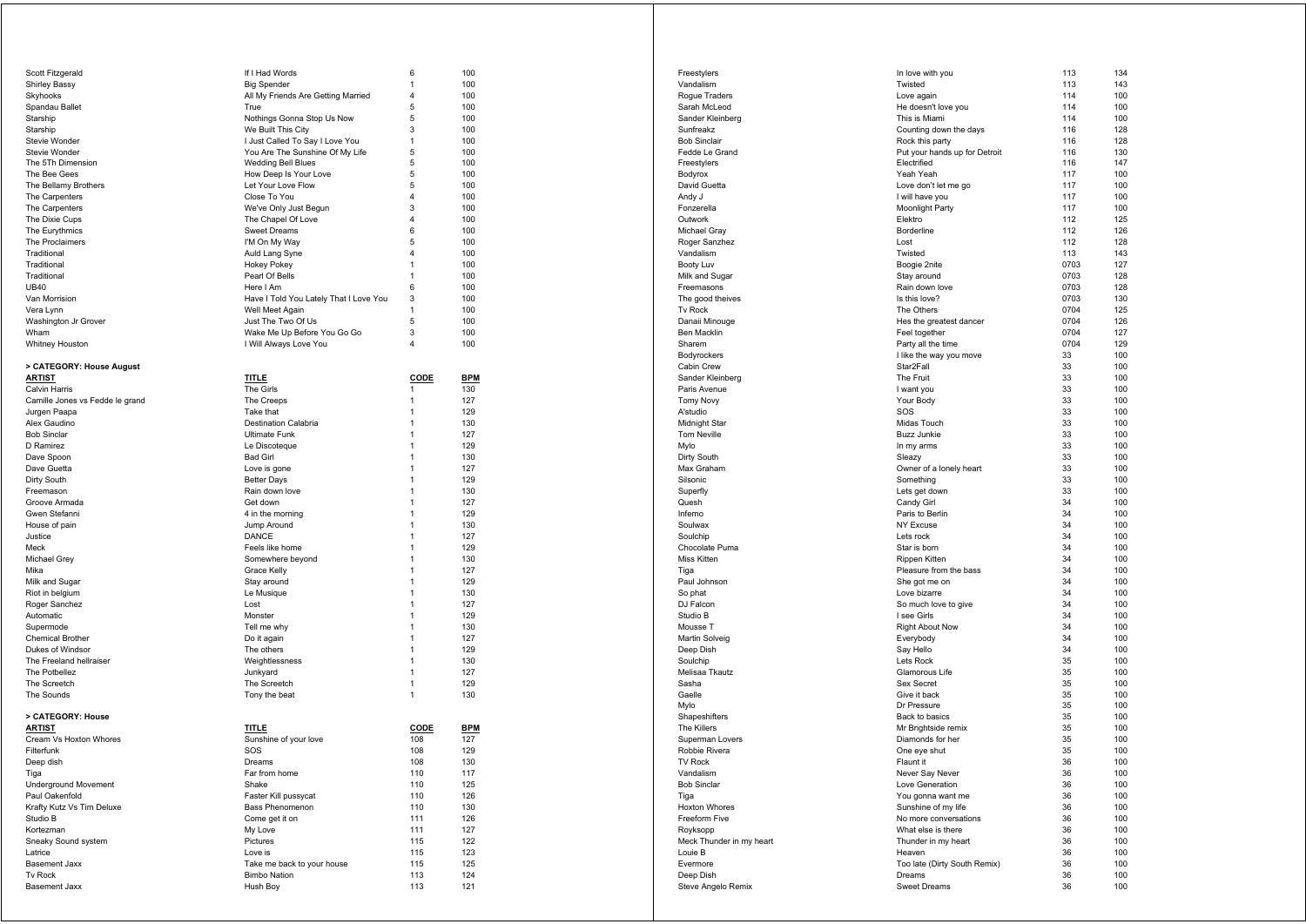| Scott Fitzgerald                       |                                        |                         |            |
|----------------------------------------|----------------------------------------|-------------------------|------------|
|                                        | If I Had Words                         | 6                       | 100        |
| <b>Shirley Bassy</b>                   | <b>Big Spender</b>                     | 1                       | 100        |
| Skyhooks                               | All My Friends Are Getting Married     | 4                       | 100        |
| Spandau Ballet                         | True                                   | 5                       | 100        |
| Starship                               | Nothings Gonna Stop Us Now             | 5                       | 100        |
| Starship                               | We Built This City                     | 3                       | 100        |
| Stevie Wonder                          | I Just Called To Say I Love You        | 1                       | 100        |
| Stevie Wonder                          | You Are The Sunshine Of My Life        | 5                       | 100        |
| The 5Th Dimension                      | <b>Wedding Bell Blues</b>              | 5                       | 100        |
| The Bee Gees                           | How Deep Is Your Love                  | 5                       | 100        |
| The Bellamy Brothers                   | Let Your Love Flow                     | 5                       | 100        |
| The Carpenters                         | Close To You                           | $\overline{\mathbf{4}}$ | 100        |
| The Carpenters                         | We've Only Just Begun                  | 3                       | 100        |
| The Dixie Cups                         | The Chapel Of Love                     | 4                       | 100        |
| The Eurythmics                         | <b>Sweet Dreams</b>                    | 6                       | 100        |
| The Proclaimers                        | I'M On My Way                          | 5                       | 100        |
| Traditional                            | Auld Lang Syne                         | 4                       | 100        |
| Traditional                            | <b>Hokey Pokey</b>                     | 1                       | 100        |
| Traditional                            | Pearl Of Bells                         | $\mathbf{1}$            | 100        |
| <b>UB40</b>                            | Here I Am                              | 6                       | 100        |
|                                        |                                        |                         |            |
| Van Morrision                          | Have I Told You Lately That I Love You | 3                       | 100        |
| Vera Lynn                              | Well Meet Again                        | 1                       | 100        |
| Washington Jr Grover                   | Just The Two Of Us                     | 5                       | 100        |
| Wham                                   | Wake Me Up Before You Go Go            | 3                       | 100        |
| Whitney Houston                        | I Will Always Love You                 | 4                       | 100        |
|                                        |                                        |                         |            |
| > CATEGORY: House August               |                                        |                         |            |
| <b>ARTIST</b>                          | <b>TITLE</b>                           | CODE                    | <b>BPM</b> |
| Calvin Harris                          | The Girls                              | 1                       | 130        |
| Camille Jones vs Fedde le grand        | The Creeps                             | 1                       | 127        |
| Jurgen Paapa                           | Take that                              | 1                       | 129        |
| Alex Gaudino                           | <b>Destination Calabria</b>            | 1                       | 130        |
| <b>Bob Sinclar</b>                     | <b>Ultimate Funk</b>                   | $\mathbf{1}$            | 127        |
| D Ramirez                              | Le Discoteque                          | 1                       | 129        |
| Dave Spoon                             | <b>Bad Girl</b>                        | 1                       | 130        |
| Dave Guetta                            | Love is gone                           | 1                       | 127        |
| Dirty South                            | <b>Better Days</b>                     | 1                       | 129        |
|                                        |                                        |                         |            |
| Freemason                              | Rain down love                         | 1                       | 130        |
| Groove Armada                          | Get down                               | 1                       | 127        |
| Gwen Stefanni                          | 4 in the morning                       | 1                       | 129        |
| House of pain                          | Jump Around                            | 1                       | 130        |
| Justice                                | DANCE                                  | 1                       | 127        |
| Meck                                   | Feels like home                        | 1                       | 129        |
| Michael Grey                           | Somewhere beyond                       | 1                       | 130        |
|                                        |                                        | 1                       | 127        |
| Mika                                   | Grace Kelly                            |                         |            |
| Milk and Sugar                         | Stay around                            | 1                       | 129        |
| Riot in belgium                        | Le Musique                             | $\mathbf{1}$            | 130        |
| Roger Sanchez                          | Lost                                   | $\mathbf{1}$            | 127        |
|                                        |                                        | 1                       | 129        |
| Automatic                              | Monster                                |                         |            |
| Supermode                              | Tell me why                            | 1                       | 130        |
| <b>Chemical Brother</b>                | Do it again                            | 1                       | 127        |
| Dukes of Windsor                       | The others                             | 1                       | 129        |
| The Freeland hellraiser                | Weightlessness                         | 1                       | 130        |
| The Potbellez                          | Junkyard                               | $\mathbf{1}$            | 127        |
| The Screetch                           | The Screetch                           | 1                       | 129        |
| The Sounds                             | Tony the beat                          | 1                       | 130        |
|                                        |                                        |                         |            |
| > CATEGORY: House                      |                                        |                         |            |
| <b>ARTIST</b>                          | <b>TITLE</b>                           | <b>CODE</b>             | <u>BPM</u> |
| Cream Vs Hoxton Whores                 | Sunshine of your love                  | 108                     | 127        |
| Filterfunk                             | SOS                                    | 108                     | 129        |
| Deep dish                              | Dreams                                 | 108                     | 130        |
| Tiga                                   | Far from home                          | 110                     | 117        |
| <b>Underground Movement</b>            | Shake                                  | 110                     | 125        |
| Paul Oakenfold                         | Faster Kill pussycat                   | 110                     | 126        |
| Krafty Kutz Vs Tim Deluxe              | <b>Bass Phenomenon</b>                 | 110                     | 130        |
| Studio B                               | Come get it on                         | 111                     | 126        |
| Kortezman                              | My Love                                | 111                     | 127        |
|                                        |                                        |                         |            |
| Sneaky Sound system<br>Latrice         | Pictures<br>Love is                    | 115                     | 122        |
|                                        |                                        | 115                     | 123        |
| <b>Basement Jaxx</b>                   | Take me back to your house             | 115                     | 125        |
| <b>Tv Rock</b><br><b>Basement Jaxx</b> | <b>Bimbo Nation</b><br>Hush Boy        | 113<br>113              | 124<br>121 |

|                                  |                                                  |            | 134        |
|----------------------------------|--------------------------------------------------|------------|------------|
| Freestylers<br>Vandalism         | In love with you                                 | 113        |            |
|                                  | Twisted                                          | 113<br>114 | 143<br>100 |
| Rogue Traders                    | Love again                                       | 114        | 100        |
| Sarah McLeod<br>Sander Kleinberg | He doesn't love you<br>This is Miami             | 114        | 100        |
| Sunfreakz                        |                                                  | 116        | 128        |
| <b>Bob Sinclair</b>              | Counting down the days                           | 116        | 128        |
| Fedde Le Grand                   | Rock this party<br>Put your hands up for Detroit | 116        | 130        |
| Freestylers                      | Electrified                                      | 116        | 147        |
| Bodyrox                          | Yeah Yeah                                        | 117        | 100        |
| David Guetta                     | Love don't let me go                             | 117        | 100        |
| Andy J                           | I will have you                                  | 117        | 100        |
| Fonzerella                       | Moonlight Party                                  | 117        | 100        |
| Outwork                          | Elektro                                          | 112        | 125        |
| Michael Gray                     | Borderline                                       | 112        | 126        |
| Roger Sanzhez                    | Lost                                             | 112        | 128        |
| Vandalism                        | Twisted                                          | 113        | 143        |
| Booty Luv                        | Boogie 2nite                                     | 0703       | 127        |
| Milk and Sugar                   | Stay around                                      | 0703       | 128        |
| Freemasons                       | Rain down love                                   | 0703       | 128        |
| The good theives                 | Is this love?                                    | 0703       | 130        |
| <b>Tv Rock</b>                   | The Others                                       | 0704       | 125        |
| Danaii Minouge                   | Hes the greatest dancer                          | 0704       | 126        |
| Ben Macklin                      | Feel together                                    | 0704       | 127        |
| Sharem                           | Party all the time                               | 0704       | 129        |
| Bodyrockers                      | I like the way you move                          | 33         | 100        |
| Cabin Crew                       | Star2Fall                                        | 33         | 100        |
| Sander Kleinberg                 | The Fruit                                        | 33         | 100        |
| Paris Avenue                     | I want you                                       | 33         | 100        |
| <b>Tomy Novy</b>                 | Your Body                                        | 33         | 100        |
| A'studio                         | SOS                                              | 33         | 100        |
| Midnight Star                    | Midas Touch                                      | 33         | 100        |
| Tom Neville                      | <b>Buzz Junkie</b>                               | 33         | 100        |
| Mylo                             | In my arms                                       | 33         | 100        |
| Dirty South                      | Sleazy                                           | 33         | 100        |
| Max Graham                       | Owner of a lonely heart                          | 33         | 100        |
| Silsonic                         | Something                                        | 33<br>33   | 100<br>100 |
| Superfly<br>Quesh                | Lets get down<br>Candy Girl                      | 34         | 100        |
| Inferno                          | Paris to Berlin                                  | 34         | 100        |
| Soulwax                          | <b>NY Excuse</b>                                 | 34         | 100        |
| Soulchip                         | Lets rock                                        | 34         | 100        |
| Chocolate Puma                   | Star is born                                     | 34         | 100        |
| Miss Kitten                      | Rippen Kitten                                    | 34         | 100        |
| Tiga                             | Pleasure from the bass                           | 34         | 100        |
| Paul Johnson                     | She got me on                                    | 34         | 100        |
| So phat                          | Love bizarre                                     | 34         | 100        |
| DJ Falcon                        | So much love to give                             | 34         | 100        |
| Studio B                         | I see Girls                                      | 34         | 100        |
| Mousse T                         | <b>Right About Now</b>                           | 34         | 100        |
| Martin Solveig                   | Everybody                                        | 34         | 100        |
| Deep Dish                        | Say Hello                                        | 34         | 100        |
| Soulchip                         | Lets Rock                                        | 35         | 100        |
| Melisaa Tkautz                   | Glamorous Life                                   | 35         | 100        |
| Sasha                            | Sex Secret                                       | 35         | 100        |
| Gaelle                           | Give it back                                     | 35         | 100        |
| Mylo                             | Dr Pressure                                      | 35         | 100        |
| Shapeshifters                    | Back to basics                                   | 35         | 100        |
| The Killers                      | Mr Brightside remix                              | 35         | 100<br>100 |
| Superman Lovers<br>Robbie Rivera | Diamonds for her<br>One eye shut                 | 35<br>35   | 100        |
| <b>TV Rock</b>                   | Flaunt it                                        | 36         | 100        |
| Vandalism                        | Never Say Never                                  | 36         | 100        |
| <b>Bob Sinclar</b>               | Love Generation                                  | 36         | 100        |
| Tiga                             | You gonna want me                                | 36         | 100        |
| Hoxton Whores                    | Sunshine of my life                              | 36         | 100        |
| Freeform Five                    | No more conversations                            | 36         | 100        |
| Royksopp                         | What else is there                               | 36         | 100        |
| Meck Thunder in my heart         | Thunder in my heart                              | 36         | 100        |
| Louie B                          | Heaven                                           | 36         | 100        |
| Evermore                         | Too late (Dirty South Remix)                     | 36         | 100        |
| Deep Dish                        | Dreams                                           | 36         | 100        |
| Steve Angelo Remix               | <b>Sweet Dreams</b>                              | 36         | 100        |
|                                  |                                                  |            |            |